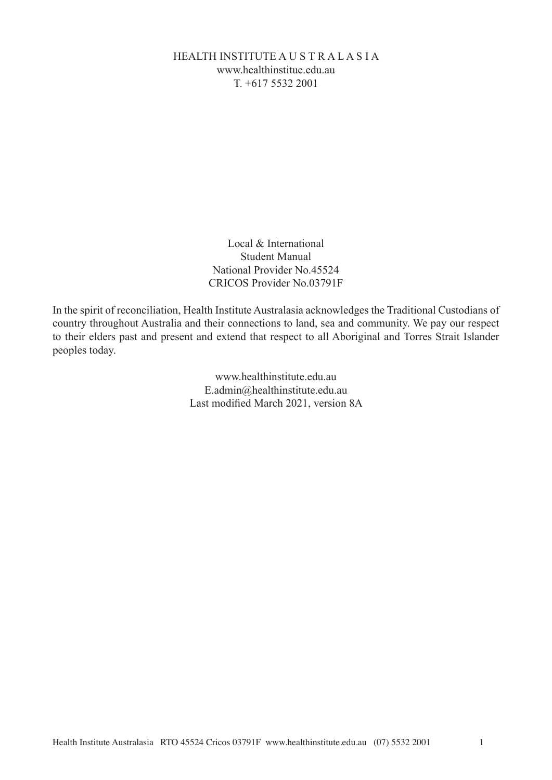# HEALTH INSTITUTE A U S T R A L A S I A www.healthinstitue.edu.au T. +617 5532 2001

Local & International Student Manual National Provider No.45524 CRICOS Provider No.03791F

In the spirit of reconciliation, Health Institute Australasia acknowledges the Traditional Custodians of country throughout Australia and their connections to land, sea and community. We pay our respect to their elders past and present and extend that respect to all Aboriginal and Torres Strait Islander peoples today.

> www.healthinstitute.edu.au E.admin@healthinstitute.edu.au Last modified March 2021, version 8A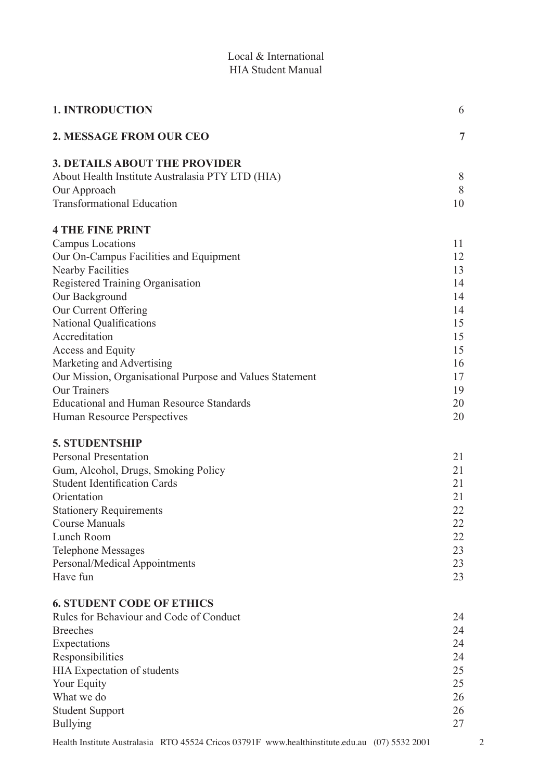| <b>1. INTRODUCTION</b>                                                                         | 6              |   |
|------------------------------------------------------------------------------------------------|----------------|---|
| 2. MESSAGE FROM OUR CEO                                                                        | $\overline{7}$ |   |
| <b>3. DETAILS ABOUT THE PROVIDER</b>                                                           |                |   |
| About Health Institute Australasia PTY LTD (HIA)                                               | 8              |   |
| Our Approach                                                                                   | 8              |   |
| <b>Transformational Education</b>                                                              | 10             |   |
| <b>4 THE FINE PRINT</b>                                                                        |                |   |
| Campus Locations                                                                               | 11             |   |
| Our On-Campus Facilities and Equipment                                                         | 12             |   |
| <b>Nearby Facilities</b>                                                                       | 13             |   |
| Registered Training Organisation                                                               | 14             |   |
| Our Background                                                                                 | 14             |   |
| Our Current Offering                                                                           | 14             |   |
| <b>National Qualifications</b>                                                                 | 15             |   |
| Accreditation                                                                                  | 15             |   |
| Access and Equity                                                                              | 15             |   |
| Marketing and Advertising                                                                      | 16             |   |
| Our Mission, Organisational Purpose and Values Statement                                       | 17             |   |
| <b>Our Trainers</b>                                                                            | 19             |   |
| <b>Educational and Human Resource Standards</b>                                                | 20             |   |
| Human Resource Perspectives                                                                    | 20             |   |
| <b>5. STUDENTSHIP</b>                                                                          |                |   |
| <b>Personal Presentation</b>                                                                   | 21             |   |
| Gum, Alcohol, Drugs, Smoking Policy                                                            | 21             |   |
| <b>Student Identification Cards</b>                                                            | 21             |   |
| Orientation                                                                                    | 21             |   |
| <b>Stationery Requirements</b>                                                                 | 22             |   |
| <b>Course Manuals</b>                                                                          | 22             |   |
| Lunch Room                                                                                     | 22             |   |
| <b>Telephone Messages</b>                                                                      | 23             |   |
| Personal/Medical Appointments                                                                  | 23             |   |
| Have fun                                                                                       | 23             |   |
| <b>6. STUDENT CODE OF ETHICS</b>                                                               |                |   |
| Rules for Behaviour and Code of Conduct                                                        | 24             |   |
| <b>Breeches</b>                                                                                | 24             |   |
| Expectations                                                                                   | 24             |   |
| Responsibilities                                                                               | 24             |   |
| HIA Expectation of students                                                                    | 25             |   |
| Your Equity                                                                                    | 25             |   |
| What we do                                                                                     | 26             |   |
| <b>Student Support</b>                                                                         | 26             |   |
| <b>Bullying</b>                                                                                | 27             |   |
| Health Institute Australasia RTO 45524 Cricos 03791F www.healthinstitute.edu.au (07) 5532 2001 |                | 2 |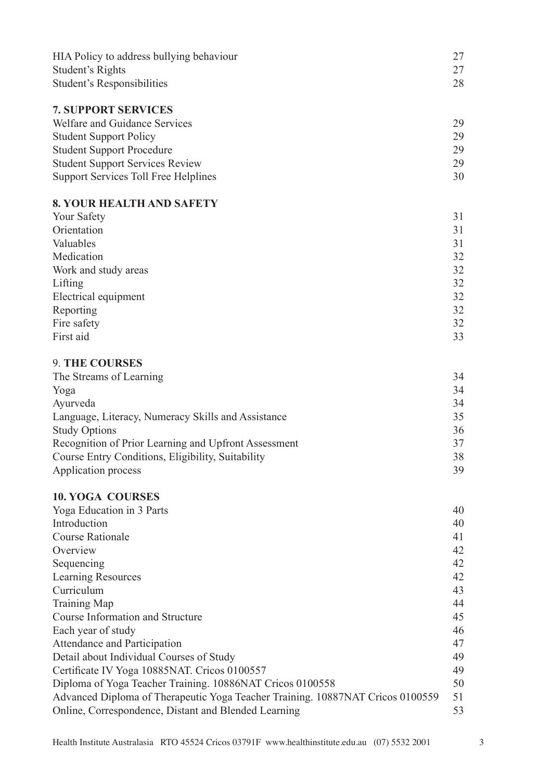| HIA Policy to address bullying behaviour    | 27                 |
|---------------------------------------------|--------------------|
| Student's Rights                            | 27                 |
| Student's Responsibilities                  | 28                 |
| <b>7. SUPPORT SERVICES</b>                  |                    |
| Welfare and Guidance Services               | 29                 |
| <b>Student Support Policy</b>               | 29                 |
| <b>Student Support Procedure</b>            | 29                 |
| <b>Student Support Services Review</b>      | 29                 |
| <b>Support Services Toll Free Helplines</b> | 30                 |
| <b>8. YOUR HEALTH AND SAFETY</b>            |                    |
| <b>Your Safety</b>                          | 31                 |
| Orientation                                 | 31                 |
| Valuables                                   | 31                 |
| Medication                                  | 32                 |
| Work and study areas                        | 32                 |
| $\mathbf{r} \cdot \mathbf{a}$               | $\mathbf{\hat{a}}$ |

| 32  |
|-----|
| 32  |
| 32  |
| 22. |
|     |

# 9. **THE COURSES**

| The Streams of Learning                              | 34 |
|------------------------------------------------------|----|
| Yoga                                                 | 34 |
| Ayurveda                                             | 34 |
| Language, Literacy, Numeracy Skills and Assistance   | 35 |
| <b>Study Options</b>                                 | 36 |
| Recognition of Prior Learning and Upfront Assessment | 37 |
| Course Entry Conditions, Eligibility, Suitability    | 38 |
| Application process                                  | 39 |

# **10. YOGA COURSES**

| 40 |
|----|
| 40 |
| 41 |
| 42 |
| 42 |
| 42 |
| 43 |
| 44 |
| 45 |
| 46 |
| 47 |
| 49 |
| 49 |
| 50 |
| 51 |
| 53 |
|    |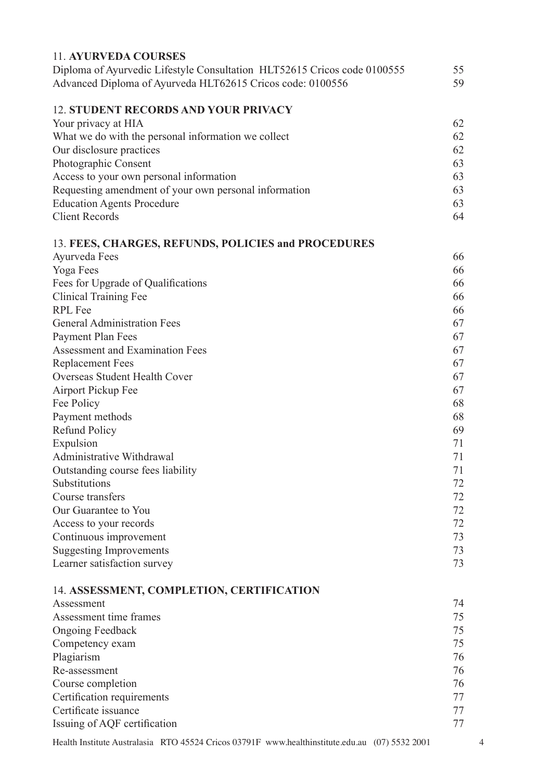| 11. AYURVEDA COURSES                                                     |    |
|--------------------------------------------------------------------------|----|
| Diploma of Ayurvedic Lifestyle Consultation HLT52615 Cricos code 0100555 | 55 |
| Advanced Diploma of Ayurveda HLT62615 Cricos code: 0100556               | 59 |
| <b>12. STUDENT RECORDS AND YOUR PRIVACY</b>                              |    |
| Your privacy at HIA                                                      | 62 |
| What we do with the personal information we collect                      | 62 |
| Our disclosure practices                                                 | 62 |
| Photographic Consent                                                     | 63 |
| Access to your own personal information                                  | 63 |
| Requesting amendment of your own personal information                    | 63 |
| <b>Education Agents Procedure</b>                                        | 63 |
| <b>Client Records</b>                                                    | 64 |
| 13. FEES, CHARGES, REFUNDS, POLICIES and PROCEDURES                      |    |
| Ayurveda Fees                                                            | 66 |
| Yoga Fees                                                                | 66 |
| Fees for Upgrade of Qualifications                                       | 66 |
| <b>Clinical Training Fee</b>                                             | 66 |
| <b>RPL</b> Fee                                                           | 66 |
| <b>General Administration Fees</b>                                       | 67 |
| Payment Plan Fees                                                        | 67 |
| Assessment and Examination Fees                                          | 67 |
| <b>Replacement Fees</b>                                                  | 67 |
| Overseas Student Health Cover                                            | 67 |
| Airport Pickup Fee                                                       | 67 |
| Fee Policy                                                               | 68 |
| Payment methods                                                          | 68 |
| <b>Refund Policy</b>                                                     | 69 |
| Expulsion                                                                | 71 |
| Administrative Withdrawal                                                | 71 |
| Outstanding course fees liability                                        | 71 |
| Substitutions                                                            | 72 |
| Course transfers                                                         | 72 |
| Our Guarantee to You                                                     | 72 |
| Access to your records                                                   | 72 |
| Continuous improvement                                                   | 73 |
| <b>Suggesting Improvements</b>                                           | 73 |
| Learner satisfaction survey                                              | 73 |
| 14. ASSESSMENT, COMPLETION, CERTIFICATION                                |    |
| Assessment                                                               | 74 |
| Assessment time frames                                                   | 75 |
| <b>Ongoing Feedback</b>                                                  | 75 |
| Competency exam                                                          | 75 |
| Plagiarism                                                               | 76 |
| Re-assessment                                                            | 76 |
| Course completion                                                        | 76 |
| Certification requirements                                               | 77 |
| Certificate issuance                                                     | 77 |
| Issuing of AQF certification                                             | 77 |
|                                                                          |    |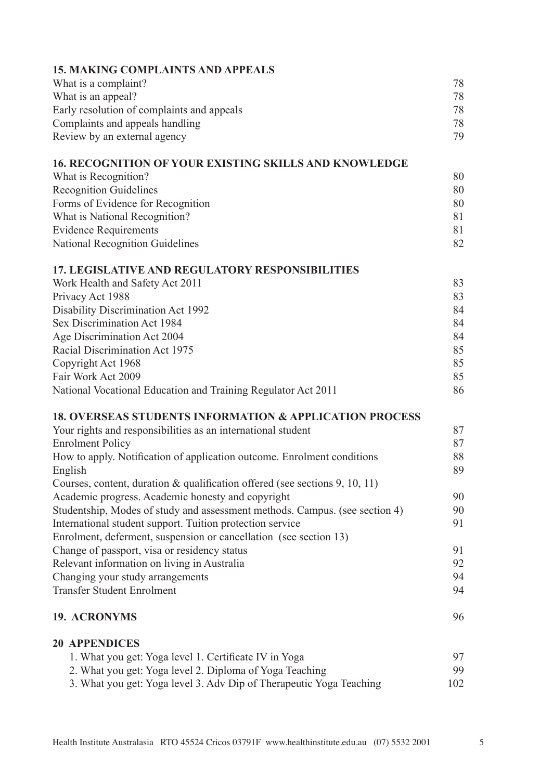| <b>15. MAKING COMPLAINTS AND APPEALS</b>                                       |     |
|--------------------------------------------------------------------------------|-----|
| What is a complaint?                                                           | 78  |
| What is an appeal?                                                             | 78  |
| Early resolution of complaints and appeals                                     | 78  |
| Complaints and appeals handling                                                | 78  |
| Review by an external agency                                                   | 79  |
| <b>16. RECOGNITION OF YOUR EXISTING SKILLS AND KNOWLEDGE</b>                   |     |
| What is Recognition?                                                           | 80  |
| <b>Recognition Guidelines</b>                                                  | 80  |
| Forms of Evidence for Recognition                                              | 80  |
| What is National Recognition?                                                  | 81  |
| <b>Evidence Requirements</b>                                                   | 81  |
| <b>National Recognition Guidelines</b>                                         | 82  |
| <b>17. LEGISLATIVE AND REGULATORY RESPONSIBILITIES</b>                         |     |
| Work Health and Safety Act 2011                                                | 83  |
| Privacy Act 1988                                                               | 83  |
| <b>Disability Discrimination Act 1992</b>                                      | 84  |
| <b>Sex Discrimination Act 1984</b>                                             | 84  |
| Age Discrimination Act 2004                                                    | 84  |
| Racial Discrimination Act 1975                                                 | 85  |
| Copyright Act 1968                                                             | 85  |
| Fair Work Act 2009                                                             | 85  |
| National Vocational Education and Training Regulator Act 2011                  | 86  |
| <b>18. OVERSEAS STUDENTS INFORMATION &amp; APPLICATION PROCESS</b>             |     |
| Your rights and responsibilities as an international student                   | 87  |
| <b>Enrolment Policy</b>                                                        | 87  |
| How to apply. Notification of application outcome. Enrolment conditions        | 88  |
| English                                                                        | 89  |
| Courses, content, duration $\&$ qualification offered (see sections 9, 10, 11) |     |
| Academic progress. Academic honesty and copyright                              | 90  |
| Studentship, Modes of study and assessment methods. Campus. (see section 4)    | 90  |
| International student support. Tuition protection service                      | 91  |
| Enrolment, deferment, suspension or cancellation (see section 13)              |     |
| Change of passport, visa or residency status                                   | 91  |
| Relevant information on living in Australia                                    | 92  |
| Changing your study arrangements                                               | 94  |
| <b>Transfer Student Enrolment</b>                                              | 94  |
| <b>19. ACRONYMS</b>                                                            | 96  |
| <b>20 APPENDICES</b>                                                           |     |
| 1. What you get: Yoga level 1. Certificate IV in Yoga                          | 97  |
| 2. What you get: Yoga level 2. Diploma of Yoga Teaching                        | 99  |
| 3. What you get: Yoga level 3. Adv Dip of Therapeutic Yoga Teaching            | 102 |
|                                                                                |     |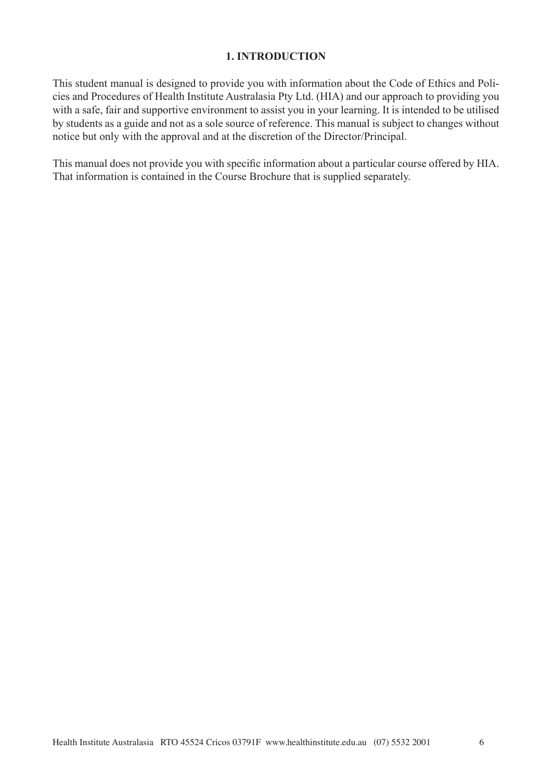#### **1. INTRODUCTION**

This student manual is designed to provide you with information about the Code of Ethics and Policies and Procedures of Health Institute Australasia Pty Ltd. (HIA) and our approach to providing you with a safe, fair and supportive environment to assist you in your learning. It is intended to be utilised by students as a guide and not as a sole source of reference. This manual is subject to changes without notice but only with the approval and at the discretion of the Director/Principal.

This manual does not provide you with specific information about a particular course offered by HIA. That information is contained in the Course Brochure that is supplied separately.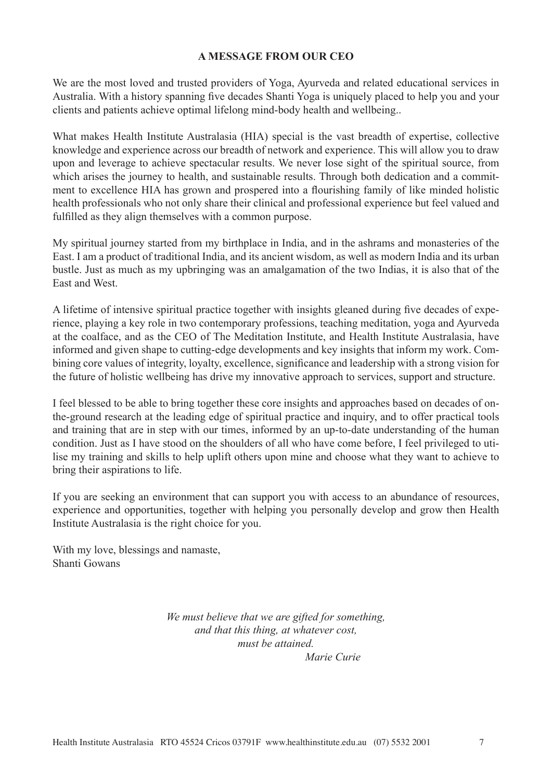#### **A MESSAGE FROM OUR CEO**

We are the most loved and trusted providers of Yoga, Ayurveda and related educational services in Australia. With a history spanning five decades Shanti Yoga is uniquely placed to help you and your clients and patients achieve optimal lifelong mind-body health and wellbeing..

What makes Health Institute Australasia (HIA) special is the vast breadth of expertise, collective knowledge and experience across our breadth of network and experience. This will allow you to draw upon and leverage to achieve spectacular results. We never lose sight of the spiritual source, from which arises the journey to health, and sustainable results. Through both dedication and a commitment to excellence HIA has grown and prospered into a flourishing family of like minded holistic health professionals who not only share their clinical and professional experience but feel valued and fulfilled as they align themselves with a common purpose.

My spiritual journey started from my birthplace in India, and in the ashrams and monasteries of the East. I am a product of traditional India, and its ancient wisdom, as well as modern India and its urban bustle. Just as much as my upbringing was an amalgamation of the two Indias, it is also that of the East and West.

A lifetime of intensive spiritual practice together with insights gleaned during five decades of experience, playing a key role in two contemporary professions, teaching meditation, yoga and Ayurveda at the coalface, and as the CEO of The Meditation Institute, and Health Institute Australasia, have informed and given shape to cutting-edge developments and key insights that inform my work. Combining core values of integrity, loyalty, excellence, significance and leadership with a strong vision for the future of holistic wellbeing has drive my innovative approach to services, support and structure.

I feel blessed to be able to bring together these core insights and approaches based on decades of onthe-ground research at the leading edge of spiritual practice and inquiry, and to offer practical tools and training that are in step with our times, informed by an up-to-date understanding of the human condition. Just as I have stood on the shoulders of all who have come before, I feel privileged to utilise my training and skills to help uplift others upon mine and choose what they want to achieve to bring their aspirations to life.

If you are seeking an environment that can support you with access to an abundance of resources, experience and opportunities, together with helping you personally develop and grow then Health Institute Australasia is the right choice for you.

With my love, blessings and namaste, Shanti Gowans

> *We must believe that we are gifted for something, and that this thing, at whatever cost, must be attained. Marie Curie*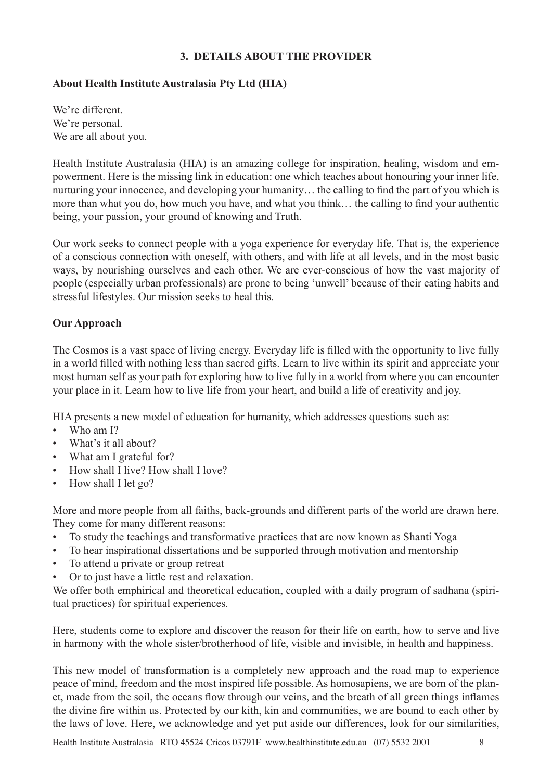## **3. DETAILS ABOUT THE PROVIDER**

# **About Health Institute Australasia Pty Ltd (HIA)**

We're different. We're personal. We are all about you.

Health Institute Australasia (HIA) is an amazing college for inspiration, healing, wisdom and empowerment. Here is the missing link in education: one which teaches about honouring your inner life, nurturing your innocence, and developing your humanity… the calling to find the part of you which is more than what you do, how much you have, and what you think… the calling to find your authentic being, your passion, your ground of knowing and Truth.

Our work seeks to connect people with a yoga experience for everyday life. That is, the experience of a conscious connection with oneself, with others, and with life at all levels, and in the most basic ways, by nourishing ourselves and each other. We are ever-conscious of how the vast majority of people (especially urban professionals) are prone to being 'unwell' because of their eating habits and stressful lifestyles. Our mission seeks to heal this.

## **Our Approach**

The Cosmos is a vast space of living energy. Everyday life is filled with the opportunity to live fully in a world filled with nothing less than sacred gifts. Learn to live within its spirit and appreciate your most human self as your path for exploring how to live fully in a world from where you can encounter your place in it. Learn how to live life from your heart, and build a life of creativity and joy.

HIA presents a new model of education for humanity, which addresses questions such as:

- Who am I?
- What's it all about?
- What am I grateful for?
- How shall I live? How shall I love?
- How shall I let go?

More and more people from all faiths, back-grounds and different parts of the world are drawn here. They come for many different reasons:

- To study the teachings and transformative practices that are now known as Shanti Yoga
- To hear inspirational dissertations and be supported through motivation and mentorship
- To attend a private or group retreat
- Or to just have a little rest and relaxation.

We offer both emphirical and theoretical education, coupled with a daily program of sadhana (spiritual practices) for spiritual experiences.

Here, students come to explore and discover the reason for their life on earth, how to serve and live in harmony with the whole sister/brotherhood of life, visible and invisible, in health and happiness.

This new model of transformation is a completely new approach and the road map to experience peace of mind, freedom and the most inspired life possible. As homosapiens, we are born of the planet, made from the soil, the oceans flow through our veins, and the breath of all green things inflames the divine fire within us. Protected by our kith, kin and communities, we are bound to each other by the laws of love. Here, we acknowledge and yet put aside our differences, look for our similarities,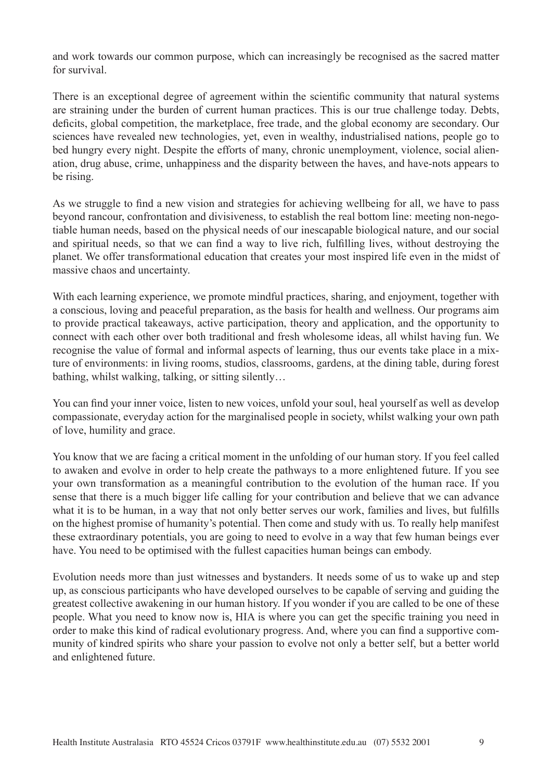and work towards our common purpose, which can increasingly be recognised as the sacred matter for survival.

There is an exceptional degree of agreement within the scientific community that natural systems are straining under the burden of current human practices. This is our true challenge today. Debts, deficits, global competition, the marketplace, free trade, and the global economy are secondary. Our sciences have revealed new technologies, yet, even in wealthy, industrialised nations, people go to bed hungry every night. Despite the efforts of many, chronic unemployment, violence, social alienation, drug abuse, crime, unhappiness and the disparity between the haves, and have-nots appears to be rising.

As we struggle to find a new vision and strategies for achieving wellbeing for all, we have to pass beyond rancour, confrontation and divisiveness, to establish the real bottom line: meeting non-negotiable human needs, based on the physical needs of our inescapable biological nature, and our social and spiritual needs, so that we can find a way to live rich, fulfilling lives, without destroying the planet. We offer transformational education that creates your most inspired life even in the midst of massive chaos and uncertainty.

With each learning experience, we promote mindful practices, sharing, and enjoyment, together with a conscious, loving and peaceful preparation, as the basis for health and wellness. Our programs aim to provide practical takeaways, active participation, theory and application, and the opportunity to connect with each other over both traditional and fresh wholesome ideas, all whilst having fun. We recognise the value of formal and informal aspects of learning, thus our events take place in a mixture of environments: in living rooms, studios, classrooms, gardens, at the dining table, during forest bathing, whilst walking, talking, or sitting silently…

You can find your inner voice, listen to new voices, unfold your soul, heal yourself as well as develop compassionate, everyday action for the marginalised people in society, whilst walking your own path of love, humility and grace.

You know that we are facing a critical moment in the unfolding of our human story. If you feel called to awaken and evolve in order to help create the pathways to a more enlightened future. If you see your own transformation as a meaningful contribution to the evolution of the human race. If you sense that there is a much bigger life calling for your contribution and believe that we can advance what it is to be human, in a way that not only better serves our work, families and lives, but fulfills on the highest promise of humanity's potential. Then come and study with us. To really help manifest these extraordinary potentials, you are going to need to evolve in a way that few human beings ever have. You need to be optimised with the fullest capacities human beings can embody.

Evolution needs more than just witnesses and bystanders. It needs some of us to wake up and step up, as conscious participants who have developed ourselves to be capable of serving and guiding the greatest collective awakening in our human history. If you wonder if you are called to be one of these people. What you need to know now is, HIA is where you can get the specific training you need in order to make this kind of radical evolutionary progress. And, where you can find a supportive community of kindred spirits who share your passion to evolve not only a better self, but a better world and enlightened future.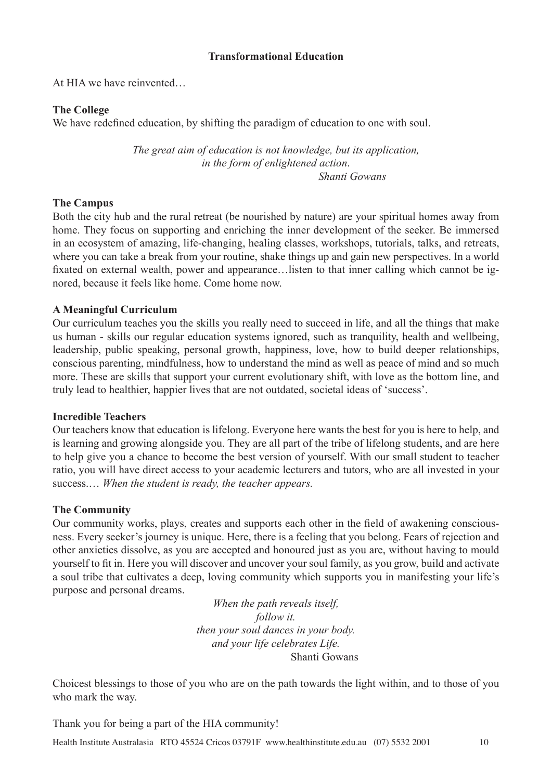# **Transformational Education**

At HIA we have reinvented…

## **The College**

We have redefined education, by shifting the paradigm of education to one with soul.

*The great aim of education is not knowledge, but its application, in the form of enlightened action*.  *Shanti Gowans*

## **The Campus**

Both the city hub and the rural retreat (be nourished by nature) are your spiritual homes away from home. They focus on supporting and enriching the inner development of the seeker. Be immersed in an ecosystem of amazing, life-changing, healing classes, workshops, tutorials, talks, and retreats, where you can take a break from your routine, shake things up and gain new perspectives. In a world fixated on external wealth, power and appearance…listen to that inner calling which cannot be ignored, because it feels like home. Come home now.

## **A Meaningful Curriculum**

Our curriculum teaches you the skills you really need to succeed in life, and all the things that make us human - skills our regular education systems ignored, such as tranquility, health and wellbeing, leadership, public speaking, personal growth, happiness, love, how to build deeper relationships, conscious parenting, mindfulness, how to understand the mind as well as peace of mind and so much more. These are skills that support your current evolutionary shift, with love as the bottom line, and truly lead to healthier, happier lives that are not outdated, societal ideas of 'success'.

## **Incredible Teachers**

Our teachers know that education is lifelong. Everyone here wants the best for you is here to help, and is learning and growing alongside you. They are all part of the tribe of lifelong students, and are here to help give you a chance to become the best version of yourself. With our small student to teacher ratio, you will have direct access to your academic lecturers and tutors, who are all invested in your success.… *When the student is ready, the teacher appears.* 

## **The Community**

Our community works, plays, creates and supports each other in the field of awakening consciousness. Every seeker's journey is unique. Here, there is a feeling that you belong. Fears of rejection and other anxieties dissolve, as you are accepted and honoured just as you are, without having to mould yourself to fit in. Here you will discover and uncover your soul family, as you grow, build and activate a soul tribe that cultivates a deep, loving community which supports you in manifesting your life's purpose and personal dreams.

> *When the path reveals itself, follow it. then your soul dances in your body. and your life celebrates Life.*  Shanti Gowans

Choicest blessings to those of you who are on the path towards the light within, and to those of you who mark the way.

Thank you for being a part of the HIA community!

Health Institute Australasia RTO 45524 Cricos 03791F www.healthinstitute.edu.au (07) 5532 2001 10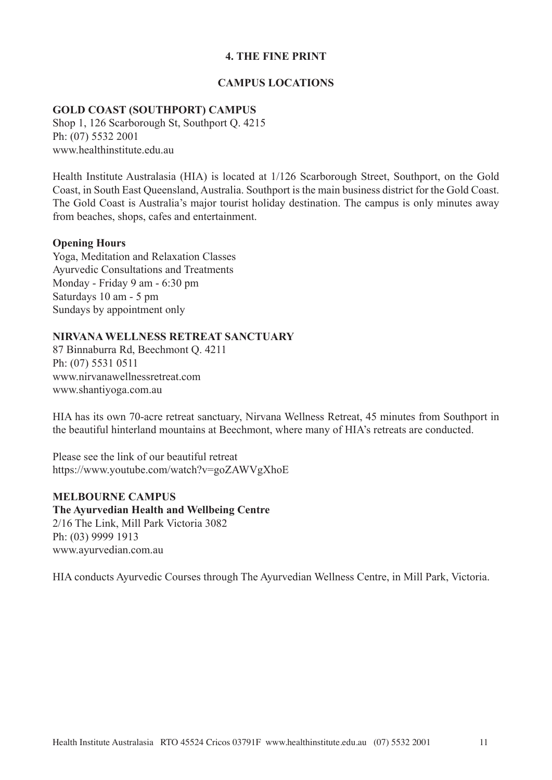### **4. THE FINE PRINT**

#### **CAMPUS LOCATIONS**

#### **GOLD COAST (SOUTHPORT) CAMPUS**

Shop 1, 126 Scarborough St, Southport Q. 4215 Ph: (07) 5532 2001 www.healthinstitute.edu.au

Health Institute Australasia (HIA) is located at 1/126 Scarborough Street, Southport, on the Gold Coast, in South East Queensland, Australia. Southport is the main business district for the Gold Coast. The Gold Coast is Australia's major tourist holiday destination. The campus is only minutes away from beaches, shops, cafes and entertainment.

#### **Opening Hours**

Yoga, Meditation and Relaxation Classes Ayurvedic Consultations and Treatments Monday - Friday 9 am - 6:30 pm Saturdays 10 am - 5 pm Sundays by appointment only

#### **NIRVANA WELLNESS RETREAT SANCTUARY**

87 Binnaburra Rd, Beechmont Q. 4211 Ph: (07) 5531 0511 www.nirvanawellnessretreat.com www.shantiyoga.com.au

HIA has its own 70-acre retreat sanctuary, Nirvana Wellness Retreat, 45 minutes from Southport in the beautiful hinterland mountains at Beechmont, where many of HIA's retreats are conducted.

Please see the link of our beautiful retreat https://www.youtube.com/watch?v=goZAWVgXhoE

#### **MELBOURNE CAMPUS**

**The Ayurvedian Health and Wellbeing Centre** 2/16 The Link, Mill Park Victoria 3082 Ph: (03) 9999 1913 www.ayurvedian.com.au

HIA conducts Ayurvedic Courses through The Ayurvedian Wellness Centre, in Mill Park, Victoria.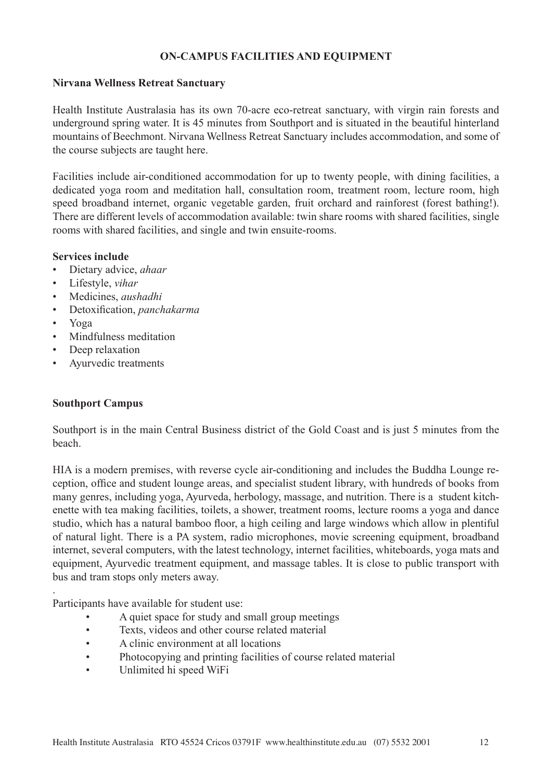## **ON-CAMPUS FACILITIES AND EQUIPMENT**

#### **Nirvana Wellness Retreat Sanctuary**

Health Institute Australasia has its own 70-acre eco-retreat sanctuary, with virgin rain forests and underground spring water. It is 45 minutes from Southport and is situated in the beautiful hinterland mountains of Beechmont. Nirvana Wellness Retreat Sanctuary includes accommodation, and some of the course subjects are taught here.

Facilities include air-conditioned accommodation for up to twenty people, with dining facilities, a dedicated yoga room and meditation hall, consultation room, treatment room, lecture room, high speed broadband internet, organic vegetable garden, fruit orchard and rainforest (forest bathing!). There are different levels of accommodation available: twin share rooms with shared facilities, single rooms with shared facilities, and single and twin ensuite-rooms.

#### **Services include**

- Dietary advice, *ahaar*
- Lifestyle, *vihar*
- Medicines, *aushadhi*
- Detoxification, *panchakarma*
- Yoga

.

- Mindfulness meditation
- Deep relaxation
- Ayurvedic treatments

## **Southport Campus**

Southport is in the main Central Business district of the Gold Coast and is just 5 minutes from the beach.

HIA is a modern premises, with reverse cycle air-conditioning and includes the Buddha Lounge reception, office and student lounge areas, and specialist student library, with hundreds of books from many genres, including yoga, Ayurveda, herbology, massage, and nutrition. There is a student kitchenette with tea making facilities, toilets, a shower, treatment rooms, lecture rooms a yoga and dance studio, which has a natural bamboo floor, a high ceiling and large windows which allow in plentiful of natural light. There is a PA system, radio microphones, movie screening equipment, broadband internet, several computers, with the latest technology, internet facilities, whiteboards, yoga mats and equipment. Ayurvedic treatment equipment, and massage tables. It is close to public transport with bus and tram stops only meters away.

Participants have available for student use:

- A quiet space for study and small group meetings
- Texts, videos and other course related material
- A clinic environment at all locations
- Photocopying and printing facilities of course related material
- Unlimited hi speed WiFi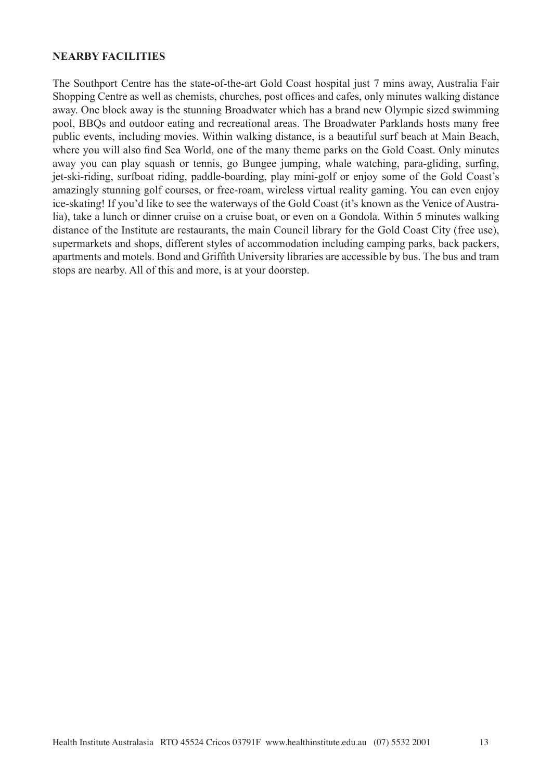#### **NEARBY FACILITIES**

The Southport Centre has the state-of-the-art Gold Coast hospital just 7 mins away, Australia Fair Shopping Centre as well as chemists, churches, post offices and cafes, only minutes walking distance away. One block away is the stunning Broadwater which has a brand new Olympic sized swimming pool, BBQs and outdoor eating and recreational areas. The Broadwater Parklands hosts many free public events, including movies. Within walking distance, is a beautiful surf beach at Main Beach, where you will also find Sea World, one of the many theme parks on the Gold Coast. Only minutes away you can play squash or tennis, go Bungee jumping, whale watching, para-gliding, surfing, jet-ski-riding, surfboat riding, paddle-boarding, play mini-golf or enjoy some of the Gold Coast's amazingly stunning golf courses, or free-roam, wireless virtual reality gaming. You can even enjoy ice-skating! If you'd like to see the waterways of the Gold Coast (it's known as the Venice of Australia), take a lunch or dinner cruise on a cruise boat, or even on a Gondola. Within 5 minutes walking distance of the Institute are restaurants, the main Council library for the Gold Coast City (free use), supermarkets and shops, different styles of accommodation including camping parks, back packers, apartments and motels. Bond and Griffith University libraries are accessible by bus. The bus and tram stops are nearby. All of this and more, is at your doorstep.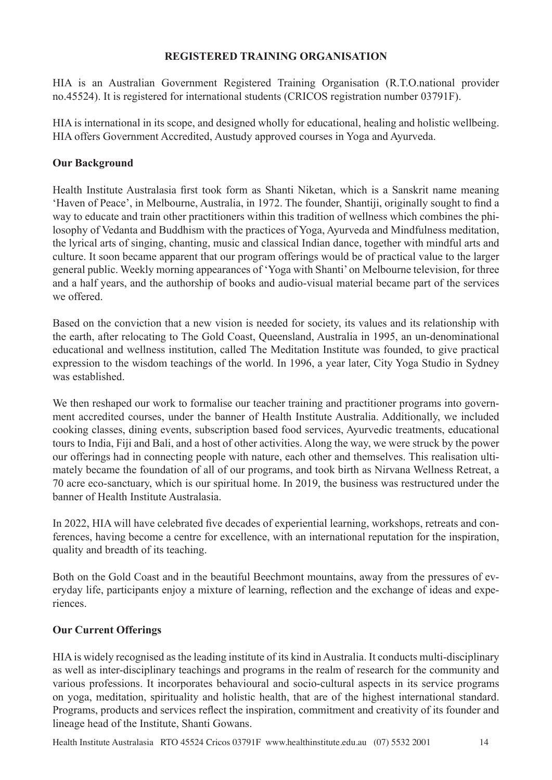#### **REGISTERED TRAINING ORGANISATION**

HIA is an Australian Government Registered Training Organisation (R.T.O.national provider no.45524). It is registered for international students (CRICOS registration number 03791F).

HIA is international in its scope, and designed wholly for educational, healing and holistic wellbeing. HIA offers Government Accredited, Austudy approved courses in Yoga and Ayurveda.

#### **Our Background**

Health Institute Australasia first took form as Shanti Niketan, which is a Sanskrit name meaning 'Haven of Peace', in Melbourne, Australia, in 1972. The founder, Shantiji, originally sought to find a way to educate and train other practitioners within this tradition of wellness which combines the philosophy of Vedanta and Buddhism with the practices of Yoga, Ayurveda and Mindfulness meditation, the lyrical arts of singing, chanting, music and classical Indian dance, together with mindful arts and culture. It soon became apparent that our program offerings would be of practical value to the larger general public. Weekly morning appearances of 'Yoga with Shanti' on Melbourne television, for three and a half years, and the authorship of books and audio-visual material became part of the services we offered.

Based on the conviction that a new vision is needed for society, its values and its relationship with the earth, after relocating to The Gold Coast, Queensland, Australia in 1995, an un-denominational educational and wellness institution, called The Meditation Institute was founded, to give practical expression to the wisdom teachings of the world. In 1996, a year later, City Yoga Studio in Sydney was established.

We then reshaped our work to formalise our teacher training and practitioner programs into government accredited courses, under the banner of Health Institute Australia. Additionally, we included cooking classes, dining events, subscription based food services, Ayurvedic treatments, educational tours to India, Fiji and Bali, and a host of other activities. Along the way, we were struck by the power our offerings had in connecting people with nature, each other and themselves. This realisation ultimately became the foundation of all of our programs, and took birth as Nirvana Wellness Retreat, a 70 acre eco-sanctuary, which is our spiritual home. In 2019, the business was restructured under the banner of Health Institute Australasia.

In 2022, HIA will have celebrated five decades of experiential learning, workshops, retreats and conferences, having become a centre for excellence, with an international reputation for the inspiration, quality and breadth of its teaching.

Both on the Gold Coast and in the beautiful Beechmont mountains, away from the pressures of everyday life, participants enjoy a mixture of learning, reflection and the exchange of ideas and experiences.

## **Our Current Offerings**

HIA is widely recognised as the leading institute of its kind in Australia. It conducts multi-disciplinary as well as inter-disciplinary teachings and programs in the realm of research for the community and various professions. It incorporates behavioural and socio-cultural aspects in its service programs on yoga, meditation, spirituality and holistic health, that are of the highest international standard. Programs, products and services reflect the inspiration, commitment and creativity of its founder and lineage head of the Institute, Shanti Gowans.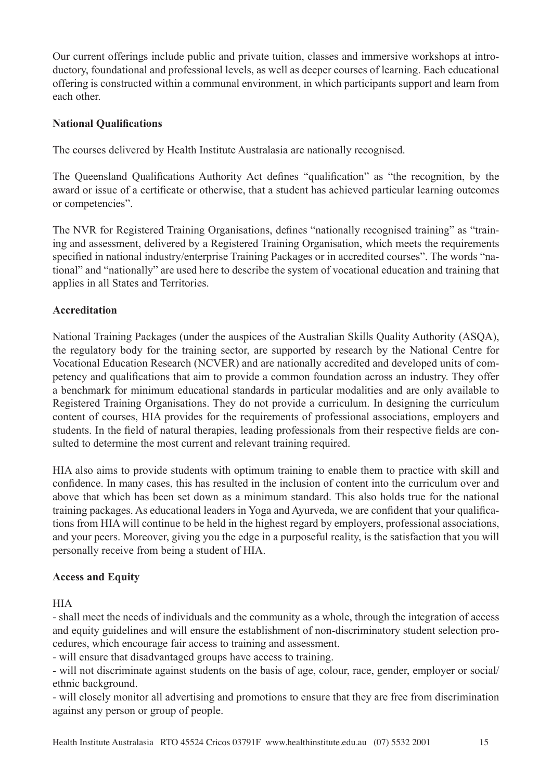Our current offerings include public and private tuition, classes and immersive workshops at introductory, foundational and professional levels, as well as deeper courses of learning. Each educational offering is constructed within a communal environment, in which participants support and learn from each other.

#### **National Qualifications**

The courses delivered by Health Institute Australasia are nationally recognised.

The Queensland Qualifications Authority Act defines "qualification" as "the recognition, by the award or issue of a certificate or otherwise, that a student has achieved particular learning outcomes or competencies".

The NVR for Registered Training Organisations, defines "nationally recognised training" as "training and assessment, delivered by a Registered Training Organisation, which meets the requirements specified in national industry/enterprise Training Packages or in accredited courses". The words "national" and "nationally" are used here to describe the system of vocational education and training that applies in all States and Territories.

## **Accreditation**

National Training Packages (under the auspices of the Australian Skills Quality Authority (ASQA), the regulatory body for the training sector, are supported by research by the National Centre for Vocational Education Research (NCVER) and are nationally accredited and developed units of competency and qualifications that aim to provide a common foundation across an industry. They offer a benchmark for minimum educational standards in particular modalities and are only available to Registered Training Organisations. They do not provide a curriculum. In designing the curriculum content of courses, HIA provides for the requirements of professional associations, employers and students. In the field of natural therapies, leading professionals from their respective fields are consulted to determine the most current and relevant training required.

HIA also aims to provide students with optimum training to enable them to practice with skill and confidence. In many cases, this has resulted in the inclusion of content into the curriculum over and above that which has been set down as a minimum standard. This also holds true for the national training packages. As educational leaders in Yoga and Ayurveda, we are confident that your qualifications from HIA will continue to be held in the highest regard by employers, professional associations, and your peers. Moreover, giving you the edge in a purposeful reality, is the satisfaction that you will personally receive from being a student of HIA.

## **Access and Equity**

**HIA** 

- shall meet the needs of individuals and the community as a whole, through the integration of access and equity guidelines and will ensure the establishment of non-discriminatory student selection procedures, which encourage fair access to training and assessment.

- will ensure that disadvantaged groups have access to training.

- will not discriminate against students on the basis of age, colour, race, gender, employer or social/ ethnic background.

- will closely monitor all advertising and promotions to ensure that they are free from discrimination against any person or group of people.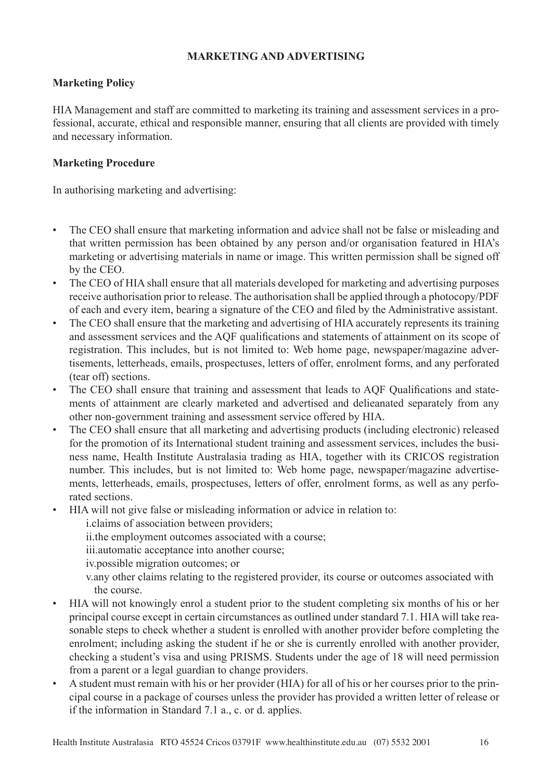## **MARKETING AND ADVERTISING**

# **Marketing Policy**

HIA Management and staff are committed to marketing its training and assessment services in a professional, accurate, ethical and responsible manner, ensuring that all clients are provided with timely and necessary information.

# **Marketing Procedure**

In authorising marketing and advertising:

- The CEO shall ensure that marketing information and advice shall not be false or misleading and that written permission has been obtained by any person and/or organisation featured in HIA's marketing or advertising materials in name or image. This written permission shall be signed off by the CEO.
- The CEO of HIA shall ensure that all materials developed for marketing and advertising purposes receive authorisation prior to release. The authorisation shall be applied through a photocopy/PDF of each and every item, bearing a signature of the CEO and filed by the Administrative assistant.
- The CEO shall ensure that the marketing and advertising of HIA accurately represents its training and assessment services and the AQF qualifications and statements of attainment on its scope of registration. This includes, but is not limited to: Web home page, newspaper/magazine advertisements, letterheads, emails, prospectuses, letters of offer, enrolment forms, and any perforated (tear off) sections.
- The CEO shall ensure that training and assessment that leads to AQF Qualifications and statements of attainment are clearly marketed and advertised and delieanated separately from any other non-government training and assessment service offered by HIA.
- The CEO shall ensure that all marketing and advertising products (including electronic) released for the promotion of its International student training and assessment services, includes the business name, Health Institute Australasia trading as HIA, together with its CRICOS registration number. This includes, but is not limited to: Web home page, newspaper/magazine advertisements, letterheads, emails, prospectuses, letters of offer, enrolment forms, as well as any perforated sections.
- HIA will not give false or misleading information or advice in relation to:
	- i.claims of association between providers;
	- ii.the employment outcomes associated with a course;
	- iii.automatic acceptance into another course;
	- iv.possible migration outcomes; or
	- v.any other claims relating to the registered provider, its course or outcomes associated with the course.
- HIA will not knowingly enrol a student prior to the student completing six months of his or her principal course except in certain circumstances as outlined under standard 7.1. HIA will take reasonable steps to check whether a student is enrolled with another provider before completing the enrolment; including asking the student if he or she is currently enrolled with another provider, checking a student's visa and using PRISMS. Students under the age of 18 will need permission from a parent or a legal guardian to change providers.
- A student must remain with his or her provider (HIA) for all of his or her courses prior to the principal course in a package of courses unless the provider has provided a written letter of release or if the information in Standard 7.1 a., c. or d. applies.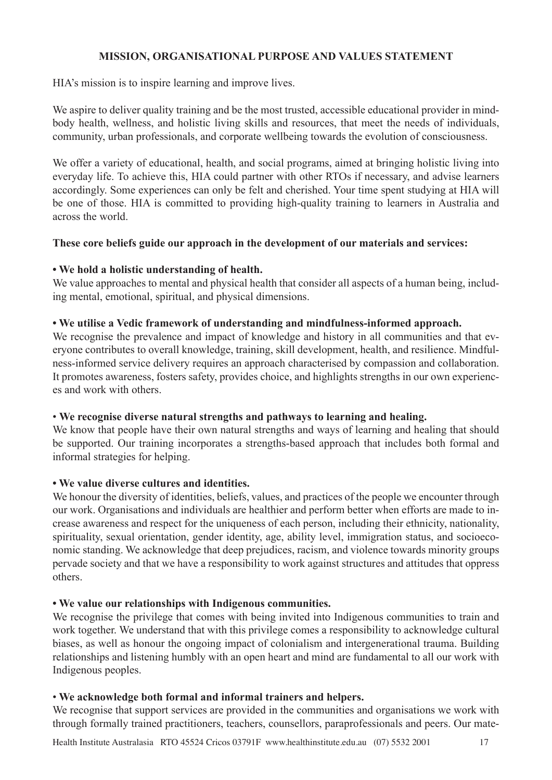## **MISSION, ORGANISATIONAL PURPOSE AND VALUES STATEMENT**

HIA's mission is to inspire learning and improve lives.

We aspire to deliver quality training and be the most trusted, accessible educational provider in mindbody health, wellness, and holistic living skills and resources, that meet the needs of individuals, community, urban professionals, and corporate wellbeing towards the evolution of consciousness.

We offer a variety of educational, health, and social programs, aimed at bringing holistic living into everyday life. To achieve this, HIA could partner with other RTOs if necessary, and advise learners accordingly. Some experiences can only be felt and cherished. Your time spent studying at HIA will be one of those. HIA is committed to providing high-quality training to learners in Australia and across the world.

## **These core beliefs guide our approach in the development of our materials and services:**

# **• We hold a holistic understanding of health.**

We value approaches to mental and physical health that consider all aspects of a human being, including mental, emotional, spiritual, and physical dimensions.

## **• We utilise a Vedic framework of understanding and mindfulness-informed approach.**

We recognise the prevalence and impact of knowledge and history in all communities and that everyone contributes to overall knowledge, training, skill development, health, and resilience. Mindfulness-informed service delivery requires an approach characterised by compassion and collaboration. It promotes awareness, fosters safety, provides choice, and highlights strengths in our own experiences and work with others.

## • **We recognise diverse natural strengths and pathways to learning and healing.**

We know that people have their own natural strengths and ways of learning and healing that should be supported. Our training incorporates a strengths-based approach that includes both formal and informal strategies for helping.

## **• We value diverse cultures and identities.**

We honour the diversity of identities, beliefs, values, and practices of the people we encounter through our work. Organisations and individuals are healthier and perform better when efforts are made to increase awareness and respect for the uniqueness of each person, including their ethnicity, nationality, spirituality, sexual orientation, gender identity, age, ability level, immigration status, and socioeconomic standing. We acknowledge that deep prejudices, racism, and violence towards minority groups pervade society and that we have a responsibility to work against structures and attitudes that oppress others.

## **• We value our relationships with Indigenous communities.**

We recognise the privilege that comes with being invited into Indigenous communities to train and work together. We understand that with this privilege comes a responsibility to acknowledge cultural biases, as well as honour the ongoing impact of colonialism and intergenerational trauma. Building relationships and listening humbly with an open heart and mind are fundamental to all our work with Indigenous peoples.

## • **We acknowledge both formal and informal trainers and helpers.**

We recognise that support services are provided in the communities and organisations we work with through formally trained practitioners, teachers, counsellors, paraprofessionals and peers. Our mate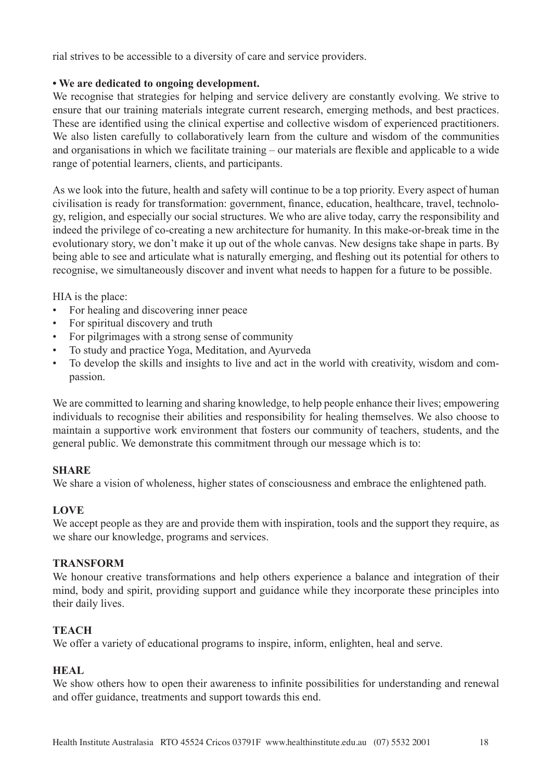rial strives to be accessible to a diversity of care and service providers.

## **• We are dedicated to ongoing development.**

We recognise that strategies for helping and service delivery are constantly evolving. We strive to ensure that our training materials integrate current research, emerging methods, and best practices. These are identified using the clinical expertise and collective wisdom of experienced practitioners. We also listen carefully to collaboratively learn from the culture and wisdom of the communities and organisations in which we facilitate training – our materials are flexible and applicable to a wide range of potential learners, clients, and participants.

As we look into the future, health and safety will continue to be a top priority. Every aspect of human civilisation is ready for transformation: government, finance, education, healthcare, travel, technology, religion, and especially our social structures. We who are alive today, carry the responsibility and indeed the privilege of co-creating a new architecture for humanity. In this make-or-break time in the evolutionary story, we don't make it up out of the whole canvas. New designs take shape in parts. By being able to see and articulate what is naturally emerging, and fleshing out its potential for others to recognise, we simultaneously discover and invent what needs to happen for a future to be possible.

HIA is the place:

- For healing and discovering inner peace
- For spiritual discovery and truth
- For pilgrimages with a strong sense of community
- To study and practice Yoga, Meditation, and Ayurveda
- To develop the skills and insights to live and act in the world with creativity, wisdom and compassion.

We are committed to learning and sharing knowledge, to help people enhance their lives; empowering individuals to recognise their abilities and responsibility for healing themselves. We also choose to maintain a supportive work environment that fosters our community of teachers, students, and the general public. We demonstrate this commitment through our message which is to:

## **SHARE**

We share a vision of wholeness, higher states of consciousness and embrace the enlightened path.

## **LOVE**

We accept people as they are and provide them with inspiration, tools and the support they require, as we share our knowledge, programs and services.

## **TRANSFORM**

We honour creative transformations and help others experience a balance and integration of their mind, body and spirit, providing support and guidance while they incorporate these principles into their daily lives.

## **TEACH**

We offer a variety of educational programs to inspire, inform, enlighten, heal and serve.

## **HEAL**

We show others how to open their awareness to infinite possibilities for understanding and renewal and offer guidance, treatments and support towards this end.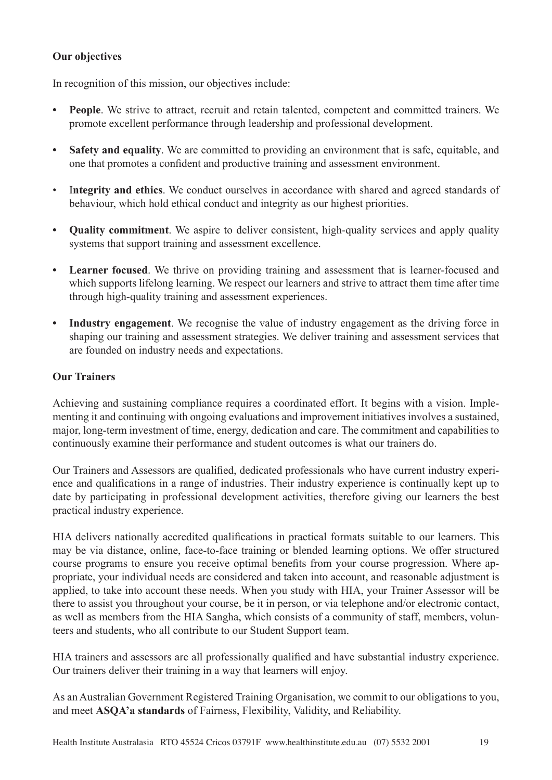# **Our objectives**

In recognition of this mission, our objectives include:

- **• People**. We strive to attract, recruit and retain talented, competent and committed trainers. We promote excellent performance through leadership and professional development.
- **Safety and equality**. We are committed to providing an environment that is safe, equitable, and one that promotes a confident and productive training and assessment environment.
- I**ntegrity and ethics**. We conduct ourselves in accordance with shared and agreed standards of behaviour, which hold ethical conduct and integrity as our highest priorities.
- **• Quality commitment**. We aspire to deliver consistent, high-quality services and apply quality systems that support training and assessment excellence.
- **• Learner focused**. We thrive on providing training and assessment that is learner-focused and which supports lifelong learning. We respect our learners and strive to attract them time after time through high-quality training and assessment experiences.
- **• Industry engagement**. We recognise the value of industry engagement as the driving force in shaping our training and assessment strategies. We deliver training and assessment services that are founded on industry needs and expectations.

# **Our Trainers**

Achieving and sustaining compliance requires a coordinated effort. It begins with a vision. Implementing it and continuing with ongoing evaluations and improvement initiatives involves a sustained, major, long-term investment of time, energy, dedication and care. The commitment and capabilities to continuously examine their performance and student outcomes is what our trainers do.

Our Trainers and Assessors are qualified, dedicated professionals who have current industry experience and qualifications in a range of industries. Their industry experience is continually kept up to date by participating in professional development activities, therefore giving our learners the best practical industry experience.

HIA delivers nationally accredited qualifications in practical formats suitable to our learners. This may be via distance, online, face-to-face training or blended learning options. We offer structured course programs to ensure you receive optimal benefits from your course progression. Where appropriate, your individual needs are considered and taken into account, and reasonable adjustment is applied, to take into account these needs. When you study with HIA, your Trainer Assessor will be there to assist you throughout your course, be it in person, or via telephone and/or electronic contact, as well as members from the HIA Sangha, which consists of a community of staff, members, volunteers and students, who all contribute to our Student Support team.

HIA trainers and assessors are all professionally qualified and have substantial industry experience. Our trainers deliver their training in a way that learners will enjoy.

As an Australian Government Registered Training Organisation, we commit to our obligations to you, and meet **ASQA'a standards** of Fairness, Flexibility, Validity, and Reliability.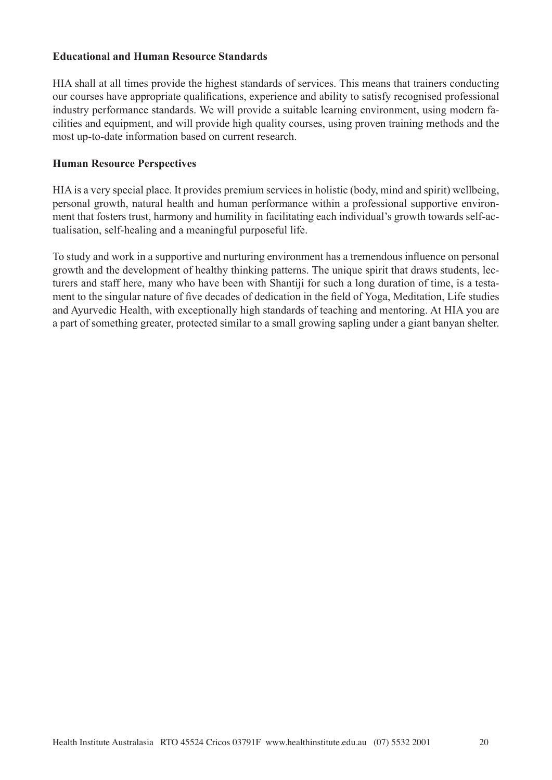#### **Educational and Human Resource Standards**

HIA shall at all times provide the highest standards of services. This means that trainers conducting our courses have appropriate qualifications, experience and ability to satisfy recognised professional industry performance standards. We will provide a suitable learning environment, using modern facilities and equipment, and will provide high quality courses, using proven training methods and the most up-to-date information based on current research.

#### **Human Resource Perspectives**

HIA is a very special place. It provides premium services in holistic (body, mind and spirit) wellbeing, personal growth, natural health and human performance within a professional supportive environment that fosters trust, harmony and humility in facilitating each individual's growth towards self-actualisation, self-healing and a meaningful purposeful life.

To study and work in a supportive and nurturing environment has a tremendous influence on personal growth and the development of healthy thinking patterns. The unique spirit that draws students, lecturers and staff here, many who have been with Shantiji for such a long duration of time, is a testament to the singular nature of five decades of dedication in the field of Yoga, Meditation, Life studies and Ayurvedic Health, with exceptionally high standards of teaching and mentoring. At HIA you are a part of something greater, protected similar to a small growing sapling under a giant banyan shelter.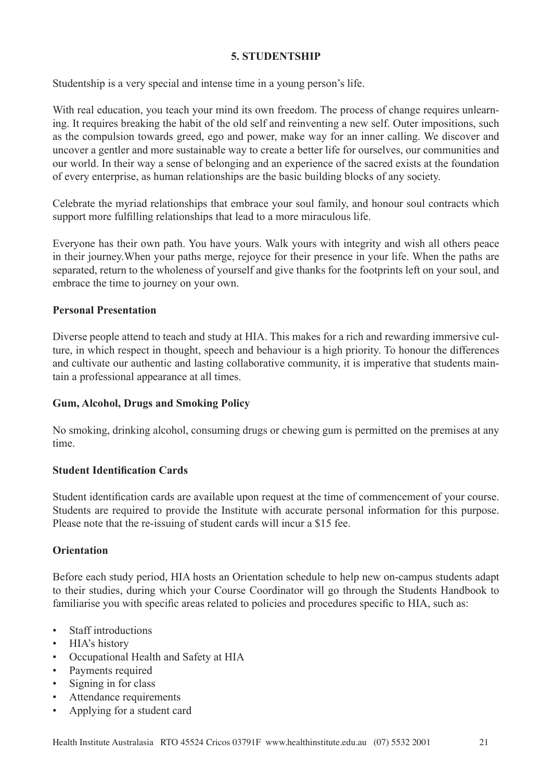## **5. STUDENTSHIP**

Studentship is a very special and intense time in a young person's life.

With real education, you teach your mind its own freedom. The process of change requires unlearning. It requires breaking the habit of the old self and reinventing a new self. Outer impositions, such as the compulsion towards greed, ego and power, make way for an inner calling. We discover and uncover a gentler and more sustainable way to create a better life for ourselves, our communities and our world. In their way a sense of belonging and an experience of the sacred exists at the foundation of every enterprise, as human relationships are the basic building blocks of any society.

Celebrate the myriad relationships that embrace your soul family, and honour soul contracts which support more fulfilling relationships that lead to a more miraculous life.

Everyone has their own path. You have yours. Walk yours with integrity and wish all others peace in their journey.When your paths merge, rejoyce for their presence in your life. When the paths are separated, return to the wholeness of yourself and give thanks for the footprints left on your soul, and embrace the time to journey on your own.

#### **Personal Presentation**

Diverse people attend to teach and study at HIA. This makes for a rich and rewarding immersive culture, in which respect in thought, speech and behaviour is a high priority. To honour the differences and cultivate our authentic and lasting collaborative community, it is imperative that students maintain a professional appearance at all times.

## **Gum, Alcohol, Drugs and Smoking Policy**

No smoking, drinking alcohol, consuming drugs or chewing gum is permitted on the premises at any time.

#### **Student Identification Cards**

Student identification cards are available upon request at the time of commencement of your course. Students are required to provide the Institute with accurate personal information for this purpose. Please note that the re-issuing of student cards will incur a \$15 fee.

## **Orientation**

Before each study period, HIA hosts an Orientation schedule to help new on-campus students adapt to their studies, during which your Course Coordinator will go through the Students Handbook to familiarise you with specific areas related to policies and procedures specific to HIA, such as:

- Staff introductions
- HIA's history
- Occupational Health and Safety at HIA
- Payments required
- Signing in for class
- Attendance requirements
- Applying for a student card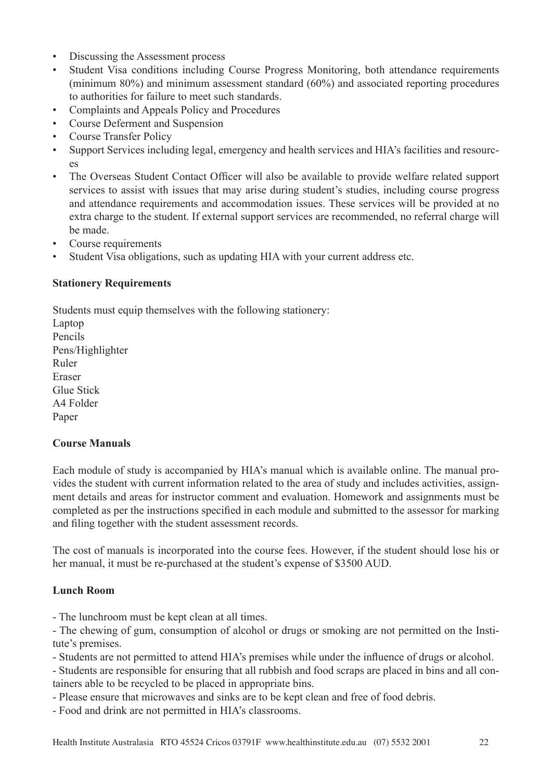- Discussing the Assessment process
- Student Visa conditions including Course Progress Monitoring, both attendance requirements (minimum 80%) and minimum assessment standard (60%) and associated reporting procedures to authorities for failure to meet such standards.
- Complaints and Appeals Policy and Procedures
- Course Deferment and Suspension
- Course Transfer Policy
- Support Services including legal, emergency and health services and HIA's facilities and resourc- $\overline{P}$
- The Overseas Student Contact Officer will also be available to provide welfare related support services to assist with issues that may arise during student's studies, including course progress and attendance requirements and accommodation issues. These services will be provided at no extra charge to the student. If external support services are recommended, no referral charge will be made.
- Course requirements
- Student Visa obligations, such as updating HIA with your current address etc.

#### **Stationery Requirements**

Students must equip themselves with the following stationery: Laptop Pencils Pens/Highlighter Ruler Eraser Glue Stick A4 Folder Paper

#### **Course Manuals**

Each module of study is accompanied by HIA's manual which is available online. The manual provides the student with current information related to the area of study and includes activities, assignment details and areas for instructor comment and evaluation. Homework and assignments must be completed as per the instructions specified in each module and submitted to the assessor for marking and filing together with the student assessment records.

The cost of manuals is incorporated into the course fees. However, if the student should lose his or her manual, it must be re-purchased at the student's expense of \$3500 AUD.

#### **Lunch Room**

- The lunchroom must be kept clean at all times.

- The chewing of gum, consumption of alcohol or drugs or smoking are not permitted on the Institute's premises.

- Students are not permitted to attend HIA's premises while under the influence of drugs or alcohol.

- Students are responsible for ensuring that all rubbish and food scraps are placed in bins and all containers able to be recycled to be placed in appropriate bins.

- Please ensure that microwaves and sinks are to be kept clean and free of food debris.

- Food and drink are not permitted in HIA's classrooms.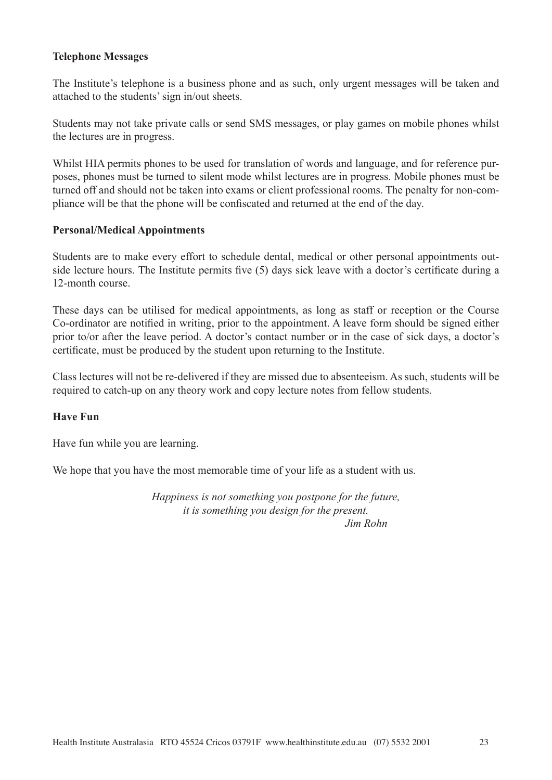## **Telephone Messages**

The Institute's telephone is a business phone and as such, only urgent messages will be taken and attached to the students' sign in/out sheets.

Students may not take private calls or send SMS messages, or play games on mobile phones whilst the lectures are in progress.

Whilst HIA permits phones to be used for translation of words and language, and for reference purposes, phones must be turned to silent mode whilst lectures are in progress. Mobile phones must be turned off and should not be taken into exams or client professional rooms. The penalty for non-compliance will be that the phone will be confiscated and returned at the end of the day.

#### **Personal/Medical Appointments**

Students are to make every effort to schedule dental, medical or other personal appointments outside lecture hours. The Institute permits five (5) days sick leave with a doctor's certificate during a 12-month course.

These days can be utilised for medical appointments, as long as staff or reception or the Course Co-ordinator are notified in writing, prior to the appointment. A leave form should be signed either prior to/or after the leave period. A doctor's contact number or in the case of sick days, a doctor's certificate, must be produced by the student upon returning to the Institute.

Class lectures will not be re-delivered if they are missed due to absenteeism. As such, students will be required to catch-up on any theory work and copy lecture notes from fellow students.

## **Have Fun**

Have fun while you are learning.

We hope that you have the most memorable time of your life as a student with us.

*Happiness is not something you postpone for the future, it is something you design for the present. Jim Rohn*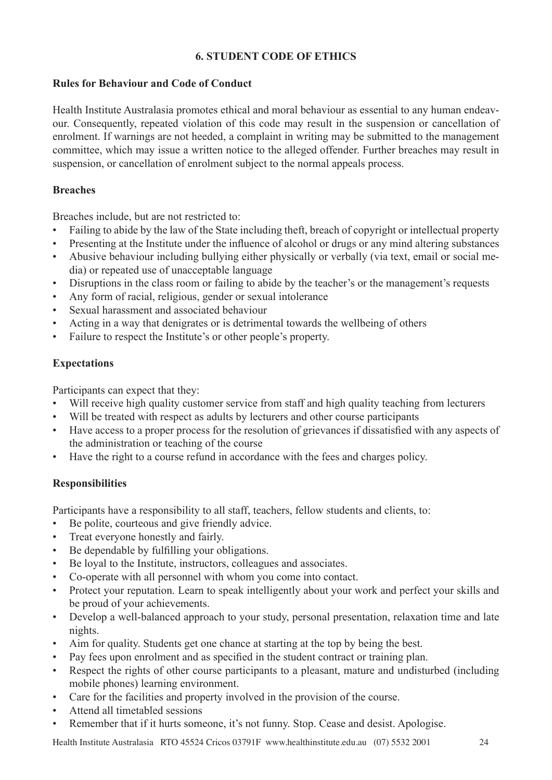# **6. STUDENT CODE OF ETHICS**

## **Rules for Behaviour and Code of Conduct**

Health Institute Australasia promotes ethical and moral behaviour as essential to any human endeavour. Consequently, repeated violation of this code may result in the suspension or cancellation of enrolment. If warnings are not heeded, a complaint in writing may be submitted to the management committee, which may issue a written notice to the alleged offender. Further breaches may result in suspension, or cancellation of enrolment subject to the normal appeals process.

# **Breaches**

Breaches include, but are not restricted to:

- Failing to abide by the law of the State including theft, breach of copyright or intellectual property
- Presenting at the Institute under the influence of alcohol or drugs or any mind altering substances
- Abusive behaviour including bullying either physically or verbally (via text, email or social media) or repeated use of unacceptable language
- Disruptions in the class room or failing to abide by the teacher's or the management's requests
- Any form of racial, religious, gender or sexual intolerance
- Sexual harassment and associated behaviour
- Acting in a way that denigrates or is detrimental towards the wellbeing of others
- Failure to respect the Institute's or other people's property.

# **Expectations**

Participants can expect that they:

- Will receive high quality customer service from staff and high quality teaching from lecturers
- Will be treated with respect as adults by lecturers and other course participants
- Have access to a proper process for the resolution of grievances if dissatisfied with any aspects of the administration or teaching of the course
- Have the right to a course refund in accordance with the fees and charges policy.

# **Responsibilities**

Participants have a responsibility to all staff, teachers, fellow students and clients, to:

- Be polite, courteous and give friendly advice.
- Treat everyone honestly and fairly.
- Be dependable by fulfilling your obligations.
- Be loyal to the Institute, instructors, colleagues and associates.
- Co-operate with all personnel with whom you come into contact.
- Protect your reputation. Learn to speak intelligently about your work and perfect your skills and be proud of your achievements.
- Develop a well-balanced approach to your study, personal presentation, relaxation time and late nights.
- Aim for quality. Students get one chance at starting at the top by being the best.
- Pay fees upon enrolment and as specified in the student contract or training plan.
- Respect the rights of other course participants to a pleasant, mature and undisturbed (including mobile phones) learning environment.
- Care for the facilities and property involved in the provision of the course.
- Attend all timetabled sessions
- Remember that if it hurts someone, it's not funny. Stop. Cease and desist. Apologise.

Health Institute Australasia RTO 45524 Cricos 03791F www.healthinstitute.edu.au (07) 5532 2001 24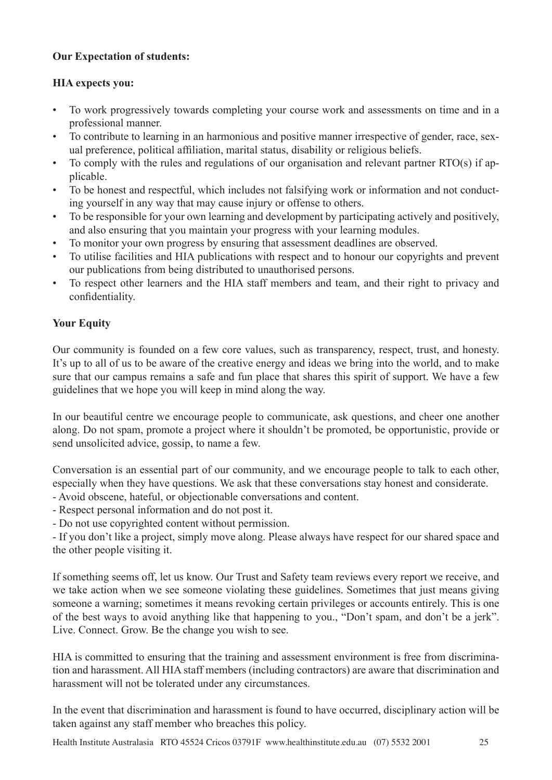# **Our Expectation of students:**

# **HIA expects you:**

- To work progressively towards completing your course work and assessments on time and in a professional manner.
- To contribute to learning in an harmonious and positive manner irrespective of gender, race, sexual preference, political affiliation, marital status, disability or religious beliefs.
- To comply with the rules and regulations of our organisation and relevant partner RTO(s) if applicable.
- To be honest and respectful, which includes not falsifying work or information and not conducting yourself in any way that may cause injury or offense to others.
- To be responsible for your own learning and development by participating actively and positively, and also ensuring that you maintain your progress with your learning modules.
- To monitor your own progress by ensuring that assessment deadlines are observed.
- To utilise facilities and HIA publications with respect and to honour our copyrights and prevent our publications from being distributed to unauthorised persons.
- To respect other learners and the HIA staff members and team, and their right to privacy and confidentiality.

# **Your Equity**

Our community is founded on a few core values, such as transparency, respect, trust, and honesty. It's up to all of us to be aware of the creative energy and ideas we bring into the world, and to make sure that our campus remains a safe and fun place that shares this spirit of support. We have a few guidelines that we hope you will keep in mind along the way.

In our beautiful centre we encourage people to communicate, ask questions, and cheer one another along. Do not spam, promote a project where it shouldn't be promoted, be opportunistic, provide or send unsolicited advice, gossip, to name a few.

Conversation is an essential part of our community, and we encourage people to talk to each other, especially when they have questions. We ask that these conversations stay honest and considerate.

- Avoid obscene, hateful, or objectionable conversations and content.
- Respect personal information and do not post it.
- Do not use copyrighted content without permission.

- If you don't like a project, simply move along. Please always have respect for our shared space and the other people visiting it.

If something seems off, let us know. Our Trust and Safety team reviews every report we receive, and we take action when we see someone violating these guidelines. Sometimes that just means giving someone a warning; sometimes it means revoking certain privileges or accounts entirely. This is one of the best ways to avoid anything like that happening to you., "Don't spam, and don't be a jerk". Live. Connect. Grow. Be the change you wish to see.

HIA is committed to ensuring that the training and assessment environment is free from discrimination and harassment. All HIA staff members (including contractors) are aware that discrimination and harassment will not be tolerated under any circumstances.

In the event that discrimination and harassment is found to have occurred, disciplinary action will be taken against any staff member who breaches this policy.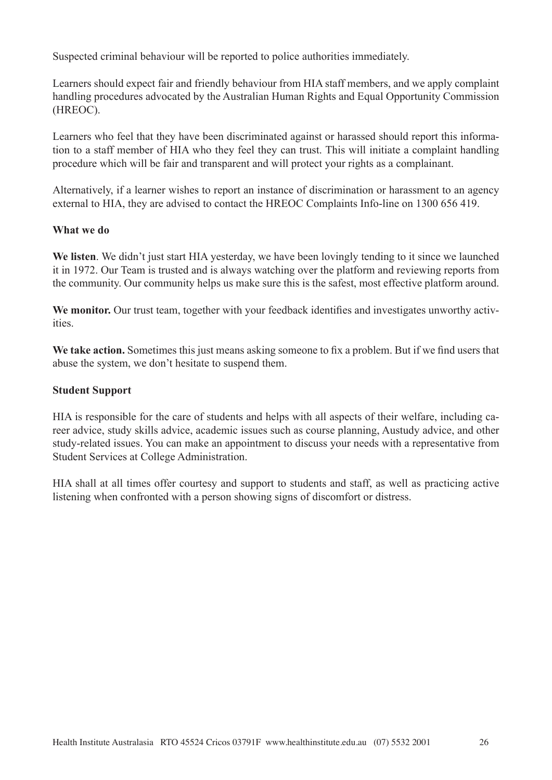Suspected criminal behaviour will be reported to police authorities immediately.

Learners should expect fair and friendly behaviour from HIA staff members, and we apply complaint handling procedures advocated by the Australian Human Rights and Equal Opportunity Commission (HREOC).

Learners who feel that they have been discriminated against or harassed should report this information to a staff member of HIA who they feel they can trust. This will initiate a complaint handling procedure which will be fair and transparent and will protect your rights as a complainant.

Alternatively, if a learner wishes to report an instance of discrimination or harassment to an agency external to HIA, they are advised to contact the HREOC Complaints Info-line on 1300 656 419.

#### **What we do**

**We listen**. We didn't just start HIA yesterday, we have been lovingly tending to it since we launched it in 1972. Our Team is trusted and is always watching over the platform and reviewing reports from the community. Our community helps us make sure this is the safest, most effective platform around.

We monitor. Our trust team, together with your feedback identifies and investigates unworthy activities.

**We take action.** Sometimes this just means asking someone to fix a problem. But if we find users that abuse the system, we don't hesitate to suspend them.

#### **Student Support**

HIA is responsible for the care of students and helps with all aspects of their welfare, including career advice, study skills advice, academic issues such as course planning, Austudy advice, and other study-related issues. You can make an appointment to discuss your needs with a representative from Student Services at College Administration.

HIA shall at all times offer courtesy and support to students and staff, as well as practicing active listening when confronted with a person showing signs of discomfort or distress.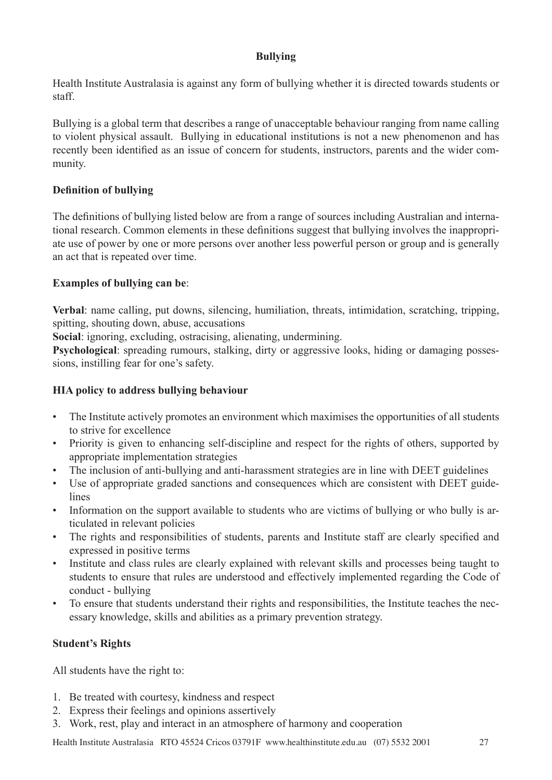# **Bullying**

Health Institute Australasia is against any form of bullying whether it is directed towards students or staff.

Bullying is a global term that describes a range of unacceptable behaviour ranging from name calling to violent physical assault. Bullying in educational institutions is not a new phenomenon and has recently been identified as an issue of concern for students, instructors, parents and the wider community.

# **Definition of bullying**

The definitions of bullying listed below are from a range of sources including Australian and international research. Common elements in these definitions suggest that bullying involves the inappropriate use of power by one or more persons over another less powerful person or group and is generally an act that is repeated over time.

# **Examples of bullying can be**:

**Verbal**: name calling, put downs, silencing, humiliation, threats, intimidation, scratching, tripping, spitting, shouting down, abuse, accusations

**Social**: ignoring, excluding, ostracising, alienating, undermining.

**Psychological**: spreading rumours, stalking, dirty or aggressive looks, hiding or damaging possessions, instilling fear for one's safety.

# **HIA policy to address bullying behaviour**

- The Institute actively promotes an environment which maximises the opportunities of all students to strive for excellence
- Priority is given to enhancing self-discipline and respect for the rights of others, supported by appropriate implementation strategies
- The inclusion of anti-bullying and anti-harassment strategies are in line with DEET guidelines
- Use of appropriate graded sanctions and consequences which are consistent with DEET guidelines
- Information on the support available to students who are victims of bullying or who bully is articulated in relevant policies
- The rights and responsibilities of students, parents and Institute staff are clearly specified and expressed in positive terms
- Institute and class rules are clearly explained with relevant skills and processes being taught to students to ensure that rules are understood and effectively implemented regarding the Code of conduct - bullying
- To ensure that students understand their rights and responsibilities, the Institute teaches the necessary knowledge, skills and abilities as a primary prevention strategy.

# **Student's Rights**

All students have the right to:

- 1. Be treated with courtesy, kindness and respect
- 2. Express their feelings and opinions assertively
- 3. Work, rest, play and interact in an atmosphere of harmony and cooperation

Health Institute Australasia RTO 45524 Cricos 03791F www.healthinstitute.edu.au (07) 5532 2001 27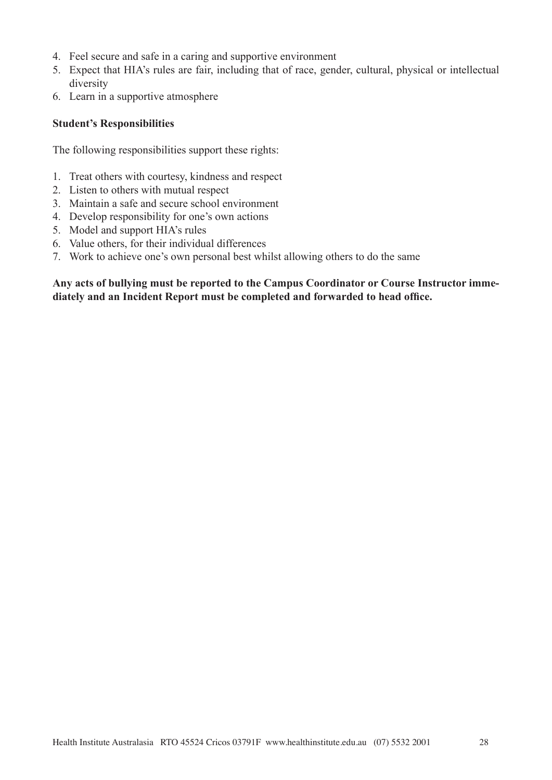- 4. Feel secure and safe in a caring and supportive environment
- 5. Expect that HIA's rules are fair, including that of race, gender, cultural, physical or intellectual diversity
- 6. Learn in a supportive atmosphere

#### **Student's Responsibilities**

The following responsibilities support these rights:

- 1. Treat others with courtesy, kindness and respect
- 2. Listen to others with mutual respect
- 3. Maintain a safe and secure school environment
- 4. Develop responsibility for one's own actions
- 5. Model and support HIA's rules
- 6. Value others, for their individual differences
- 7. Work to achieve one's own personal best whilst allowing others to do the same

#### **Any acts of bullying must be reported to the Campus Coordinator or Course Instructor immediately and an Incident Report must be completed and forwarded to head office.**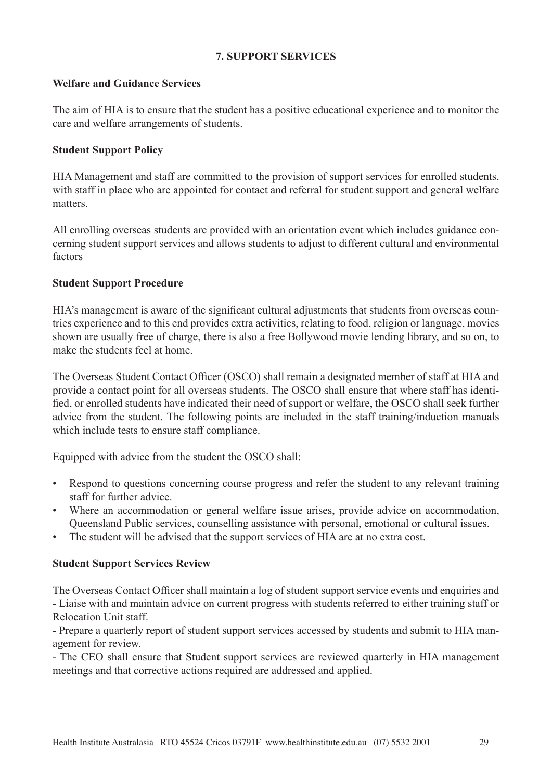#### **7. SUPPORT SERVICES**

#### **Welfare and Guidance Services**

The aim of HIA is to ensure that the student has a positive educational experience and to monitor the care and welfare arrangements of students.

## **Student Support Policy**

HIA Management and staff are committed to the provision of support services for enrolled students, with staff in place who are appointed for contact and referral for student support and general welfare matters.

All enrolling overseas students are provided with an orientation event which includes guidance concerning student support services and allows students to adjust to different cultural and environmental factors

## **Student Support Procedure**

HIA's management is aware of the significant cultural adjustments that students from overseas countries experience and to this end provides extra activities, relating to food, religion or language, movies shown are usually free of charge, there is also a free Bollywood movie lending library, and so on, to make the students feel at home.

The Overseas Student Contact Officer (OSCO) shall remain a designated member of staff at HIA and provide a contact point for all overseas students. The OSCO shall ensure that where staff has identified, or enrolled students have indicated their need of support or welfare, the OSCO shall seek further advice from the student. The following points are included in the staff training/induction manuals which include tests to ensure staff compliance.

Equipped with advice from the student the OSCO shall:

- Respond to questions concerning course progress and refer the student to any relevant training staff for further advice.
- Where an accommodation or general welfare issue arises, provide advice on accommodation, Queensland Public services, counselling assistance with personal, emotional or cultural issues.
- The student will be advised that the support services of HIA are at no extra cost.

## **Student Support Services Review**

The Overseas Contact Officer shall maintain a log of student support service events and enquiries and - Liaise with and maintain advice on current progress with students referred to either training staff or Relocation Unit staff.

- Prepare a quarterly report of student support services accessed by students and submit to HIA management for review.

- The CEO shall ensure that Student support services are reviewed quarterly in HIA management meetings and that corrective actions required are addressed and applied.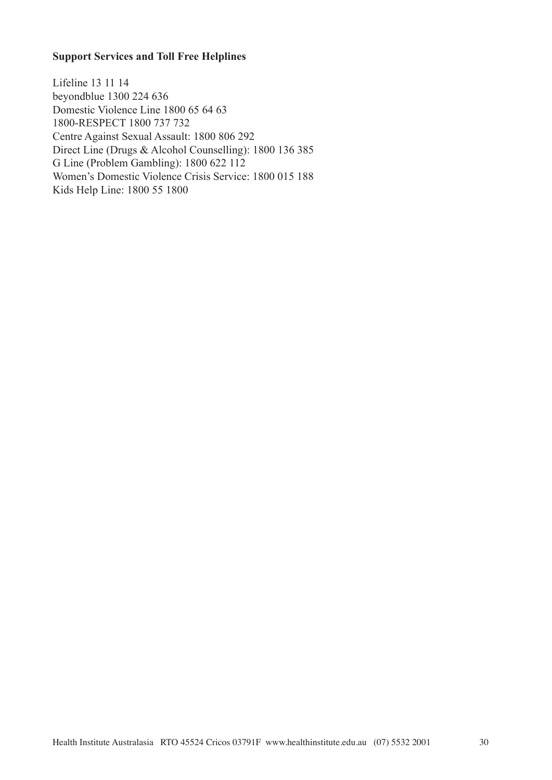#### **Support Services and Toll Free Helplines**

Lifeline 13 11 14 beyondblue 1300 224 636 Domestic Violence Line 1800 65 64 63 1800-RESPECT 1800 737 732 Centre Against Sexual Assault: 1800 806 292 Direct Line (Drugs & Alcohol Counselling): 1800 136 385 G Line (Problem Gambling): 1800 622 112 Women's Domestic Violence Crisis Service: 1800 015 188 Kids Help Line: 1800 55 1800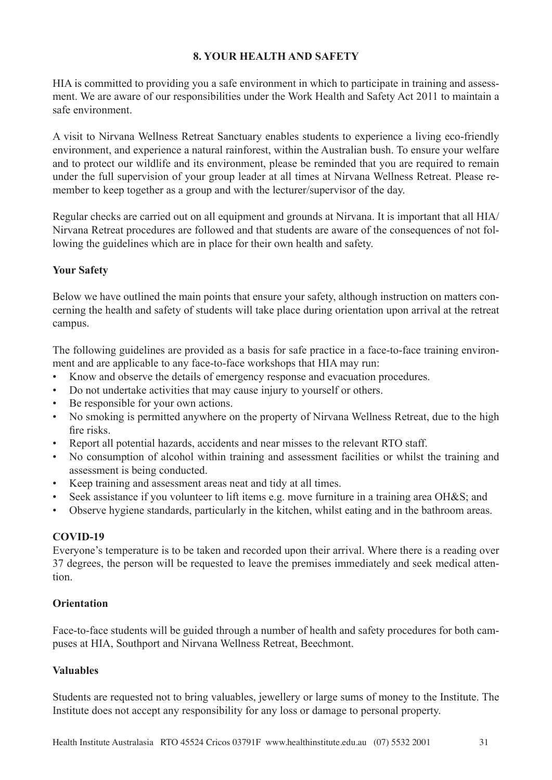## **8. YOUR HEALTH AND SAFETY**

HIA is committed to providing you a safe environment in which to participate in training and assessment. We are aware of our responsibilities under the Work Health and Safety Act 2011 to maintain a safe environment.

A visit to Nirvana Wellness Retreat Sanctuary enables students to experience a living eco-friendly environment, and experience a natural rainforest, within the Australian bush. To ensure your welfare and to protect our wildlife and its environment, please be reminded that you are required to remain under the full supervision of your group leader at all times at Nirvana Wellness Retreat. Please remember to keep together as a group and with the lecturer/supervisor of the day.

Regular checks are carried out on all equipment and grounds at Nirvana. It is important that all HIA/ Nirvana Retreat procedures are followed and that students are aware of the consequences of not following the guidelines which are in place for their own health and safety.

# **Your Safety**

Below we have outlined the main points that ensure your safety, although instruction on matters concerning the health and safety of students will take place during orientation upon arrival at the retreat campus.

The following guidelines are provided as a basis for safe practice in a face-to-face training environment and are applicable to any face-to-face workshops that HIA may run:

- Know and observe the details of emergency response and evacuation procedures.
- Do not undertake activities that may cause injury to yourself or others.
- Be responsible for your own actions.
- No smoking is permitted anywhere on the property of Nirvana Wellness Retreat, due to the high fire risks.
- Report all potential hazards, accidents and near misses to the relevant RTO staff.
- No consumption of alcohol within training and assessment facilities or whilst the training and assessment is being conducted.
- Keep training and assessment areas neat and tidy at all times.
- Seek assistance if you volunteer to lift items e.g. move furniture in a training area OH&S; and
- Observe hygiene standards, particularly in the kitchen, whilst eating and in the bathroom areas.

## **COVID-19**

Everyone's temperature is to be taken and recorded upon their arrival. Where there is a reading over 37 degrees, the person will be requested to leave the premises immediately and seek medical attention.

## **Orientation**

Face-to-face students will be guided through a number of health and safety procedures for both campuses at HIA, Southport and Nirvana Wellness Retreat, Beechmont.

## **Valuables**

Students are requested not to bring valuables, jewellery or large sums of money to the Institute. The Institute does not accept any responsibility for any loss or damage to personal property.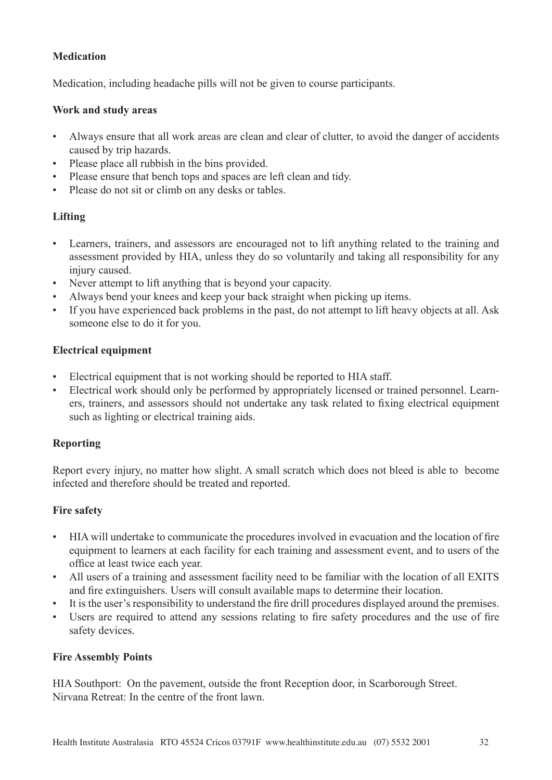# **Medication**

Medication, including headache pills will not be given to course participants.

## **Work and study areas**

- Always ensure that all work areas are clean and clear of clutter, to avoid the danger of accidents caused by trip hazards.
- Please place all rubbish in the bins provided.
- Please ensure that bench tops and spaces are left clean and tidy.
- Please do not sit or climb on any desks or tables.

# **Lifting**

- Learners, trainers, and assessors are encouraged not to lift anything related to the training and assessment provided by HIA, unless they do so voluntarily and taking all responsibility for any injury caused.
- Never attempt to lift anything that is beyond your capacity.
- Always bend your knees and keep your back straight when picking up items.
- If you have experienced back problems in the past, do not attempt to lift heavy objects at all. Ask someone else to do it for you.

# **Electrical equipment**

- Electrical equipment that is not working should be reported to HIA staff.
- Electrical work should only be performed by appropriately licensed or trained personnel. Learners, trainers, and assessors should not undertake any task related to fixing electrical equipment such as lighting or electrical training aids.

# **Reporting**

Report every injury, no matter how slight. A small scratch which does not bleed is able to become infected and therefore should be treated and reported.

## **Fire safety**

- HIA will undertake to communicate the procedures involved in evacuation and the location of fire equipment to learners at each facility for each training and assessment event, and to users of the office at least twice each year.
- All users of a training and assessment facility need to be familiar with the location of all EXITS and fire extinguishers. Users will consult available maps to determine their location.
- It is the user's responsibility to understand the fire drill procedures displayed around the premises.
- Users are required to attend any sessions relating to fire safety procedures and the use of fire safety devices.

## **Fire Assembly Points**

HIA Southport: On the pavement, outside the front Reception door, in Scarborough Street. Nirvana Retreat: In the centre of the front lawn.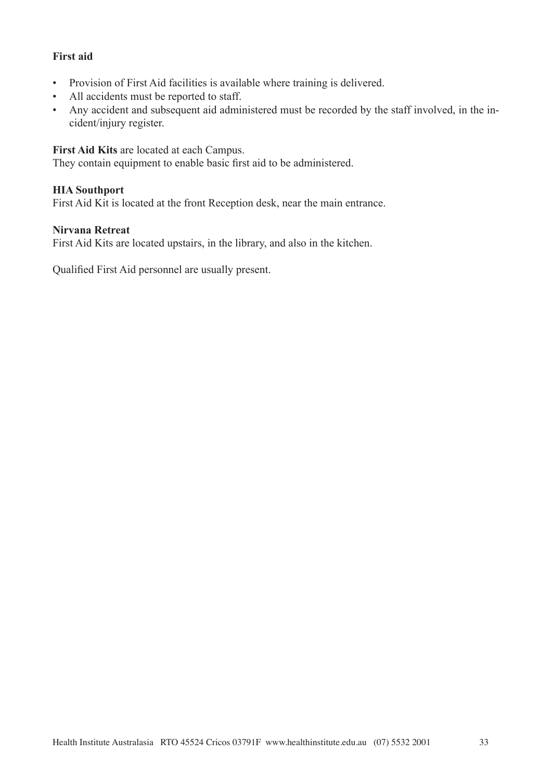## **First aid**

- Provision of First Aid facilities is available where training is delivered.
- All accidents must be reported to staff.
- Any accident and subsequent aid administered must be recorded by the staff involved, in the incident/injury register.

## **First Aid Kits** are located at each Campus.

They contain equipment to enable basic first aid to be administered.

## **HIA Southport**

First Aid Kit is located at the front Reception desk, near the main entrance.

#### **Nirvana Retreat**

First Aid Kits are located upstairs, in the library, and also in the kitchen.

Qualified First Aid personnel are usually present.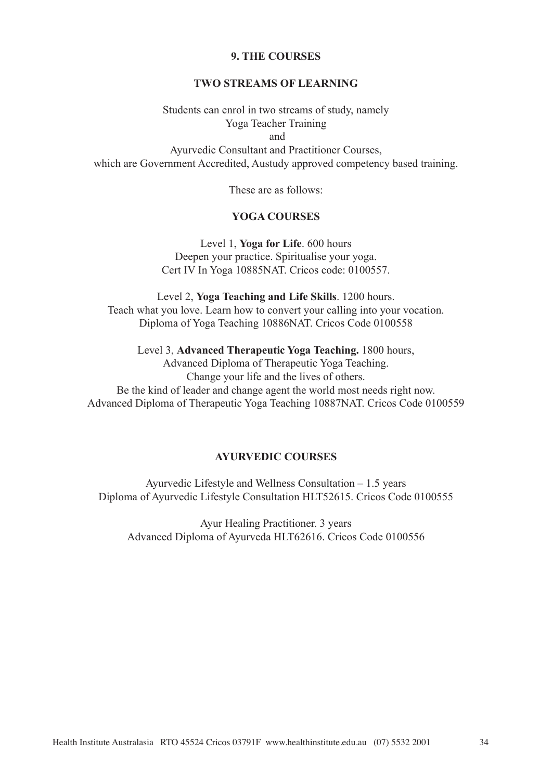#### **9. THE COURSES**

#### **TWO STREAMS OF LEARNING**

Students can enrol in two streams of study, namely Yoga Teacher Training and

Ayurvedic Consultant and Practitioner Courses, which are Government Accredited, Austudy approved competency based training.

These are as follows:

#### **YOGA COURSES**

Level 1, **Yoga for Life**. 600 hours Deepen your practice. Spiritualise your yoga. Cert IV In Yoga 10885NAT. Cricos code: 0100557.

Level 2, **Yoga Teaching and Life Skills**. 1200 hours. Teach what you love. Learn how to convert your calling into your vocation. Diploma of Yoga Teaching 10886NAT. Cricos Code 0100558

Level 3, **Advanced Therapeutic Yoga Teaching.** 1800 hours, Advanced Diploma of Therapeutic Yoga Teaching. Change your life and the lives of others. Be the kind of leader and change agent the world most needs right now. Advanced Diploma of Therapeutic Yoga Teaching 10887NAT. Cricos Code 0100559

#### **AYURVEDIC COURSES**

Ayurvedic Lifestyle and Wellness Consultation – 1.5 years Diploma of Ayurvedic Lifestyle Consultation HLT52615. Cricos Code 0100555

Ayur Healing Practitioner. 3 years Advanced Diploma of Ayurveda HLT62616. Cricos Code 0100556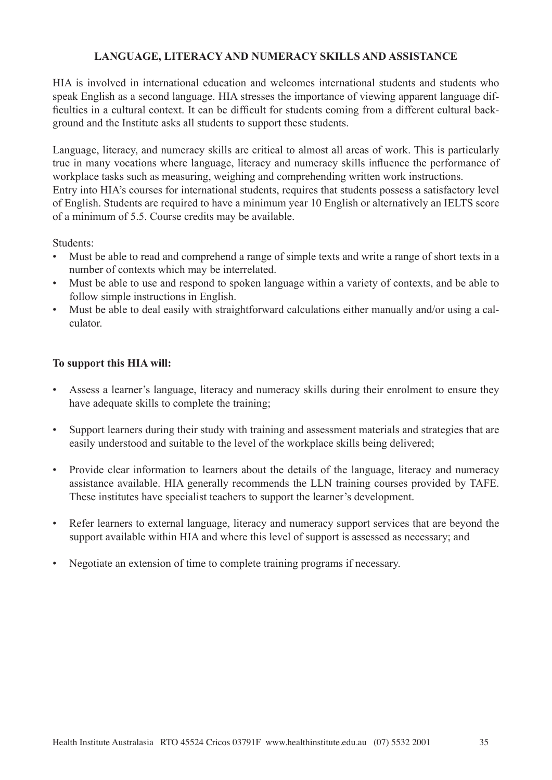# **LANGUAGE, LITERACY AND NUMERACY SKILLS AND ASSISTANCE**

HIA is involved in international education and welcomes international students and students who speak English as a second language. HIA stresses the importance of viewing apparent language difficulties in a cultural context. It can be difficult for students coming from a different cultural background and the Institute asks all students to support these students.

Language, literacy, and numeracy skills are critical to almost all areas of work. This is particularly true in many vocations where language, literacy and numeracy skills influence the performance of workplace tasks such as measuring, weighing and comprehending written work instructions. Entry into HIA's courses for international students, requires that students possess a satisfactory level of English. Students are required to have a minimum year 10 English or alternatively an IELTS score of a minimum of 5.5. Course credits may be available.

#### Students:

- Must be able to read and comprehend a range of simple texts and write a range of short texts in a number of contexts which may be interrelated.
- Must be able to use and respond to spoken language within a variety of contexts, and be able to follow simple instructions in English.
- Must be able to deal easily with straightforward calculations either manually and/or using a calculator.

#### **To support this HIA will:**

- Assess a learner's language, literacy and numeracy skills during their enrolment to ensure they have adequate skills to complete the training;
- Support learners during their study with training and assessment materials and strategies that are easily understood and suitable to the level of the workplace skills being delivered;
- Provide clear information to learners about the details of the language, literacy and numeracy assistance available. HIA generally recommends the LLN training courses provided by TAFE. These institutes have specialist teachers to support the learner's development.
- Refer learners to external language, literacy and numeracy support services that are beyond the support available within HIA and where this level of support is assessed as necessary; and
- Negotiate an extension of time to complete training programs if necessary.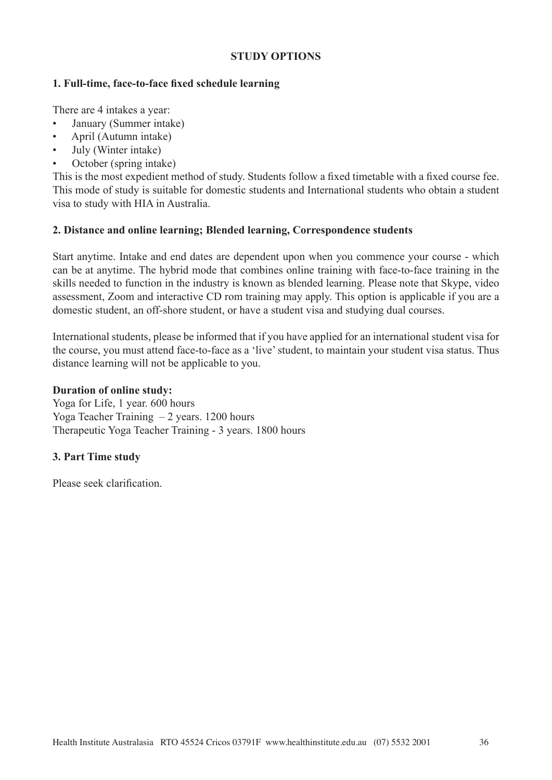#### **STUDY OPTIONS**

#### **1. Full-time, face-to-face fixed schedule learning**

There are 4 intakes a year:

- January (Summer intake)
- April (Autumn intake)
- July (Winter intake)
- October (spring intake)

This is the most expedient method of study. Students follow a fixed timetable with a fixed course fee. This mode of study is suitable for domestic students and International students who obtain a student visa to study with HIA in Australia.

## **2. Distance and online learning; Blended learning, Correspondence students**

Start anytime. Intake and end dates are dependent upon when you commence your course - which can be at anytime. The hybrid mode that combines online training with face-to-face training in the skills needed to function in the industry is known as blended learning. Please note that Skype, video assessment, Zoom and interactive CD rom training may apply. This option is applicable if you are a domestic student, an off-shore student, or have a student visa and studying dual courses.

International students, please be informed that if you have applied for an international student visa for the course, you must attend face-to-face as a 'live' student, to maintain your student visa status. Thus distance learning will not be applicable to you.

#### **Duration of online study:**

Yoga for Life, 1 year. 600 hours Yoga Teacher Training – 2 years. 1200 hours Therapeutic Yoga Teacher Training - 3 years. 1800 hours

## **3. Part Time study**

Please seek clarification.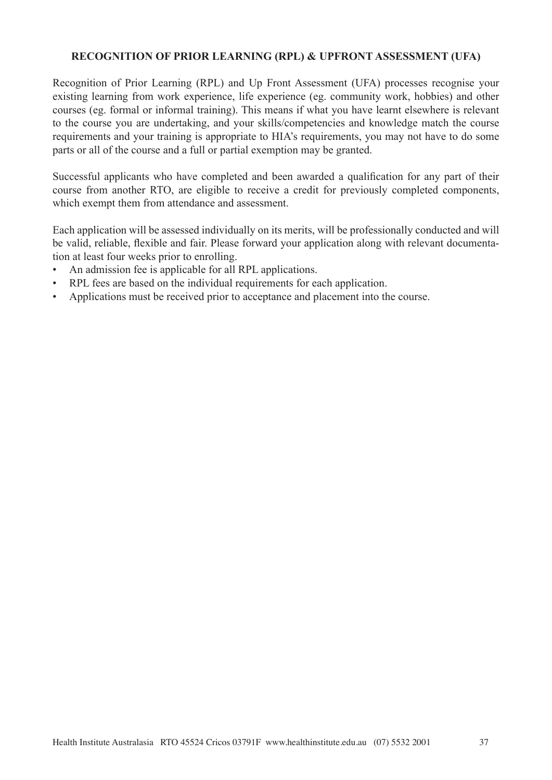# **RECOGNITION OF PRIOR LEARNING (RPL) & UPFRONT ASSESSMENT (UFA)**

Recognition of Prior Learning (RPL) and Up Front Assessment (UFA) processes recognise your existing learning from work experience, life experience (eg. community work, hobbies) and other courses (eg. formal or informal training). This means if what you have learnt elsewhere is relevant to the course you are undertaking, and your skills/competencies and knowledge match the course requirements and your training is appropriate to HIA's requirements, you may not have to do some parts or all of the course and a full or partial exemption may be granted.

Successful applicants who have completed and been awarded a qualification for any part of their course from another RTO, are eligible to receive a credit for previously completed components, which exempt them from attendance and assessment.

Each application will be assessed individually on its merits, will be professionally conducted and will be valid, reliable, flexible and fair. Please forward your application along with relevant documentation at least four weeks prior to enrolling.

- An admission fee is applicable for all RPL applications.
- RPL fees are based on the individual requirements for each application.
- Applications must be received prior to acceptance and placement into the course.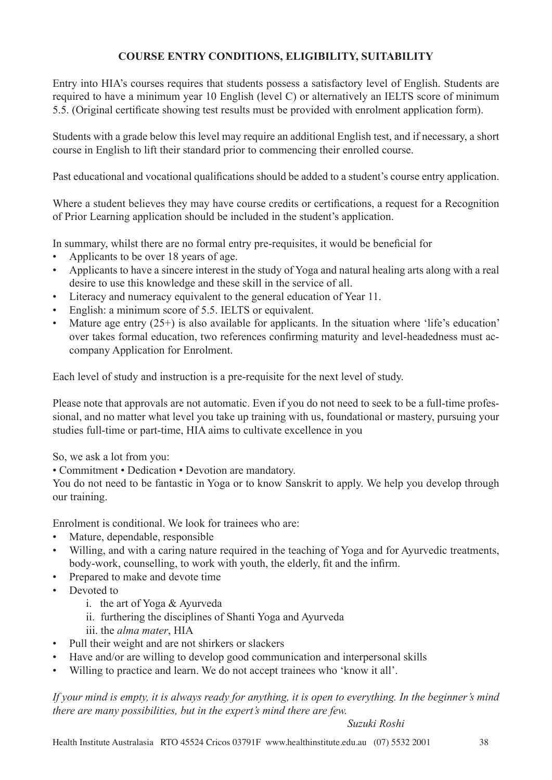# **COURSE ENTRY CONDITIONS, ELIGIBILITY, SUITABILITY**

Entry into HIA's courses requires that students possess a satisfactory level of English. Students are required to have a minimum year 10 English (level C) or alternatively an IELTS score of minimum 5.5. (Original certificate showing test results must be provided with enrolment application form).

Students with a grade below this level may require an additional English test, and if necessary, a short course in English to lift their standard prior to commencing their enrolled course.

Past educational and vocational qualifications should be added to a student's course entry application.

Where a student believes they may have course credits or certifications, a request for a Recognition of Prior Learning application should be included in the student's application.

In summary, whilst there are no formal entry pre-requisites, it would be beneficial for

- Applicants to be over 18 years of age.
- Applicants to have a sincere interest in the study of Yoga and natural healing arts along with a real desire to use this knowledge and these skill in the service of all.
- Literacy and numeracy equivalent to the general education of Year 11.
- English: a minimum score of 5.5. IELTS or equivalent.
- Mature age entry  $(25+)$  is also available for applicants. In the situation where 'life's education' over takes formal education, two references confirming maturity and level-headedness must accompany Application for Enrolment.

Each level of study and instruction is a pre-requisite for the next level of study.

Please note that approvals are not automatic. Even if you do not need to seek to be a full-time professional, and no matter what level you take up training with us, foundational or mastery, pursuing your studies full-time or part-time, HIA aims to cultivate excellence in you

So, we ask a lot from you:

• Commitment • Dedication • Devotion are mandatory.

You do not need to be fantastic in Yoga or to know Sanskrit to apply. We help you develop through our training.

Enrolment is conditional. We look for trainees who are:

- Mature, dependable, responsible
- Willing, and with a caring nature required in the teaching of Yoga and for Ayurvedic treatments, body-work, counselling, to work with youth, the elderly, fit and the infirm.
- Prepared to make and devote time
- Devoted to
	- i. the art of Yoga & Ayurveda
	- ii. furthering the disciplines of Shanti Yoga and Ayurveda
	- iii. the *alma mater*, HIA
- Pull their weight and are not shirkers or slackers
- Have and/or are willing to develop good communication and interpersonal skills
- Willing to practice and learn. We do not accept trainees who 'know it all'.

*If your mind is empty, it is always ready for anything, it is open to everything. In the beginner's mind there are many possibilities, but in the expert's mind there are few.*

#### *Suzuki Roshi*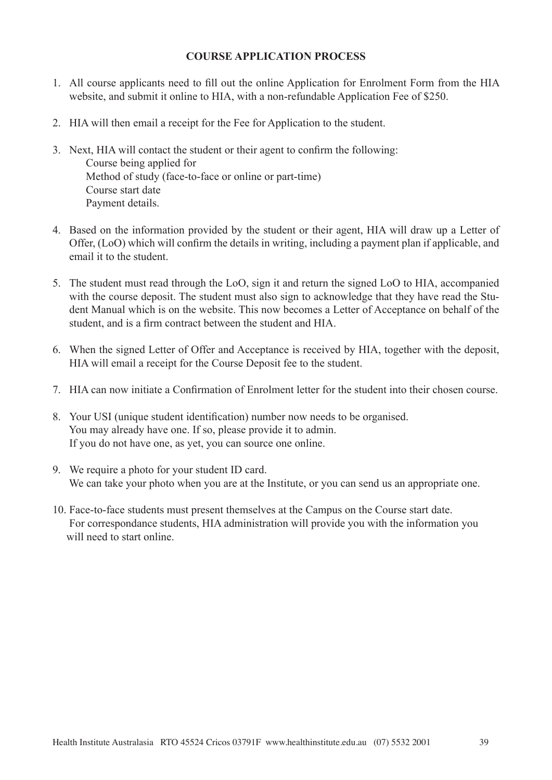## **COURSE APPLICATION PROCESS**

- 1. All course applicants need to fill out the online Application for Enrolment Form from the HIA website, and submit it online to HIA, with a non-refundable Application Fee of \$250.
- 2. HIA will then email a receipt for the Fee for Application to the student.
- 3. Next, HIA will contact the student or their agent to confirm the following: Course being applied for Method of study (face-to-face or online or part-time) Course start date Payment details.
- 4. Based on the information provided by the student or their agent, HIA will draw up a Letter of Offer, (LoO) which will confirm the details in writing, including a payment plan if applicable, and email it to the student.
- 5. The student must read through the LoO, sign it and return the signed LoO to HIA, accompanied with the course deposit. The student must also sign to acknowledge that they have read the Student Manual which is on the website. This now becomes a Letter of Acceptance on behalf of the student, and is a firm contract between the student and HIA.
- 6. When the signed Letter of Offer and Acceptance is received by HIA, together with the deposit, HIA will email a receipt for the Course Deposit fee to the student.
- 7. HIA can now initiate a Confirmation of Enrolment letter for the student into their chosen course.
- 8. Your USI (unique student identification) number now needs to be organised. You may already have one. If so, please provide it to admin. If you do not have one, as yet, you can source one online.
- 9. We require a photo for your student ID card. We can take your photo when you are at the Institute, or you can send us an appropriate one.
- 10. Face-to-face students must present themselves at the Campus on the Course start date. For correspondance students, HIA administration will provide you with the information you will need to start online.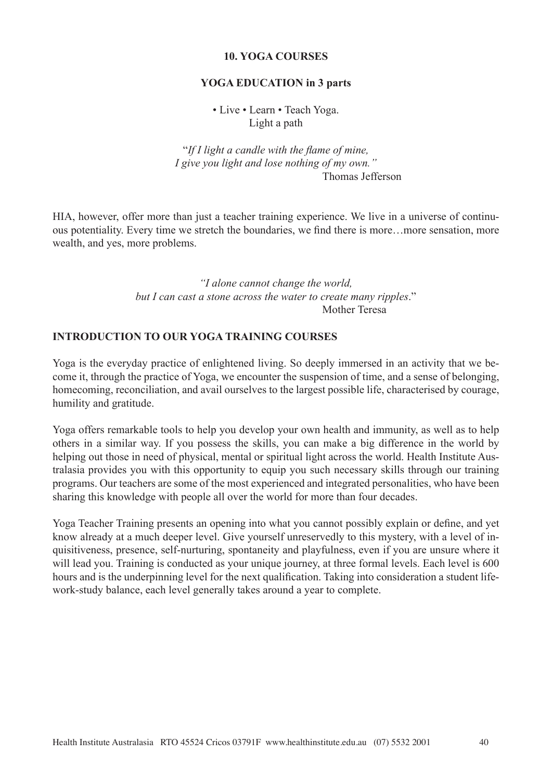## **10. YOGA COURSES**

#### **YOGA EDUCATION in 3 parts**

• Live • Learn • Teach Yoga. Light a path

"*If I light a candle with the flame of mine, I give you light and lose nothing of my own."* Thomas Jefferson

HIA, however, offer more than just a teacher training experience. We live in a universe of continuous potentiality. Every time we stretch the boundaries, we find there is more…more sensation, more wealth, and yes, more problems.

> *"I alone cannot change the world, but I can cast a stone across the water to create many ripples*." Mother Teresa

#### **INTRODUCTION TO OUR YOGA TRAINING COURSES**

Yoga is the everyday practice of enlightened living. So deeply immersed in an activity that we become it, through the practice of Yoga, we encounter the suspension of time, and a sense of belonging, homecoming, reconciliation, and avail ourselves to the largest possible life, characterised by courage, humility and gratitude.

Yoga offers remarkable tools to help you develop your own health and immunity, as well as to help others in a similar way. If you possess the skills, you can make a big difference in the world by helping out those in need of physical, mental or spiritual light across the world. Health Institute Australasia provides you with this opportunity to equip you such necessary skills through our training programs. Our teachers are some of the most experienced and integrated personalities, who have been sharing this knowledge with people all over the world for more than four decades.

Yoga Teacher Training presents an opening into what you cannot possibly explain or define, and yet know already at a much deeper level. Give yourself unreservedly to this mystery, with a level of inquisitiveness, presence, self-nurturing, spontaneity and playfulness, even if you are unsure where it will lead you. Training is conducted as your unique journey, at three formal levels. Each level is 600 hours and is the underpinning level for the next qualification. Taking into consideration a student lifework-study balance, each level generally takes around a year to complete.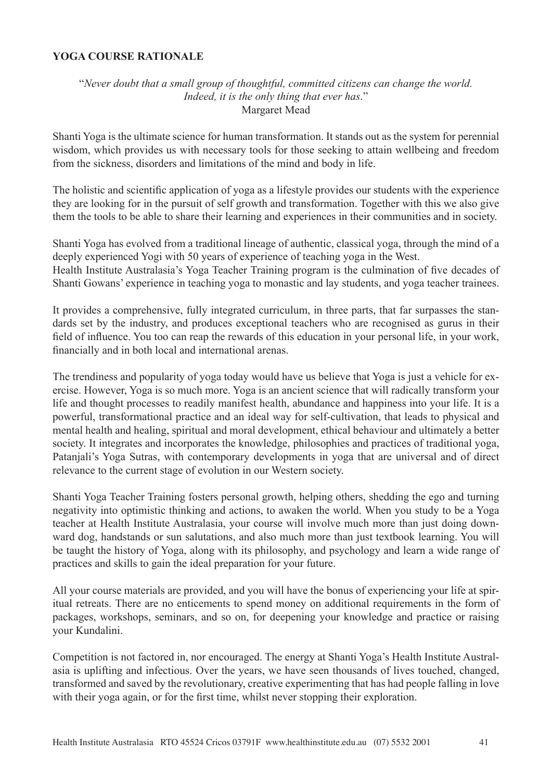## **YOGA COURSE RATIONALE**

# "*Never doubt that a small group of thoughtful, committed citizens can change the world. Indeed, it is the only thing that ever has*." Margaret Mead

Shanti Yoga is the ultimate science for human transformation. It stands out as the system for perennial wisdom, which provides us with necessary tools for those seeking to attain wellbeing and freedom from the sickness, disorders and limitations of the mind and body in life.

The holistic and scientific application of yoga as a lifestyle provides our students with the experience they are looking for in the pursuit of self growth and transformation. Together with this we also give them the tools to be able to share their learning and experiences in their communities and in society.

Shanti Yoga has evolved from a traditional lineage of authentic, classical yoga, through the mind of a deeply experienced Yogi with 50 years of experience of teaching yoga in the West. Health Institute Australasia's Yoga Teacher Training program is the culmination of five decades of Shanti Gowans' experience in teaching yoga to monastic and lay students, and yoga teacher trainees.

It provides a comprehensive, fully integrated curriculum, in three parts, that far surpasses the standards set by the industry, and produces exceptional teachers who are recognised as gurus in their field of influence. You too can reap the rewards of this education in your personal life, in your work, financially and in both local and international arenas.

The trendiness and popularity of yoga today would have us believe that Yoga is just a vehicle for exercise. However, Yoga is so much more. Yoga is an ancient science that will radically transform your life and thought processes to readily manifest health, abundance and happiness into your life. It is a powerful, transformational practice and an ideal way for self-cultivation, that leads to physical and mental health and healing, spiritual and moral development, ethical behaviour and ultimately a better society. It integrates and incorporates the knowledge, philosophies and practices of traditional yoga, Patanjali's Yoga Sutras, with contemporary developments in yoga that are universal and of direct relevance to the current stage of evolution in our Western society.

Shanti Yoga Teacher Training fosters personal growth, helping others, shedding the ego and turning negativity into optimistic thinking and actions, to awaken the world. When you study to be a Yoga teacher at Health Institute Australasia, your course will involve much more than just doing downward dog, handstands or sun salutations, and also much more than just textbook learning. You will be taught the history of Yoga, along with its philosophy, and psychology and learn a wide range of practices and skills to gain the ideal preparation for your future.

All your course materials are provided, and you will have the bonus of experiencing your life at spiritual retreats. There are no enticements to spend money on additional requirements in the form of packages, workshops, seminars, and so on, for deepening your knowledge and practice or raising your Kundalini.

Competition is not factored in, nor encouraged. The energy at Shanti Yoga's Health Institute Australasia is uplifting and infectious. Over the years, we have seen thousands of lives touched, changed, transformed and saved by the revolutionary, creative experimenting that has had people falling in love with their yoga again, or for the first time, whilst never stopping their exploration.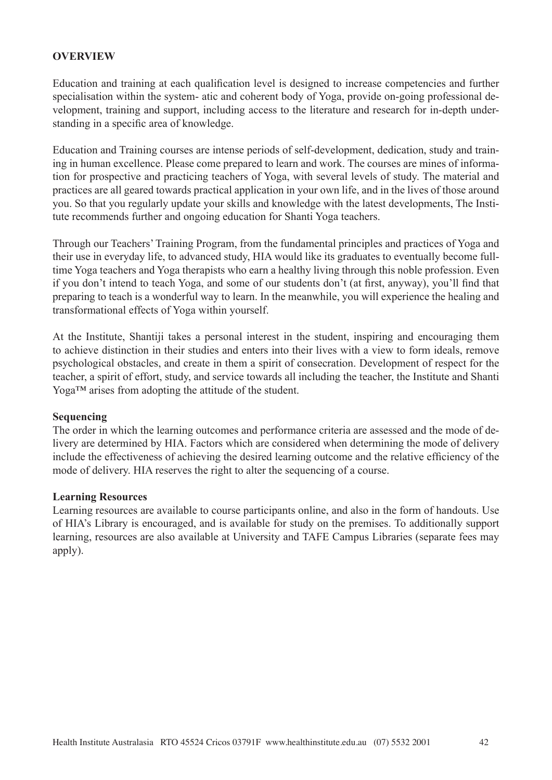## **OVERVIEW**

Education and training at each qualification level is designed to increase competencies and further specialisation within the system- atic and coherent body of Yoga, provide on-going professional development, training and support, including access to the literature and research for in-depth understanding in a specific area of knowledge.

Education and Training courses are intense periods of self-development, dedication, study and training in human excellence. Please come prepared to learn and work. The courses are mines of information for prospective and practicing teachers of Yoga, with several levels of study. The material and practices are all geared towards practical application in your own life, and in the lives of those around you. So that you regularly update your skills and knowledge with the latest developments, The Institute recommends further and ongoing education for Shanti Yoga teachers.

Through our Teachers' Training Program, from the fundamental principles and practices of Yoga and their use in everyday life, to advanced study, HIA would like its graduates to eventually become fulltime Yoga teachers and Yoga therapists who earn a healthy living through this noble profession. Even if you don't intend to teach Yoga, and some of our students don't (at first, anyway), you'll find that preparing to teach is a wonderful way to learn. In the meanwhile, you will experience the healing and transformational effects of Yoga within yourself.

At the Institute, Shantiji takes a personal interest in the student, inspiring and encouraging them to achieve distinction in their studies and enters into their lives with a view to form ideals, remove psychological obstacles, and create in them a spirit of consecration. Development of respect for the teacher, a spirit of effort, study, and service towards all including the teacher, the Institute and Shanti Yoga™ arises from adopting the attitude of the student.

#### **Sequencing**

The order in which the learning outcomes and performance criteria are assessed and the mode of delivery are determined by HIA. Factors which are considered when determining the mode of delivery include the effectiveness of achieving the desired learning outcome and the relative efficiency of the mode of delivery. HIA reserves the right to alter the sequencing of a course.

#### **Learning Resources**

Learning resources are available to course participants online, and also in the form of handouts. Use of HIA's Library is encouraged, and is available for study on the premises. To additionally support learning, resources are also available at University and TAFE Campus Libraries (separate fees may apply).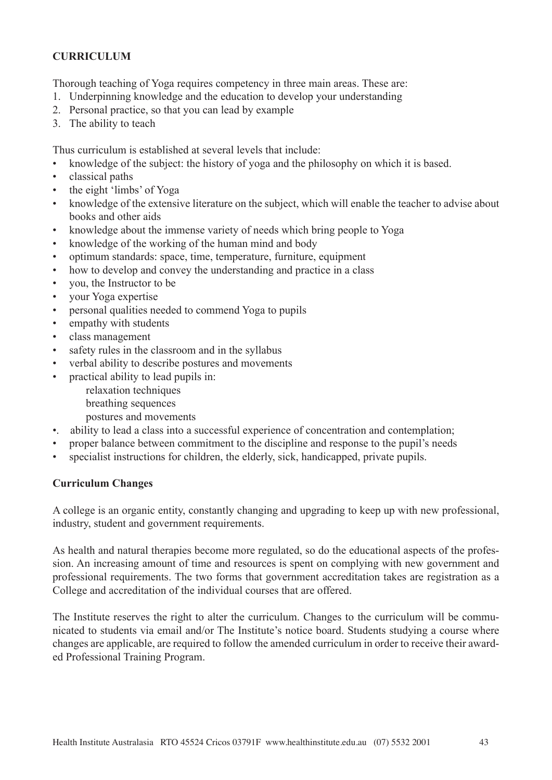# **CURRICULUM**

Thorough teaching of Yoga requires competency in three main areas. These are:

- 1. Underpinning knowledge and the education to develop your understanding
- 2. Personal practice, so that you can lead by example
- 3. The ability to teach

Thus curriculum is established at several levels that include:

- knowledge of the subject: the history of yoga and the philosophy on which it is based.
- classical paths
- the eight 'limbs' of Yoga
- knowledge of the extensive literature on the subject, which will enable the teacher to advise about books and other aids
- knowledge about the immense variety of needs which bring people to Yoga
- knowledge of the working of the human mind and body
- optimum standards: space, time, temperature, furniture, equipment
- how to develop and convey the understanding and practice in a class
- you, the Instructor to be
- your Yoga expertise
- personal qualities needed to commend Yoga to pupils
- empathy with students
- class management
- safety rules in the classroom and in the syllabus
- verbal ability to describe postures and movements
- practical ability to lead pupils in:
	- relaxation techniques
	- breathing sequences
	- postures and movements
- •. ability to lead a class into a successful experience of concentration and contemplation;
- proper balance between commitment to the discipline and response to the pupil's needs
- specialist instructions for children, the elderly, sick, handicapped, private pupils.

#### **Curriculum Changes**

A college is an organic entity, constantly changing and upgrading to keep up with new professional, industry, student and government requirements.

As health and natural therapies become more regulated, so do the educational aspects of the profession. An increasing amount of time and resources is spent on complying with new government and professional requirements. The two forms that government accreditation takes are registration as a College and accreditation of the individual courses that are offered.

The Institute reserves the right to alter the curriculum. Changes to the curriculum will be communicated to students via email and/or The Institute's notice board. Students studying a course where changes are applicable, are required to follow the amended curriculum in order to receive their awarded Professional Training Program.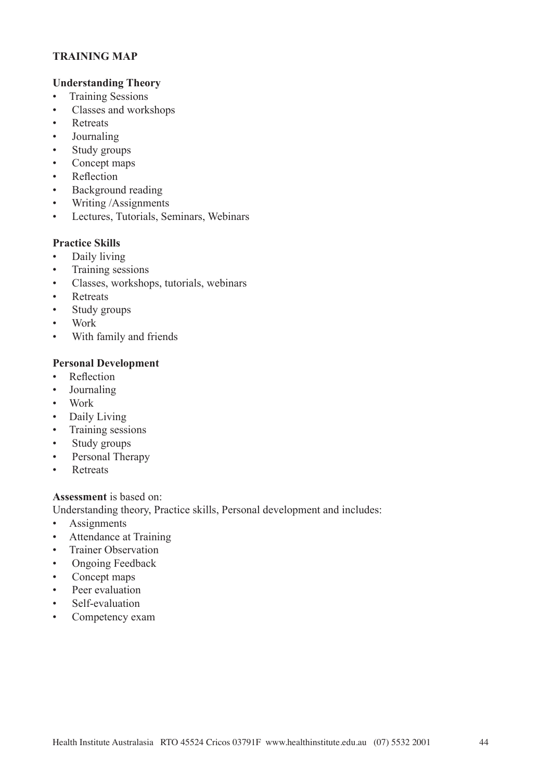# **TRAINING MAP**

## **Understanding Theory**

- Training Sessions
- Classes and workshops
- Retreats
- Journaling
- Study groups
- Concept maps
- Reflection
- Background reading
- Writing /Assignments
- Lectures, Tutorials, Seminars, Webinars

# **Practice Skills**

- Daily living
- Training sessions
- Classes, workshops, tutorials, webinars
- **Retreats**
- Study groups
- Work
- With family and friends

## **Personal Development**

- Reflection
- Journaling
- Work
- Daily Living
- Training sessions
- Study groups
- Personal Therapy
- Retreats

#### **Assessment** is based on:

Understanding theory, Practice skills, Personal development and includes:

- Assignments
- Attendance at Training
- Trainer Observation
- Ongoing Feedback
- Concept maps
- Peer evaluation
- Self-evaluation
- Competency exam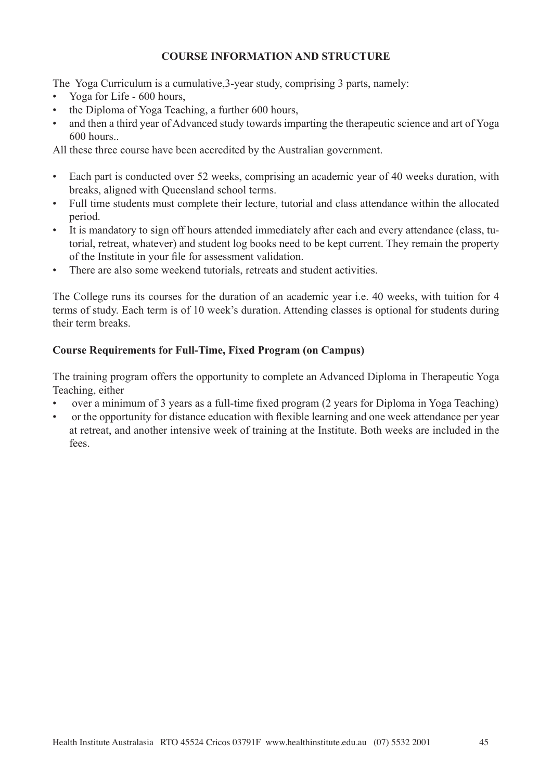# **COURSE INFORMATION AND STRUCTURE**

The Yoga Curriculum is a cumulative,3-year study, comprising 3 parts, namely:

- Yoga for Life 600 hours,
- the Diploma of Yoga Teaching, a further 600 hours,
- and then a third year of Advanced study towards imparting the therapeutic science and art of Yoga 600 hours..

All these three course have been accredited by the Australian government.

- Each part is conducted over 52 weeks, comprising an academic year of 40 weeks duration, with breaks, aligned with Queensland school terms.
- Full time students must complete their lecture, tutorial and class attendance within the allocated period.
- It is mandatory to sign off hours attended immediately after each and every attendance (class, tutorial, retreat, whatever) and student log books need to be kept current. They remain the property of the Institute in your file for assessment validation.
- There are also some weekend tutorials, retreats and student activities.

The College runs its courses for the duration of an academic year i.e. 40 weeks, with tuition for 4 terms of study. Each term is of 10 week's duration. Attending classes is optional for students during their term breaks.

# **Course Requirements for Full-Time, Fixed Program (on Campus)**

The training program offers the opportunity to complete an Advanced Diploma in Therapeutic Yoga Teaching, either

- over a minimum of 3 years as a full-time fixed program (2 years for Diploma in Yoga Teaching)
- or the opportunity for distance education with flexible learning and one week attendance per year at retreat, and another intensive week of training at the Institute. Both weeks are included in the fees.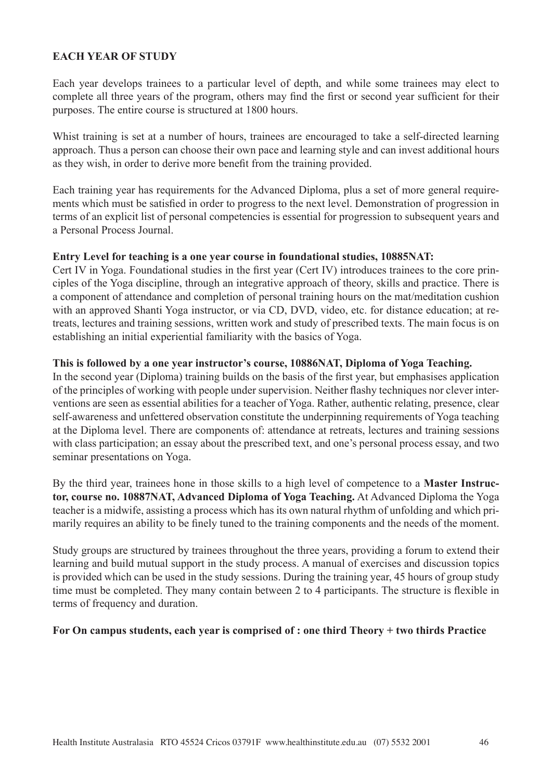# **EACH YEAR OF STUDY**

Each year develops trainees to a particular level of depth, and while some trainees may elect to complete all three years of the program, others may find the first or second year sufficient for their purposes. The entire course is structured at 1800 hours.

Whist training is set at a number of hours, trainees are encouraged to take a self-directed learning approach. Thus a person can choose their own pace and learning style and can invest additional hours as they wish, in order to derive more benefit from the training provided.

Each training year has requirements for the Advanced Diploma, plus a set of more general requirements which must be satisfied in order to progress to the next level. Demonstration of progression in terms of an explicit list of personal competencies is essential for progression to subsequent years and a Personal Process Journal.

## **Entry Level for teaching is a one year course in foundational studies, 10885NAT:**

Cert IV in Yoga. Foundational studies in the first year (Cert IV) introduces trainees to the core principles of the Yoga discipline, through an integrative approach of theory, skills and practice. There is a component of attendance and completion of personal training hours on the mat/meditation cushion with an approved Shanti Yoga instructor, or via CD, DVD, video, etc. for distance education; at retreats, lectures and training sessions, written work and study of prescribed texts. The main focus is on establishing an initial experiential familiarity with the basics of Yoga.

## **This is followed by a one year instructor's course, 10886NAT, Diploma of Yoga Teaching.**

In the second year (Diploma) training builds on the basis of the first year, but emphasises application of the principles of working with people under supervision. Neither flashy techniques nor clever interventions are seen as essential abilities for a teacher of Yoga. Rather, authentic relating, presence, clear self-awareness and unfettered observation constitute the underpinning requirements of Yoga teaching at the Diploma level. There are components of: attendance at retreats, lectures and training sessions with class participation; an essay about the prescribed text, and one's personal process essay, and two seminar presentations on Yoga.

By the third year, trainees hone in those skills to a high level of competence to a **Master Instructor, course no. 10887NAT, Advanced Diploma of Yoga Teaching.** At Advanced Diploma the Yoga teacher is a midwife, assisting a process which has its own natural rhythm of unfolding and which primarily requires an ability to be finely tuned to the training components and the needs of the moment.

Study groups are structured by trainees throughout the three years, providing a forum to extend their learning and build mutual support in the study process. A manual of exercises and discussion topics is provided which can be used in the study sessions. During the training year, 45 hours of group study time must be completed. They many contain between 2 to 4 participants. The structure is flexible in terms of frequency and duration.

#### **For On campus students, each year is comprised of : one third Theory + two thirds Practice**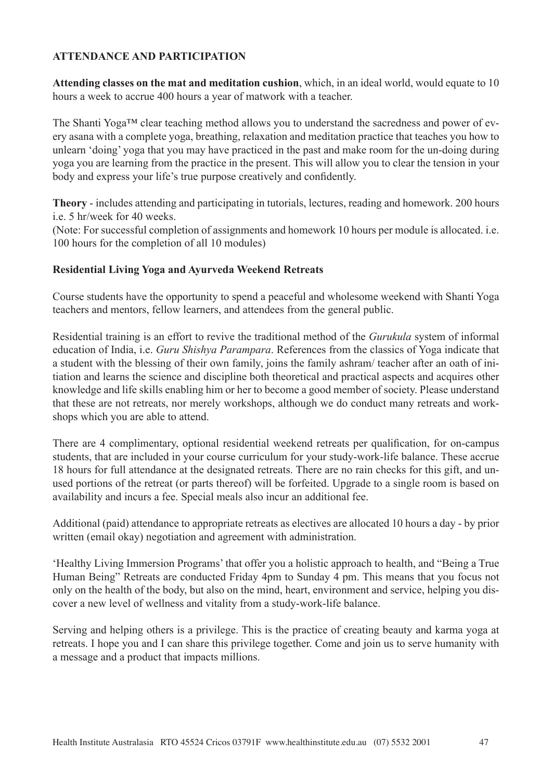# **ATTENDANCE AND PARTICIPATION**

**Attending classes on the mat and meditation cushion**, which, in an ideal world, would equate to 10 hours a week to accrue 400 hours a year of matwork with a teacher.

The Shanti Yoga™ clear teaching method allows you to understand the sacredness and power of every asana with a complete yoga, breathing, relaxation and meditation practice that teaches you how to unlearn 'doing' yoga that you may have practiced in the past and make room for the un-doing during yoga you are learning from the practice in the present. This will allow you to clear the tension in your body and express your life's true purpose creatively and confidently.

**Theory** - includes attending and participating in tutorials, lectures, reading and homework. 200 hours i.e. 5 hr/week for 40 weeks.

(Note: For successful completion of assignments and homework 10 hours per module is allocated. i.e. 100 hours for the completion of all 10 modules)

# **Residential Living Yoga and Ayurveda Weekend Retreats**

Course students have the opportunity to spend a peaceful and wholesome weekend with Shanti Yoga teachers and mentors, fellow learners, and attendees from the general public.

Residential training is an effort to revive the traditional method of the *Gurukula* system of informal education of India, i.e. *Guru Shishya Parampara*. References from the classics of Yoga indicate that a student with the blessing of their own family, joins the family ashram/ teacher after an oath of initiation and learns the science and discipline both theoretical and practical aspects and acquires other knowledge and life skills enabling him or her to become a good member of society. Please understand that these are not retreats, nor merely workshops, although we do conduct many retreats and workshops which you are able to attend.

There are 4 complimentary, optional residential weekend retreats per qualification, for on-campus students, that are included in your course curriculum for your study-work-life balance. These accrue 18 hours for full attendance at the designated retreats. There are no rain checks for this gift, and unused portions of the retreat (or parts thereof) will be forfeited. Upgrade to a single room is based on availability and incurs a fee. Special meals also incur an additional fee.

Additional (paid) attendance to appropriate retreats as electives are allocated 10 hours a day - by prior written (email okay) negotiation and agreement with administration.

'Healthy Living Immersion Programs'that offer you a holistic approach to health, and "Being a True Human Being" Retreats are conducted Friday 4pm to Sunday 4 pm. This means that you focus not only on the health of the body, but also on the mind, heart, environment and service, helping you discover a new level of wellness and vitality from a study-work-life balance.

Serving and helping others is a privilege. This is the practice of creating beauty and karma yoga at retreats. I hope you and I can share this privilege together. Come and join us to serve humanity with a message and a product that impacts millions.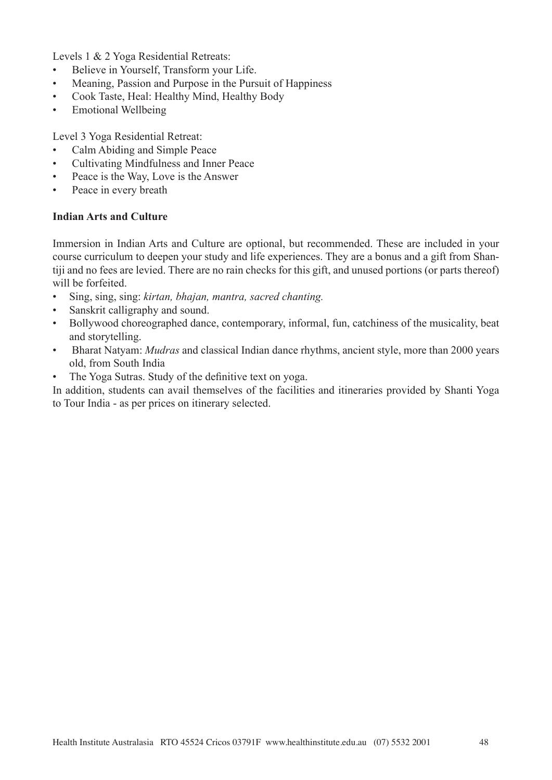Levels 1 & 2 Yoga Residential Retreats:

- Believe in Yourself, Transform your Life.
- Meaning, Passion and Purpose in the Pursuit of Happiness
- Cook Taste, Heal: Healthy Mind, Healthy Body
- Emotional Wellbeing

Level 3 Yoga Residential Retreat:

- Calm Abiding and Simple Peace
- Cultivating Mindfulness and Inner Peace
- Peace is the Way, Love is the Answer
- Peace in every breath

## **Indian Arts and Culture**

Immersion in Indian Arts and Culture are optional, but recommended. These are included in your course curriculum to deepen your study and life experiences. They are a bonus and a gift from Shantiji and no fees are levied. There are no rain checks for this gift, and unused portions (or parts thereof) will be forfeited.

- Sing, sing, sing: *kirtan, bhajan, mantra, sacred chanting.*
- Sanskrit calligraphy and sound.
- Bollywood choreographed dance, contemporary, informal, fun, catchiness of the musicality, beat and storytelling.
- Bharat Natyam: *Mudras* and classical Indian dance rhythms, ancient style, more than 2000 years old, from South India
- The Yoga Sutras. Study of the definitive text on yoga.

In addition, students can avail themselves of the facilities and itineraries provided by Shanti Yoga to Tour India - as per prices on itinerary selected.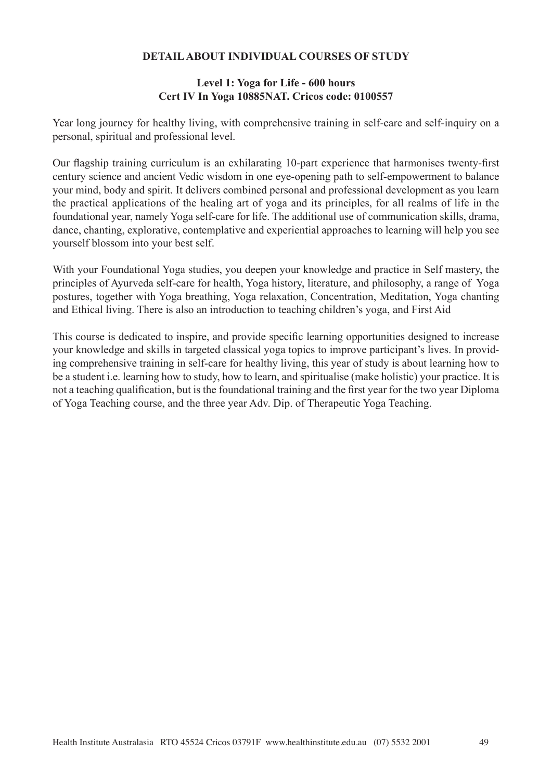# **DETAIL ABOUT INDIVIDUAL COURSES OF STUDY**

## **Level 1: Yoga for Life - 600 hours Cert IV In Yoga 10885NAT. Cricos code: 0100557**

Year long journey for healthy living, with comprehensive training in self-care and self-inquiry on a personal, spiritual and professional level.

Our flagship training curriculum is an exhilarating 10-part experience that harmonises twenty-first century science and ancient Vedic wisdom in one eye-opening path to self-empowerment to balance your mind, body and spirit. It delivers combined personal and professional development as you learn the practical applications of the healing art of yoga and its principles, for all realms of life in the foundational year, namely Yoga self-care for life. The additional use of communication skills, drama, dance, chanting, explorative, contemplative and experiential approaches to learning will help you see yourself blossom into your best self.

With your Foundational Yoga studies, you deepen your knowledge and practice in Self mastery, the principles of Ayurveda self-care for health, Yoga history, literature, and philosophy, a range of Yoga postures, together with Yoga breathing, Yoga relaxation, Concentration, Meditation, Yoga chanting and Ethical living. There is also an introduction to teaching children's yoga, and First Aid

This course is dedicated to inspire, and provide specific learning opportunities designed to increase your knowledge and skills in targeted classical yoga topics to improve participant's lives. In providing comprehensive training in self-care for healthy living, this year of study is about learning how to be a student i.e. learning how to study, how to learn, and spiritualise (make holistic) your practice. It is not a teaching qualification, but is the foundational training and the first year for the two year Diploma of Yoga Teaching course, and the three year Adv. Dip. of Therapeutic Yoga Teaching.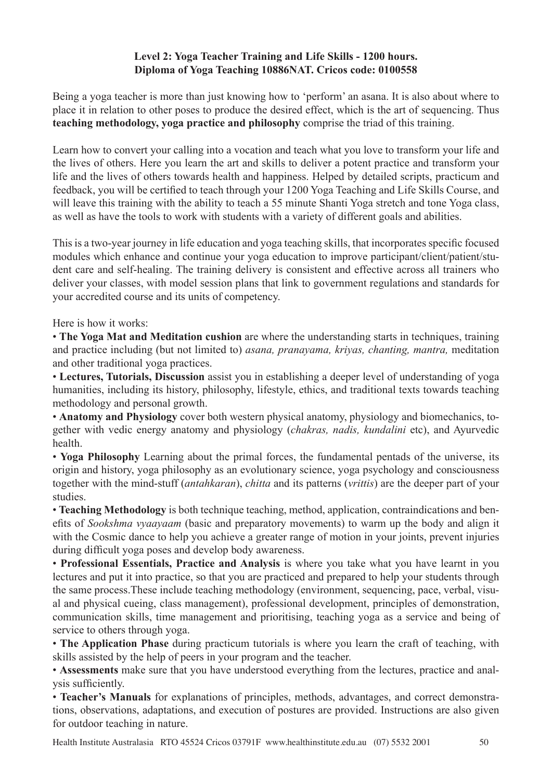# **Level 2: Yoga Teacher Training and Life Skills - 1200 hours. Diploma of Yoga Teaching 10886NAT. Cricos code: 0100558**

Being a yoga teacher is more than just knowing how to 'perform' an asana. It is also about where to place it in relation to other poses to produce the desired effect, which is the art of sequencing. Thus **teaching methodology, yoga practice and philosophy** comprise the triad of this training.

Learn how to convert your calling into a vocation and teach what you love to transform your life and the lives of others. Here you learn the art and skills to deliver a potent practice and transform your life and the lives of others towards health and happiness. Helped by detailed scripts, practicum and feedback, you will be certified to teach through your 1200 Yoga Teaching and Life Skills Course, and will leave this training with the ability to teach a 55 minute Shanti Yoga stretch and tone Yoga class, as well as have the tools to work with students with a variety of different goals and abilities.

This is a two-year journey in life education and yoga teaching skills, that incorporates specific focused modules which enhance and continue your yoga education to improve participant/client/patient/student care and self-healing. The training delivery is consistent and effective across all trainers who deliver your classes, with model session plans that link to government regulations and standards for your accredited course and its units of competency.

Here is how it works:

• **The Yoga Mat and Meditation cushion** are where the understanding starts in techniques, training and practice including (but not limited to) *asana, pranayama, kriyas, chanting, mantra,* meditation and other traditional yoga practices.

• **Lectures, Tutorials, Discussion** assist you in establishing a deeper level of understanding of yoga humanities, including its history, philosophy, lifestyle, ethics, and traditional texts towards teaching methodology and personal growth.

• **Anatomy and Physiology** cover both western physical anatomy, physiology and biomechanics, together with vedic energy anatomy and physiology (*chakras, nadis, kundalini* etc), and Ayurvedic health.

• **Yoga Philosophy** Learning about the primal forces, the fundamental pentads of the universe, its origin and history, yoga philosophy as an evolutionary science, yoga psychology and consciousness together with the mind-stuff (*antahkaran*), *chitta* and its patterns (*vrittis*) are the deeper part of your studies.

• **Teaching Methodology** is both technique teaching, method, application, contraindications and benefits of *Sookshma vyaayaam* (basic and preparatory movements) to warm up the body and align it with the Cosmic dance to help you achieve a greater range of motion in your joints, prevent injuries during difficult yoga poses and develop body awareness.

• **Professional Essentials, Practice and Analysis** is where you take what you have learnt in you lectures and put it into practice, so that you are practiced and prepared to help your students through the same process.These include teaching methodology (environment, sequencing, pace, verbal, visual and physical cueing, class management), professional development, principles of demonstration, communication skills, time management and prioritising, teaching yoga as a service and being of service to others through yoga.

• **The Application Phase** during practicum tutorials is where you learn the craft of teaching, with skills assisted by the help of peers in your program and the teacher.

• **Assessments** make sure that you have understood everything from the lectures, practice and analysis sufficiently.

• **Teacher's Manuals** for explanations of principles, methods, advantages, and correct demonstrations, observations, adaptations, and execution of postures are provided. Instructions are also given for outdoor teaching in nature.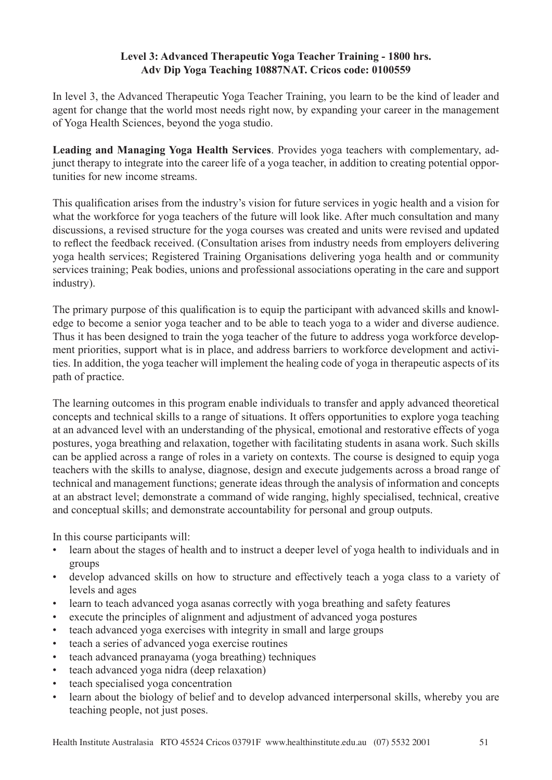# **Level 3: Advanced Therapeutic Yoga Teacher Training - 1800 hrs. Adv Dip Yoga Teaching 10887NAT. Cricos code: 0100559**

In level 3, the Advanced Therapeutic Yoga Teacher Training, you learn to be the kind of leader and agent for change that the world most needs right now, by expanding your career in the management of Yoga Health Sciences, beyond the yoga studio.

**Leading and Managing Yoga Health Services**. Provides yoga teachers with complementary, adjunct therapy to integrate into the career life of a yoga teacher, in addition to creating potential opportunities for new income streams.

This qualification arises from the industry's vision for future services in yogic health and a vision for what the workforce for yoga teachers of the future will look like. After much consultation and many discussions, a revised structure for the yoga courses was created and units were revised and updated to reflect the feedback received. (Consultation arises from industry needs from employers delivering yoga health services; Registered Training Organisations delivering yoga health and or community services training; Peak bodies, unions and professional associations operating in the care and support industry).

The primary purpose of this qualification is to equip the participant with advanced skills and knowledge to become a senior yoga teacher and to be able to teach yoga to a wider and diverse audience. Thus it has been designed to train the yoga teacher of the future to address yoga workforce development priorities, support what is in place, and address barriers to workforce development and activities. In addition, the yoga teacher will implement the healing code of yoga in therapeutic aspects of its path of practice.

The learning outcomes in this program enable individuals to transfer and apply advanced theoretical concepts and technical skills to a range of situations. It offers opportunities to explore yoga teaching at an advanced level with an understanding of the physical, emotional and restorative effects of yoga postures, yoga breathing and relaxation, together with facilitating students in asana work. Such skills can be applied across a range of roles in a variety on contexts. The course is designed to equip yoga teachers with the skills to analyse, diagnose, design and execute judgements across a broad range of technical and management functions; generate ideas through the analysis of information and concepts at an abstract level; demonstrate a command of wide ranging, highly specialised, technical, creative and conceptual skills; and demonstrate accountability for personal and group outputs.

In this course participants will:

- learn about the stages of health and to instruct a deeper level of yoga health to individuals and in groups
- develop advanced skills on how to structure and effectively teach a yoga class to a variety of levels and ages
- learn to teach advanced yoga asanas correctly with yoga breathing and safety features
- execute the principles of alignment and adjustment of advanced yoga postures
- teach advanced yoga exercises with integrity in small and large groups
- teach a series of advanced yoga exercise routines
- teach advanced pranayama (yoga breathing) techniques
- teach advanced yoga nidra (deep relaxation)
- teach specialised yoga concentration
- learn about the biology of belief and to develop advanced interpersonal skills, whereby you are teaching people, not just poses.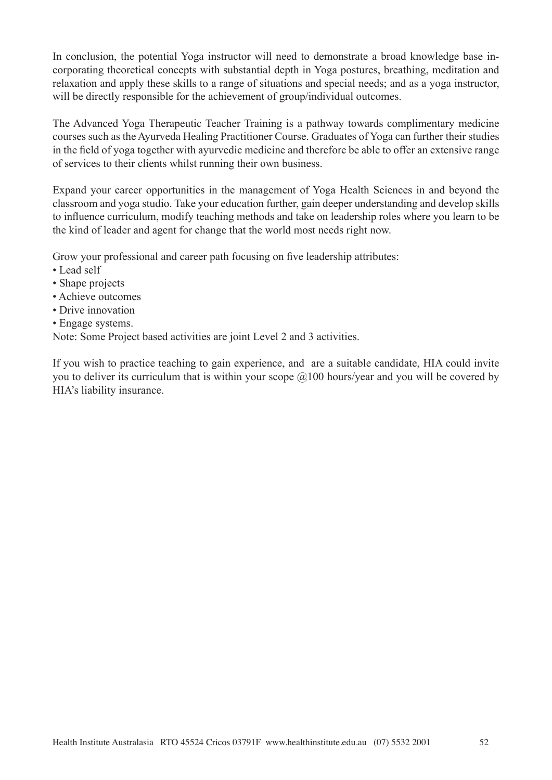In conclusion, the potential Yoga instructor will need to demonstrate a broad knowledge base incorporating theoretical concepts with substantial depth in Yoga postures, breathing, meditation and relaxation and apply these skills to a range of situations and special needs; and as a yoga instructor, will be directly responsible for the achievement of group/individual outcomes.

The Advanced Yoga Therapeutic Teacher Training is a pathway towards complimentary medicine courses such as the Ayurveda Healing Practitioner Course. Graduates of Yoga can further their studies in the field of yoga together with ayurvedic medicine and therefore be able to offer an extensive range of services to their clients whilst running their own business.

Expand your career opportunities in the management of Yoga Health Sciences in and beyond the classroom and yoga studio. Take your education further, gain deeper understanding and develop skills to influence curriculum, modify teaching methods and take on leadership roles where you learn to be the kind of leader and agent for change that the world most needs right now.

Grow your professional and career path focusing on five leadership attributes:

- Lead self
- Shape projects
- Achieve outcomes
- Drive innovation
- Engage systems.

Note: Some Project based activities are joint Level 2 and 3 activities.

If you wish to practice teaching to gain experience, and are a suitable candidate, HIA could invite you to deliver its curriculum that is within your scope  $\omega(100)$  hours/year and you will be covered by HIA's liability insurance.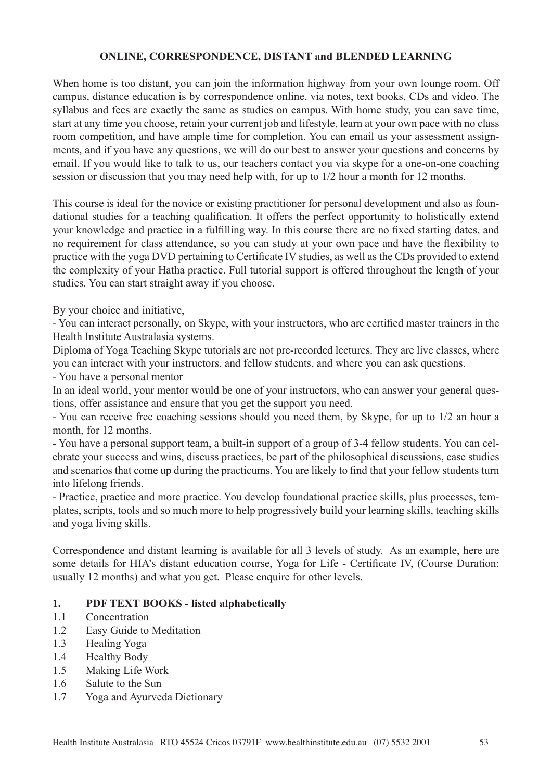# **ONLINE, CORRESPONDENCE, DISTANT and BLENDED LEARNING**

When home is too distant, you can join the information highway from your own lounge room. Off campus, distance education is by correspondence online, via notes, text books, CDs and video. The syllabus and fees are exactly the same as studies on campus. With home study, you can save time, start at any time you choose, retain your current job and lifestyle, learn at your own pace with no class room competition, and have ample time for completion. You can email us your assessment assignments, and if you have any questions, we will do our best to answer your questions and concerns by email. If you would like to talk to us, our teachers contact you via skype for a one-on-one coaching session or discussion that you may need help with, for up to 1/2 hour a month for 12 months.

This course is ideal for the novice or existing practitioner for personal development and also as foundational studies for a teaching qualification. It offers the perfect opportunity to holistically extend your knowledge and practice in a fulfilling way. In this course there are no fixed starting dates, and no requirement for class attendance, so you can study at your own pace and have the flexibility to practice with the yoga DVD pertaining to Certificate IV studies, as well as the CDs provided to extend the complexity of your Hatha practice. Full tutorial support is offered throughout the length of your studies. You can start straight away if you choose.

By your choice and initiative,

- You can interact personally, on Skype, with your instructors, who are certified master trainers in the Health Institute Australasia systems.

Diploma of Yoga Teaching Skype tutorials are not pre-recorded lectures. They are live classes, where you can interact with your instructors, and fellow students, and where you can ask questions.

- You have a personal mentor

In an ideal world, your mentor would be one of your instructors, who can answer your general questions, offer assistance and ensure that you get the support you need.

- You can receive free coaching sessions should you need them, by Skype, for up to 1/2 an hour a month, for 12 months.

- You have a personal support team, a built-in support of a group of 3-4 fellow students. You can celebrate your success and wins, discuss practices, be part of the philosophical discussions, case studies and scenarios that come up during the practicums. You are likely to find that your fellow students turn into lifelong friends.

- Practice, practice and more practice. You develop foundational practice skills, plus processes, templates, scripts, tools and so much more to help progressively build your learning skills, teaching skills and yoga living skills.

Correspondence and distant learning is available for all 3 levels of study. As an example, here are some details for HIA's distant education course, Yoga for Life - Certificate IV, (Course Duration: usually 12 months) and what you get. Please enquire for other levels.

# **1. PDF TEXT BOOKS - listed alphabetically**

- 1.1 Concentration
- 1.2 Easy Guide to Meditation
- 1.3 Healing Yoga
- 1.4 Healthy Body
- 1.5 Making Life Work
- 1.6 Salute to the Sun
- 1.7 Yoga and Ayurveda Dictionary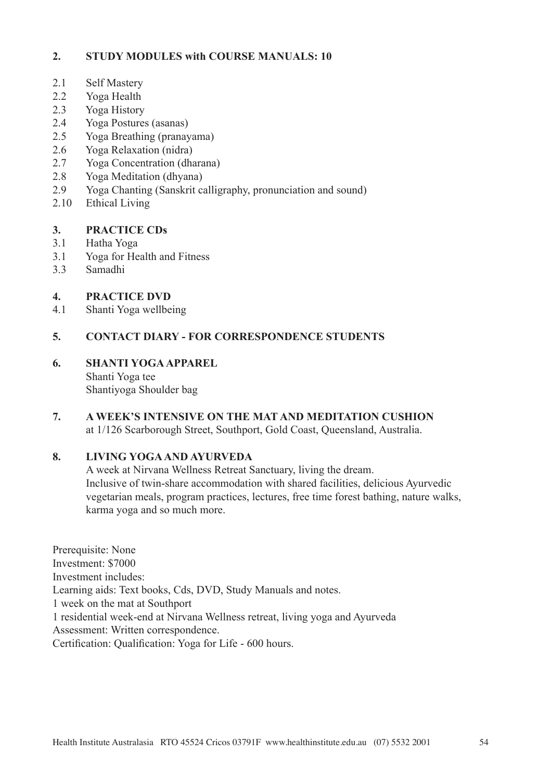# **2. STUDY MODULES with COURSE MANUALS: 10**

- 2.1 Self Mastery
- 2.2 Yoga Health
- 2.3 Yoga History
- 2.4 Yoga Postures (asanas)
- 2.5 Yoga Breathing (pranayama)
- 2.6 Yoga Relaxation (nidra)
- 2.7 Yoga Concentration (dharana)
- 2.8 Yoga Meditation (dhyana)
- 2.9 Yoga Chanting (Sanskrit calligraphy, pronunciation and sound)
- 2.10 Ethical Living

# **3. PRACTICE CDs**

- 3.1 Hatha Yoga
- 3.1 Yoga for Health and Fitness
- 3.3 Samadhi

# **4. PRACTICE DVD**

4.1 Shanti Yoga wellbeing

# **5. CONTACT DIARY - FOR CORRESPONDENCE STUDENTS**

# **6. SHANTI YOGA APPAREL**

 Shanti Yoga tee Shantiyoga Shoulder bag

## **7. A WEEK'S INTENSIVE ON THE MAT AND MEDITATION CUSHION** at 1/126 Scarborough Street, Southport, Gold Coast, Queensland, Australia.

# **8. LIVING YOGA AND AYURVEDA**

A week at Nirvana Wellness Retreat Sanctuary, living the dream. Inclusive of twin-share accommodation with shared facilities, delicious Ayurvedic vegetarian meals, program practices, lectures, free time forest bathing, nature walks, karma yoga and so much more.

Prerequisite: None Investment: \$7000 Investment includes: Learning aids: Text books, Cds, DVD, Study Manuals and notes. 1 week on the mat at Southport 1 residential week-end at Nirvana Wellness retreat, living yoga and Ayurveda Assessment: Written correspondence. Certification: Qualification: Yoga for Life - 600 hours.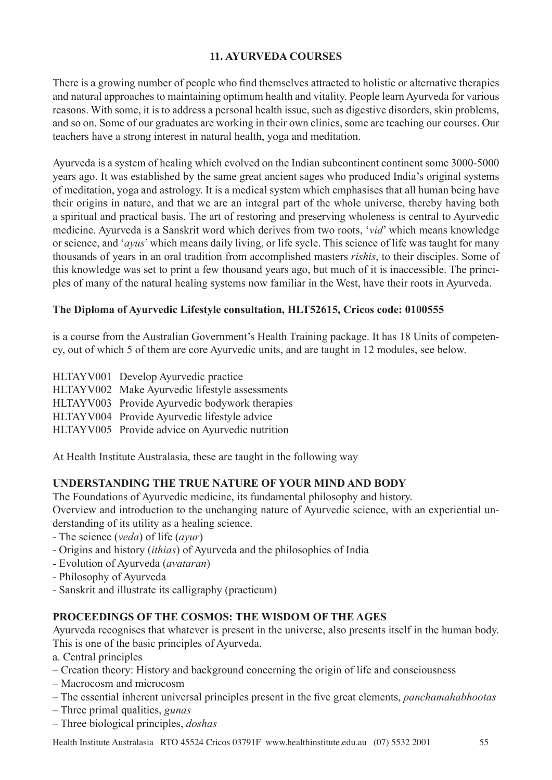# **11. AYURVEDA COURSES**

There is a growing number of people who find themselves attracted to holistic or alternative therapies and natural approaches to maintaining optimum health and vitality. People learn Ayurveda for various reasons. With some, it is to address a personal health issue, such as digestive disorders, skin problems, and so on. Some of our graduates are working in their own clinics, some are teaching our courses. Our teachers have a strong interest in natural health, yoga and meditation.

Ayurveda is a system of healing which evolved on the Indian subcontinent continent some 3000-5000 years ago. It was established by the same great ancient sages who produced India's original systems of meditation, yoga and astrology. It is a medical system which emphasises that all human being have their origins in nature, and that we are an integral part of the whole universe, thereby having both a spiritual and practical basis. The art of restoring and preserving wholeness is central to Ayurvedic medicine. Ayurveda is a Sanskrit word which derives from two roots, '*vid*' which means knowledge or science, and '*ayus*' which means daily living, or life sycle. This science of life was taught for many thousands of years in an oral tradition from accomplished masters *rishis*, to their disciples. Some of this knowledge was set to print a few thousand years ago, but much of it is inaccessible. The principles of many of the natural healing systems now familiar in the West, have their roots in Ayurveda.

# **The Diploma of Ayurvedic Lifestyle consultation, HLT52615, Cricos code: 0100555**

is a course from the Australian Government's Health Training package. It has 18 Units of competency, out of which 5 of them are core Ayurvedic units, and are taught in 12 modules, see below.

HLTAYV001 Develop Ayurvedic practice HLTAYV002 Make Ayurvedic lifestyle assessments HLTAYV003 Provide Ayurvedic bodywork therapies HLTAYV004 Provide Ayurvedic lifestyle advice HLTAYV005 Provide advice on Ayurvedic nutrition

At Health Institute Australasia, these are taught in the following way

# **UNDERSTANDING THE TRUE NATURE OF YOUR MIND AND BODY**

The Foundations of Ayurvedic medicine, its fundamental philosophy and history.

Overview and introduction to the unchanging nature of Ayurvedic science, with an experiential understanding of its utility as a healing science.

- The science (*veda*) of life (*ayur*)
- Origins and history (*ithias*) of Ayurveda and the philosophies of India
- Evolution of Ayurveda (*avataran*)
- Philosophy of Ayurveda
- Sanskrit and illustrate its calligraphy (practicum)

# **PROCEEDINGS OF THE COSMOS: THE WISDOM OF THE AGES**

Ayurveda recognises that whatever is present in the universe, also presents itself in the human body. This is one of the basic principles of Ayurveda.

- a. Central principles
- Creation theory: History and background concerning the origin of life and consciousness
- Macrocosm and microcosm
- The essential inherent universal principles present in the five great elements, *panchamahabhootas*
- Three primal qualities, *gunas*
- Three biological principles, *doshas*

Health Institute Australasia RTO 45524 Cricos 03791F www.healthinstitute.edu.au (07) 5532 2001 55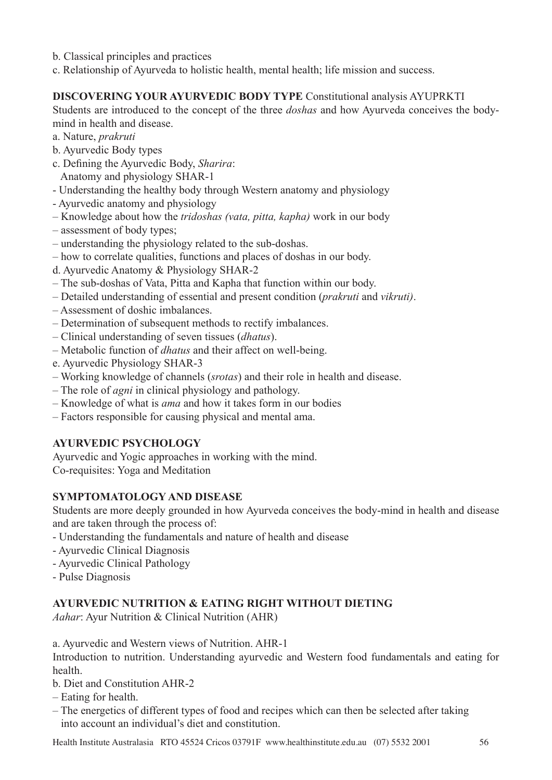- b. Classical principles and practices
- c. Relationship of Ayurveda to holistic health, mental health; life mission and success.

# **DISCOVERING YOUR AYURVEDIC BODY TYPE** Constitutional analysis AYUPRKTI

Students are introduced to the concept of the three *doshas* and how Ayurveda conceives the bodymind in health and disease.

- a. Nature, *prakruti*
- b. Ayurvedic Body types
- c. Defining the Ayurvedic Body, *Sharira*:
	- Anatomy and physiology SHAR-1
- Understanding the healthy body through Western anatomy and physiology
- Ayurvedic anatomy and physiology
- Knowledge about how the *tridoshas (vata, pitta, kapha)* work in our body
- assessment of body types;
- understanding the physiology related to the sub-doshas.
- how to correlate qualities, functions and places of doshas in our body.
- d. Ayurvedic Anatomy & Physiology SHAR-2
- The sub-doshas of Vata, Pitta and Kapha that function within our body.
- Detailed understanding of essential and present condition (*prakruti* and *vikruti)*.
- Assessment of doshic imbalances.
- Determination of subsequent methods to rectify imbalances.
- Clinical understanding of seven tissues (*dhatus*).
- Metabolic function of *dhatus* and their affect on well-being.
- e. Ayurvedic Physiology SHAR-3
- Working knowledge of channels (*srotas*) and their role in health and disease.
- The role of *agni* in clinical physiology and pathology.
- Knowledge of what is *ama* and how it takes form in our bodies
- Factors responsible for causing physical and mental ama.

# **AYURVEDIC PSYCHOLOGY**

Ayurvedic and Yogic approaches in working with the mind. Co-requisites: Yoga and Meditation

# **SYMPTOMATOLOGY AND DISEASE**

Students are more deeply grounded in how Ayurveda conceives the body-mind in health and disease and are taken through the process of:

- Understanding the fundamentals and nature of health and disease
- Ayurvedic Clinical Diagnosis
- Ayurvedic Clinical Pathology
- Pulse Diagnosis

# **AYURVEDIC NUTRITION & EATING RIGHT WITHOUT DIETING**

*Aahar*: Ayur Nutrition & Clinical Nutrition (AHR)

a. Ayurvedic and Western views of Nutrition. AHR-1

Introduction to nutrition. Understanding ayurvedic and Western food fundamentals and eating for health.

- b. Diet and Constitution AHR-2
- Eating for health.
- The energetics of different types of food and recipes which can then be selected after taking into account an individual's diet and constitution.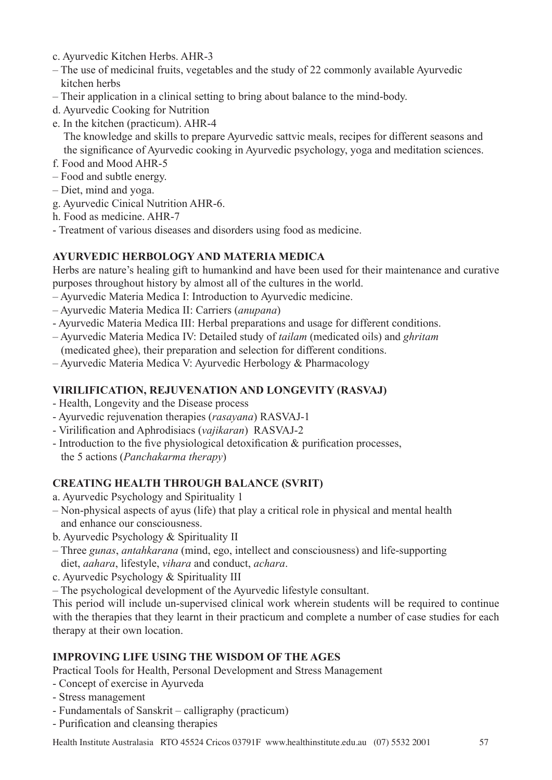- c. Ayurvedic Kitchen Herbs. AHR-3
- The use of medicinal fruits, vegetables and the study of 22 commonly available Ayurvedic kitchen herbs
- Their application in a clinical setting to bring about balance to the mind-body.
- d. Ayurvedic Cooking for Nutrition
- e. In the kitchen (practicum). AHR-4 The knowledge and skills to prepare Ayurvedic sattvic meals, recipes for different seasons and the significance of Ayurvedic cooking in Ayurvedic psychology, yoga and meditation sciences.
- f. Food and Mood AHR-5
- Food and subtle energy.
- Diet, mind and yoga.
- g. Ayurvedic Cinical Nutrition AHR-6.
- h. Food as medicine. AHR-7
- Treatment of various diseases and disorders using food as medicine.

# **AYURVEDIC HERBOLOGY AND MATERIA MEDICA**

Herbs are nature's healing gift to humankind and have been used for their maintenance and curative purposes throughout history by almost all of the cultures in the world.

- Ayurvedic Materia Medica I: Introduction to Ayurvedic medicine.
- Ayurvedic Materia Medica II: Carriers (*anupana*)
- Ayurvedic Materia Medica III: Herbal preparations and usage for different conditions.
- Ayurvedic Materia Medica IV: Detailed study of *tailam* (medicated oils) and *ghritam* (medicated ghee), their preparation and selection for different conditions.
- Ayurvedic Materia Medica V: Ayurvedic Herbology & Pharmacology

# **VIRILIFICATION, REJUVENATION AND LONGEVITY (RASVAJ)**

- Health, Longevity and the Disease process
- Ayurvedic rejuvenation therapies (*rasayana*) RASVAJ-1
- Virilification and Aphrodisiacs (*vajikaran*) RASVAJ-2
- Introduction to the five physiological detoxification & purification processes, the 5 actions (*Panchakarma therapy*)

# **CREATING HEALTH THROUGH BALANCE (SVRIT)**

- a. Ayurvedic Psychology and Spirituality 1
- Non-physical aspects of ayus (life) that play a critical role in physical and mental health and enhance our consciousness.
- b. Ayurvedic Psychology & Spirituality II
- Three *gunas*, *antahkarana* (mind, ego, intellect and consciousness) and life-supporting diet, *aahara*, lifestyle, *vihara* and conduct, *achara*.
- c. Ayurvedic Psychology & Spirituality III
- The psychological development of the Ayurvedic lifestyle consultant.

This period will include un-supervised clinical work wherein students will be required to continue with the therapies that they learnt in their practicum and complete a number of case studies for each therapy at their own location.

# **IMPROVING LIFE USING THE WISDOM OF THE AGES**

Practical Tools for Health, Personal Development and Stress Management

- Concept of exercise in Ayurveda
- Stress management
- Fundamentals of Sanskrit calligraphy (practicum)
- Purification and cleansing therapies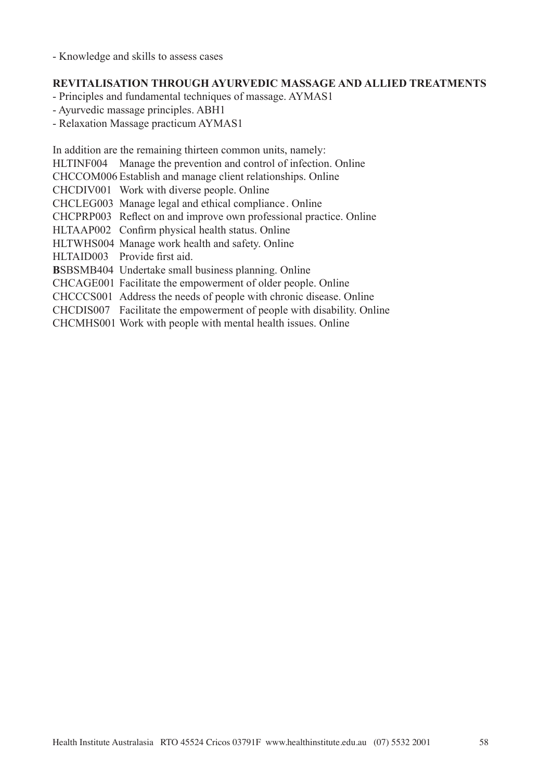- Knowledge and skills to assess cases

## **REVITALISATION THROUGH AYURVEDIC MASSAGE AND ALLIED TREATMENTS**

- Principles and fundamental techniques of massage. AYMAS1
- Ayurvedic massage principles. ABH1
- Relaxation Massage practicum AYMAS1

In addition are the remaining thirteen common units, namely:

HLTINF004 Manage the prevention and control of infection. Online

CHCCOM006 Establish and manage client relationships. Online

CHCDIV001 Work with diverse people. Online

CHCLEG003 Manage legal and ethical compliance . Online

CHCPRP003 Reflect on and improve own professional practice. Online

HLTAAP002 Confirm physical health status. Online

HLTWHS004 Manage work health and safety. Online

HLTAID003 Provide first aid.

**B**SBSMB404 Undertake small business planning. Online

CHCAGE001 Facilitate the empowerment of older people. Online

CHCCCS001 Address the needs of people with chronic disease. Online

CHCDIS007 Facilitate the empowerment of people with disability. Online

CHCMHS001 Work with people with mental health issues. Online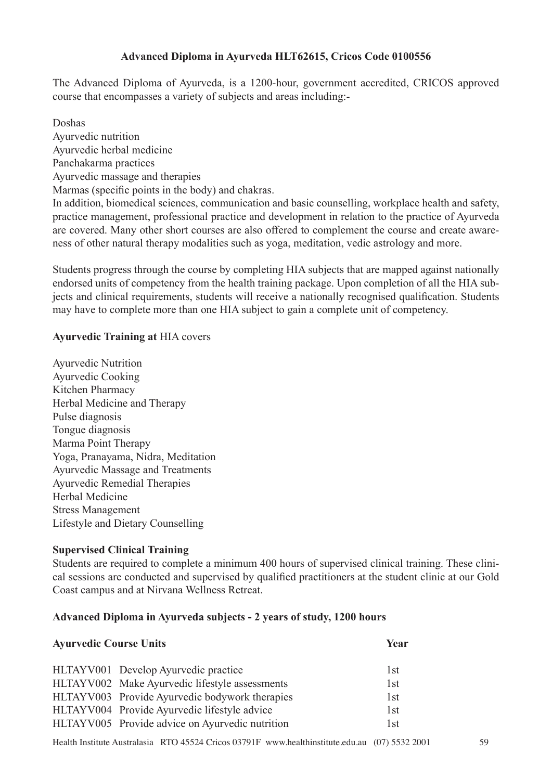# **Advanced Diploma in Ayurveda HLT62615, Cricos Code 0100556**

The Advanced Diploma of Ayurveda, is a 1200-hour, government accredited, CRICOS approved course that encompasses a variety of subjects and areas including:-

Doshas

Ayurvedic nutrition

Ayurvedic herbal medicine

Panchakarma practices

Ayurvedic massage and therapies

Marmas (specific points in the body) and chakras.

In addition, biomedical sciences, communication and basic counselling, workplace health and safety, practice management, professional practice and development in relation to the practice of Ayurveda are covered. Many other short courses are also offered to complement the course and create awareness of other natural therapy modalities such as yoga, meditation, vedic astrology and more.

Students progress through the course by completing HIA subjects that are mapped against nationally endorsed units of competency from the health training package. Upon completion of all the HIA subjects and clinical requirements, students will receive a nationally recognised qualification. Students may have to complete more than one HIA subject to gain a complete unit of competency.

# **Ayurvedic Training at** HIA covers

Ayurvedic Nutrition Ayurvedic Cooking Kitchen Pharmacy Herbal Medicine and Therapy Pulse diagnosis Tongue diagnosis Marma Point Therapy Yoga, Pranayama, Nidra, Meditation Ayurvedic Massage and Treatments Ayurvedic Remedial Therapies Herbal Medicine Stress Management Lifestyle and Dietary Counselling

# **Supervised Clinical Training**

Students are required to complete a minimum 400 hours of supervised clinical training. These clinical sessions are conducted and supervised by qualified practitioners at the student clinic at our Gold Coast campus and at Nirvana Wellness Retreat.

# **Advanced Diploma in Ayurveda subjects - 2 years of study, 1200 hours**

| <b>Ayurvedic Course Units</b> |                                                 | Year |  |
|-------------------------------|-------------------------------------------------|------|--|
|                               | HLTAYV001 Develop Ayurvedic practice            | 1st  |  |
|                               | HLTAYV002 Make Ayurvedic lifestyle assessments  | 1st  |  |
|                               | HLTAYV003 Provide Ayurvedic bodywork therapies  | 1st  |  |
|                               | HLTAYV004 Provide Ayurvedic lifestyle advice    | 1st  |  |
|                               | HLTAYV005 Provide advice on Ayurvedic nutrition | 1st  |  |
|                               |                                                 |      |  |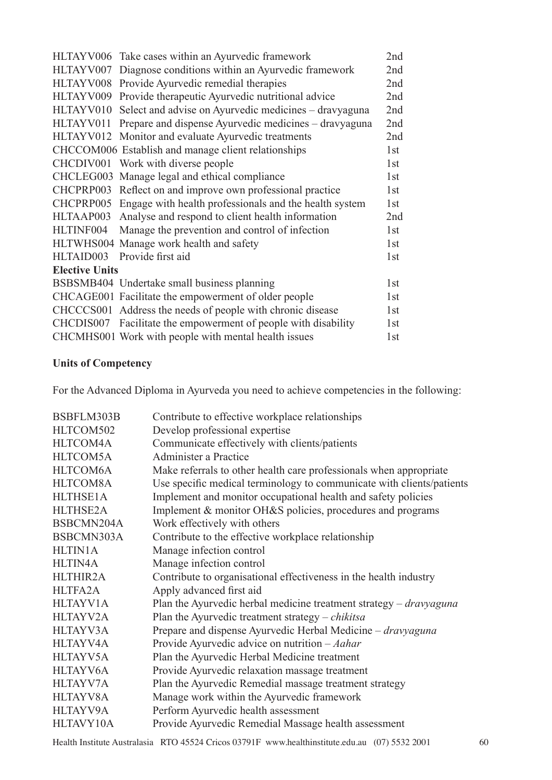|                       | HLTAYV006 Take cases within an Ayurvedic framework               | 2nd |
|-----------------------|------------------------------------------------------------------|-----|
|                       | HLTAYV007 Diagnose conditions within an Ayurvedic framework      | 2nd |
|                       | HLTAYV008 Provide Ayurvedic remedial therapies                   | 2nd |
|                       | HLTAYV009 Provide therapeutic Ayurvedic nutritional advice       | 2nd |
|                       | HLTAYV010 Select and advise on Ayurvedic medicines – dravyaguna  | 2nd |
|                       | HLTAYV011 Prepare and dispense Ayurvedic medicines – dravyaguna  | 2nd |
|                       | HLTAYV012 Monitor and evaluate Ayurvedic treatments              | 2nd |
|                       | CHCCOM006 Establish and manage client relationships              | 1st |
|                       | CHCDIV001 Work with diverse people                               | 1st |
|                       | CHCLEG003 Manage legal and ethical compliance                    | 1st |
|                       | CHCPRP003 Reflect on and improve own professional practice       | 1st |
|                       | CHCPRP005 Engage with health professionals and the health system | 1st |
|                       | HLTAAP003 Analyse and respond to client health information       | 2nd |
| HLTINF004             | Manage the prevention and control of infection                   | 1st |
|                       | HLTWHS004 Manage work health and safety                          | 1st |
|                       | HLTAID003 Provide first aid                                      | 1st |
| <b>Elective Units</b> |                                                                  |     |
|                       | BSBSMB404 Undertake small business planning                      | 1st |
|                       | CHCAGE001 Facilitate the empowerment of older people             | 1st |
|                       | CHCCCS001 Address the needs of people with chronic disease       | 1st |
|                       | CHCDIS007 Facilitate the empowerment of people with disability   | 1st |
|                       | CHCMHS001 Work with people with mental health issues             | 1st |

# **Units of Competency**

For the Advanced Diploma in Ayurveda you need to achieve competencies in the following:

| BSBFLM303B      | Contribute to effective workplace relationships                             |
|-----------------|-----------------------------------------------------------------------------|
| HLTCOM502       | Develop professional expertise                                              |
| HLTCOM4A        | Communicate effectively with clients/patients                               |
| HLTCOM5A        | Administer a Practice                                                       |
| HLTCOM6A        | Make referrals to other health care professionals when appropriate          |
| HLTCOM8A        | Use specific medical terminology to communicate with clients/patients       |
| <b>HLTHSE1A</b> | Implement and monitor occupational health and safety policies               |
| <b>HLTHSE2A</b> | Implement & monitor OH&S policies, procedures and programs                  |
| BSBCMN204A      | Work effectively with others                                                |
| BSBCMN303A      | Contribute to the effective workplace relationship                          |
| <b>HLTIN1A</b>  | Manage infection control                                                    |
| HLTIN4A         | Manage infection control                                                    |
| <b>HLTHIR2A</b> | Contribute to organisational effectiveness in the health industry           |
| HLTFA2A         | Apply advanced first aid                                                    |
| HLTAYV1A        | Plan the Ayurvedic herbal medicine treatment strategy $-$ <i>dravyaguna</i> |
| HLTAYV2A        | Plan the Ayurvedic treatment strategy $-$ <i>chikitsa</i>                   |
| HLTAYV3A        | Prepare and dispense Ayurvedic Herbal Medicine – dravyaguna                 |
| HLTAYV4A        | Provide Ayurvedic advice on nutrition $-Aahar$                              |
| HLTAYV5A        | Plan the Ayurvedic Herbal Medicine treatment                                |
| HLTAYV6A        | Provide Ayurvedic relaxation massage treatment                              |
| HLTAYV7A        | Plan the Ayurvedic Remedial massage treatment strategy                      |
| HLTAYV8A        | Manage work within the Ayurvedic framework                                  |
| HLTAYV9A        | Perform Ayurvedic health assessment                                         |
| HLTAVY10A       | Provide Ayurvedic Remedial Massage health assessment                        |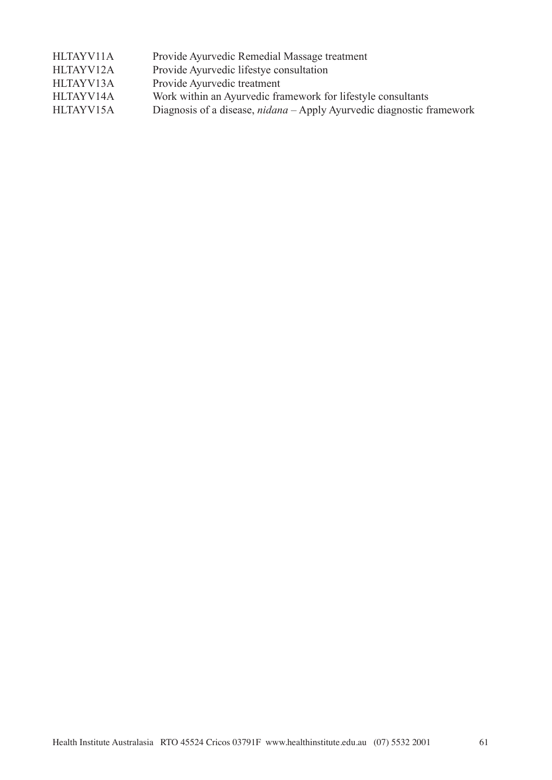| HLTAYV11A | Provide Ayurvedic Remedial Massage treatment                                 |
|-----------|------------------------------------------------------------------------------|
| HLTAYV12A | Provide Ayurvedic lifestye consultation                                      |
| HLTAYV13A | Provide Ayurvedic treatment                                                  |
| HLTAYV14A | Work within an Ayurvedic framework for lifestyle consultants                 |
| HLTAYV15A | Diagnosis of a disease, <i>nidana</i> – Apply Ayurvedic diagnostic framework |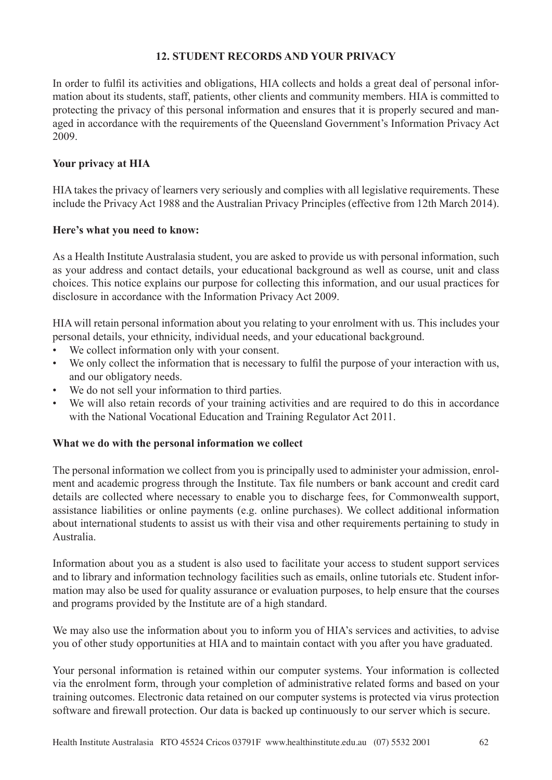# **12. STUDENT RECORDS AND YOUR PRIVACY**

In order to fulfil its activities and obligations, HIA collects and holds a great deal of personal information about its students, staff, patients, other clients and community members. HIA is committed to protecting the privacy of this personal information and ensures that it is properly secured and managed in accordance with the requirements of the Queensland Government's Information Privacy Act 2009.

# **Your privacy at HIA**

HIA takes the privacy of learners very seriously and complies with all legislative requirements. These include the Privacy Act 1988 and the Australian Privacy Principles (effective from 12th March 2014).

# **Here's what you need to know:**

As a Health Institute Australasia student, you are asked to provide us with personal information, such as your address and contact details, your educational background as well as course, unit and class choices. This notice explains our purpose for collecting this information, and our usual practices for disclosure in accordance with the Information Privacy Act 2009.

HIA will retain personal information about you relating to your enrolment with us. This includes your personal details, your ethnicity, individual needs, and your educational background.

- We collect information only with your consent.
- We only collect the information that is necessary to fulfil the purpose of your interaction with us, and our obligatory needs.
- We do not sell your information to third parties.
- We will also retain records of your training activities and are required to do this in accordance with the National Vocational Education and Training Regulator Act 2011.

# **What we do with the personal information we collect**

The personal information we collect from you is principally used to administer your admission, enrolment and academic progress through the Institute. Tax file numbers or bank account and credit card details are collected where necessary to enable you to discharge fees, for Commonwealth support, assistance liabilities or online payments (e.g. online purchases). We collect additional information about international students to assist us with their visa and other requirements pertaining to study in Australia.

Information about you as a student is also used to facilitate your access to student support services and to library and information technology facilities such as emails, online tutorials etc. Student information may also be used for quality assurance or evaluation purposes, to help ensure that the courses and programs provided by the Institute are of a high standard.

We may also use the information about you to inform you of HIA's services and activities, to advise you of other study opportunities at HIA and to maintain contact with you after you have graduated.

Your personal information is retained within our computer systems. Your information is collected via the enrolment form, through your completion of administrative related forms and based on your training outcomes. Electronic data retained on our computer systems is protected via virus protection software and firewall protection. Our data is backed up continuously to our server which is secure.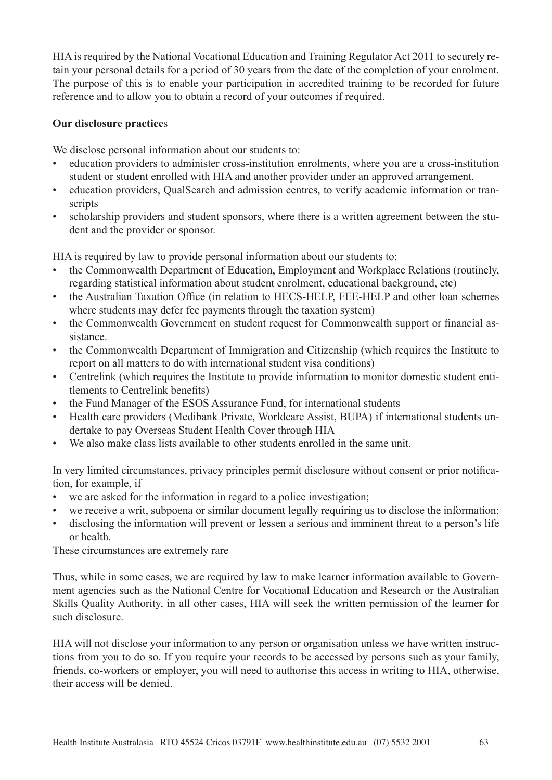HIA is required by the National Vocational Education and Training Regulator Act 2011 to securely retain your personal details for a period of 30 years from the date of the completion of your enrolment. The purpose of this is to enable your participation in accredited training to be recorded for future reference and to allow you to obtain a record of your outcomes if required.

## **Our disclosure practice**s

We disclose personal information about our students to:

- education providers to administer cross-institution enrolments, where you are a cross-institution student or student enrolled with HIA and another provider under an approved arrangement.
- education providers, QualSearch and admission centres, to verify academic information or transcripts
- scholarship providers and student sponsors, where there is a written agreement between the student and the provider or sponsor.

HIA is required by law to provide personal information about our students to:

- the Commonwealth Department of Education, Employment and Workplace Relations (routinely, regarding statistical information about student enrolment, educational background, etc)
- the Australian Taxation Office (in relation to HECS-HELP, FEE-HELP and other loan schemes where students may defer fee payments through the taxation system)
- the Commonwealth Government on student request for Commonwealth support or financial assistance.
- the Commonwealth Department of Immigration and Citizenship (which requires the Institute to report on all matters to do with international student visa conditions)
- Centrelink (which requires the Institute to provide information to monitor domestic student entitlements to Centrelink benefits)
- the Fund Manager of the ESOS Assurance Fund, for international students
- Health care providers (Medibank Private, Worldcare Assist, BUPA) if international students undertake to pay Overseas Student Health Cover through HIA
- We also make class lists available to other students enrolled in the same unit.

In very limited circumstances, privacy principles permit disclosure without consent or prior notification, for example, if

- we are asked for the information in regard to a police investigation;
- we receive a writ, subpoena or similar document legally requiring us to disclose the information;
- disclosing the information will prevent or lessen a serious and imminent threat to a person's life or health.

These circumstances are extremely rare

Thus, while in some cases, we are required by law to make learner information available to Government agencies such as the National Centre for Vocational Education and Research or the Australian Skills Quality Authority, in all other cases, HIA will seek the written permission of the learner for such disclosure.

HIA will not disclose your information to any person or organisation unless we have written instructions from you to do so. If you require your records to be accessed by persons such as your family, friends, co-workers or employer, you will need to authorise this access in writing to HIA, otherwise, their access will be denied.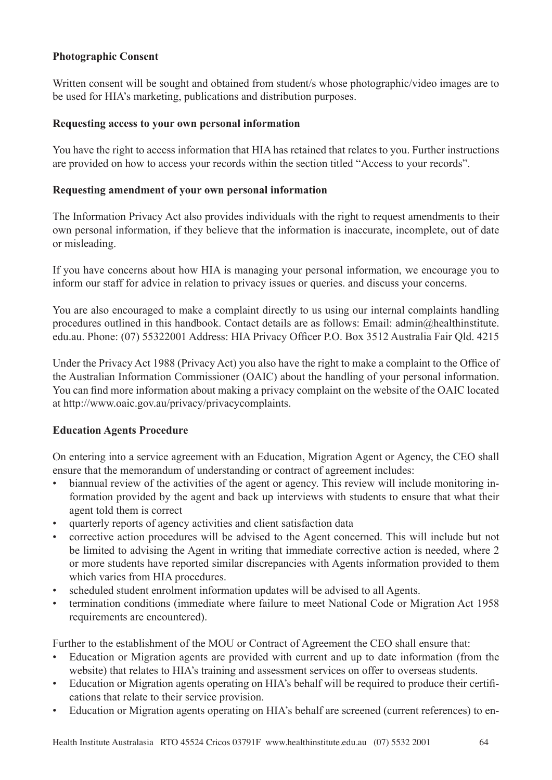## **Photographic Consent**

Written consent will be sought and obtained from student/s whose photographic/video images are to be used for HIA's marketing, publications and distribution purposes.

#### **Requesting access to your own personal information**

You have the right to access information that HIA has retained that relates to you. Further instructions are provided on how to access your records within the section titled "Access to your records".

## **Requesting amendment of your own personal information**

The Information Privacy Act also provides individuals with the right to request amendments to their own personal information, if they believe that the information is inaccurate, incomplete, out of date or misleading.

If you have concerns about how HIA is managing your personal information, we encourage you to inform our staff for advice in relation to privacy issues or queries. and discuss your concerns.

You are also encouraged to make a complaint directly to us using our internal complaints handling procedures outlined in this handbook. Contact details are as follows: Email: admin@healthinstitute. edu.au. Phone: (07) 55322001 Address: HIA Privacy Officer P.O. Box 3512 Australia Fair Qld. 4215

Under the Privacy Act 1988 (Privacy Act) you also have the right to make a complaint to the Office of the Australian Information Commissioner (OAIC) about the handling of your personal information. You can find more information about making a privacy complaint on the website of the OAIC located at http://www.oaic.gov.au/privacy/privacycomplaints.

#### **Education Agents Procedure**

On entering into a service agreement with an Education, Migration Agent or Agency, the CEO shall ensure that the memorandum of understanding or contract of agreement includes:

- biannual review of the activities of the agent or agency. This review will include monitoring information provided by the agent and back up interviews with students to ensure that what their agent told them is correct
- quarterly reports of agency activities and client satisfaction data
- corrective action procedures will be advised to the Agent concerned. This will include but not be limited to advising the Agent in writing that immediate corrective action is needed, where 2 or more students have reported similar discrepancies with Agents information provided to them which varies from HIA procedures.
- scheduled student enrolment information updates will be advised to all Agents.
- termination conditions (immediate where failure to meet National Code or Migration Act 1958) requirements are encountered).

Further to the establishment of the MOU or Contract of Agreement the CEO shall ensure that:

- Education or Migration agents are provided with current and up to date information (from the website) that relates to HIA's training and assessment services on offer to overseas students.
- Education or Migration agents operating on HIA's behalf will be required to produce their certifications that relate to their service provision.
- Education or Migration agents operating on HIA's behalf are screened (current references) to en-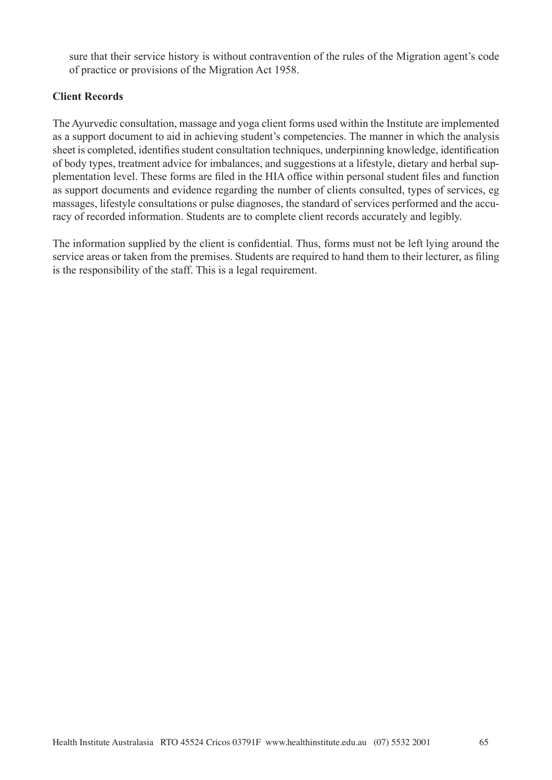sure that their service history is without contravention of the rules of the Migration agent's code of practice or provisions of the Migration Act 1958.

# **Client Records**

The Ayurvedic consultation, massage and yoga client forms used within the Institute are implemented as a support document to aid in achieving student's competencies. The manner in which the analysis sheet is completed, identifies student consultation techniques, underpinning knowledge, identification of body types, treatment advice for imbalances, and suggestions at a lifestyle, dietary and herbal supplementation level. These forms are filed in the HIA office within personal student files and function as support documents and evidence regarding the number of clients consulted, types of services, eg massages, lifestyle consultations or pulse diagnoses, the standard of services performed and the accuracy of recorded information. Students are to complete client records accurately and legibly.

The information supplied by the client is confidential. Thus, forms must not be left lying around the service areas or taken from the premises. Students are required to hand them to their lecturer, as filing is the responsibility of the staff. This is a legal requirement.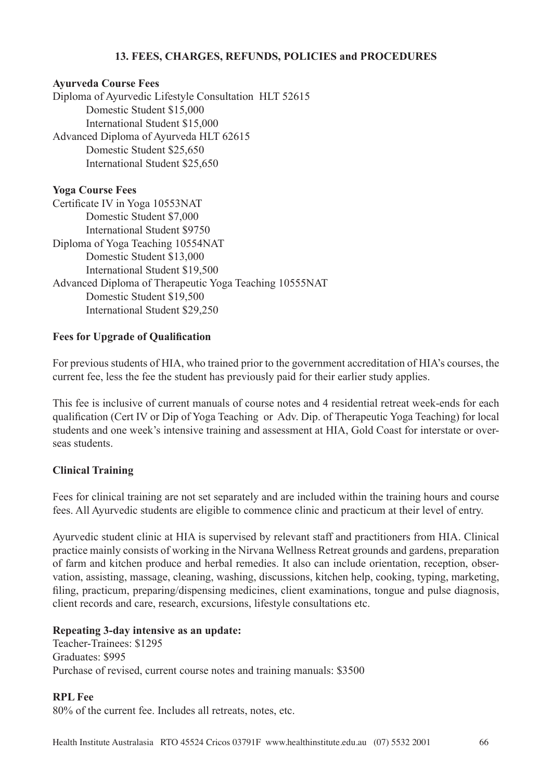# **13. FEES, CHARGES, REFUNDS, POLICIES and PROCEDURES**

#### **Ayurveda Course Fees**

Diploma of Ayurvedic Lifestyle Consultation HLT 52615 Domestic Student \$15,000 International Student \$15,000 Advanced Diploma of Ayurveda HLT 62615 Domestic Student \$25,650 International Student \$25,650

#### **Yoga Course Fees**

Certificate IV in Yoga 10553NAT Domestic Student \$7,000 International Student \$9750 Diploma of Yoga Teaching 10554NAT Domestic Student \$13,000 International Student \$19,500 Advanced Diploma of Therapeutic Yoga Teaching 10555NAT Domestic Student \$19,500 International Student \$29,250

#### **Fees for Upgrade of Qualification**

For previous students of HIA, who trained prior to the government accreditation of HIA's courses, the current fee, less the fee the student has previously paid for their earlier study applies.

This fee is inclusive of current manuals of course notes and 4 residential retreat week-ends for each qualification (Cert IV or Dip of Yoga Teaching or Adv. Dip. of Therapeutic Yoga Teaching) for local students and one week's intensive training and assessment at HIA, Gold Coast for interstate or overseas students.

#### **Clinical Training**

Fees for clinical training are not set separately and are included within the training hours and course fees. All Ayurvedic students are eligible to commence clinic and practicum at their level of entry.

Ayurvedic student clinic at HIA is supervised by relevant staff and practitioners from HIA. Clinical practice mainly consists of working in the Nirvana Wellness Retreat grounds and gardens, preparation of farm and kitchen produce and herbal remedies. It also can include orientation, reception, observation, assisting, massage, cleaning, washing, discussions, kitchen help, cooking, typing, marketing, filing, practicum, preparing/dispensing medicines, client examinations, tongue and pulse diagnosis, client records and care, research, excursions, lifestyle consultations etc.

#### **Repeating 3-day intensive as an update:**

Teacher-Trainees: \$1295 Graduates: \$995 Purchase of revised, current course notes and training manuals: \$3500

#### **RPL Fee**

80% of the current fee. Includes all retreats, notes, etc.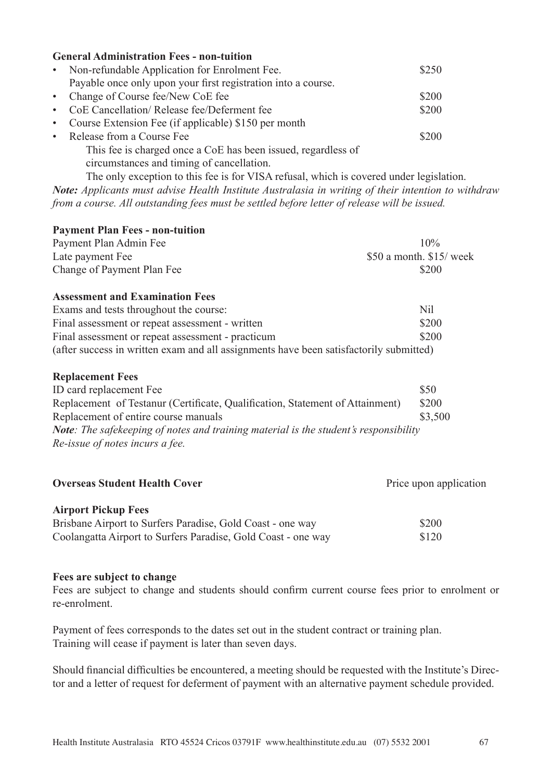|                                                                                         | <b>General Administration Fees - non-tuition</b>              |       |
|-----------------------------------------------------------------------------------------|---------------------------------------------------------------|-------|
| $\bullet$ .                                                                             | Non-refundable Application for Enrolment Fee.                 | \$250 |
|                                                                                         | Payable once only upon your first registration into a course. |       |
|                                                                                         | • Change of Course fee/New CoE fee                            | \$200 |
| $\bullet$ .                                                                             | CoE Cancellation/Release fee/Deferment fee                    | \$200 |
| $\bullet$                                                                               | Course Extension Fee (if applicable) \$150 per month          |       |
| $\bullet$ .                                                                             | Release from a Course Fee                                     | \$200 |
|                                                                                         | This fee is charged once a CoE has been issued, regardless of |       |
|                                                                                         | circumstances and timing of cancellation.                     |       |
| The only exception to this fee is for VISA refusal, which is covered under legislation. |                                                               |       |

*Note: Applicants must advise Health Institute Australasia in writing of their intention to withdraw from a course. All outstanding fees must be settled before letter of release will be issued.* 

| <b>Payment Plan Fees - non-tuition</b>                                                 |                           |
|----------------------------------------------------------------------------------------|---------------------------|
| Payment Plan Admin Fee                                                                 | 10%                       |
| Late payment Fee                                                                       | $$50$ a month. $$15$ week |
| Change of Payment Plan Fee                                                             | \$200                     |
| <b>Assessment and Examination Fees</b>                                                 |                           |
| Exams and tests throughout the course:                                                 | <b>Nil</b>                |
| Final assessment or repeat assessment - written                                        | \$200                     |
| Final assessment or repeat assessment - practicum                                      | \$200                     |
| (after success in written exam and all assignments have been satisfactorily submitted) |                           |
| <b>Replacement Fees</b>                                                                |                           |
| ID card replacement Fee                                                                | \$50                      |
| Replacement of Testanur (Certificate, Qualification, Statement of Attainment)          | \$200                     |
| Replacement of entire course manuals                                                   | \$3,500                   |

*Note: The safekeeping of notes and training material is the student's responsibility Re-issue of notes incurs a fee.*

**Overseas Student Health Cover Price upon application Price upon application** 

# **Airport Pickup Fees**

| Brisbane Airport to Surfers Paradise, Gold Coast - one way    | \$200 |
|---------------------------------------------------------------|-------|
| Coolangatta Airport to Surfers Paradise, Gold Coast - one way | \$120 |

# **Fees are subject to change**

Fees are subject to change and students should confirm current course fees prior to enrolment or re-enrolment.

Payment of fees corresponds to the dates set out in the student contract or training plan. Training will cease if payment is later than seven days.

Should financial difficulties be encountered, a meeting should be requested with the Institute's Director and a letter of request for deferment of payment with an alternative payment schedule provided.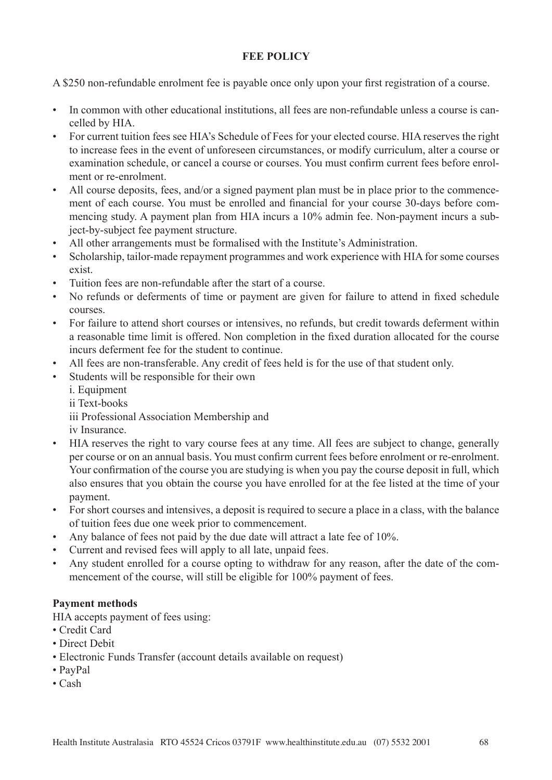# **FEE POLICY**

A \$250 non-refundable enrolment fee is payable once only upon your first registration of a course.

- In common with other educational institutions, all fees are non-refundable unless a course is cancelled by HIA.
- For current tuition fees see HIA's Schedule of Fees for your elected course. HIA reserves the right to increase fees in the event of unforeseen circumstances, or modify curriculum, alter a course or examination schedule, or cancel a course or courses. You must confirm current fees before enrolment or re-enrolment.
- All course deposits, fees, and/or a signed payment plan must be in place prior to the commencement of each course. You must be enrolled and financial for your course 30-days before commencing study. A payment plan from HIA incurs a 10% admin fee. Non-payment incurs a subject-by-subject fee payment structure.
- All other arrangements must be formalised with the Institute's Administration.
- Scholarship, tailor-made repayment programmes and work experience with HIA for some courses exist.
- Tuition fees are non-refundable after the start of a course.
- No refunds or deferments of time or payment are given for failure to attend in fixed schedule courses.
- For failure to attend short courses or intensives, no refunds, but credit towards deferment within a reasonable time limit is offered. Non completion in the fixed duration allocated for the course incurs deferment fee for the student to continue.
- All fees are non-transferable. Any credit of fees held is for the use of that student only.
- Students will be responsible for their own
	- i. Equipment ii Text-books iii Professional Association Membership and iv Insurance.
- HIA reserves the right to vary course fees at any time. All fees are subject to change, generally per course or on an annual basis. You must confirm current fees before enrolment or re-enrolment. Your confirmation of the course you are studying is when you pay the course deposit in full, which also ensures that you obtain the course you have enrolled for at the fee listed at the time of your payment.
- For short courses and intensives, a deposit is required to secure a place in a class, with the balance of tuition fees due one week prior to commencement.
- Any balance of fees not paid by the due date will attract a late fee of 10%.
- Current and revised fees will apply to all late, unpaid fees.
- Any student enrolled for a course opting to withdraw for any reason, after the date of the commencement of the course, will still be eligible for 100% payment of fees.

# **Payment methods**

HIA accepts payment of fees using:

- Credit Card
- Direct Debit
- Electronic Funds Transfer (account details available on request)
- PayPal
- Cash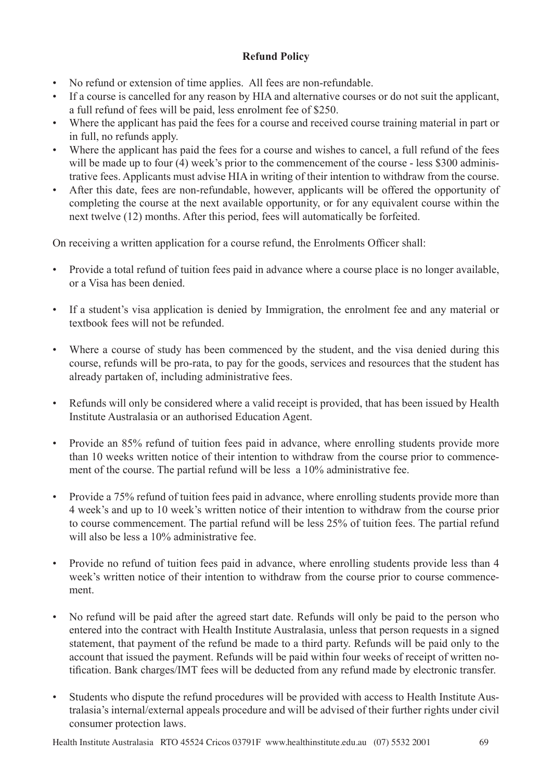# **Refund Policy**

- No refund or extension of time applies. All fees are non-refundable.
- If a course is cancelled for any reason by HIA and alternative courses or do not suit the applicant, a full refund of fees will be paid, less enrolment fee of \$250.
- Where the applicant has paid the fees for a course and received course training material in part or in full, no refunds apply.
- Where the applicant has paid the fees for a course and wishes to cancel, a full refund of the fees will be made up to four (4) week's prior to the commencement of the course - less \$300 administrative fees. Applicants must advise HIA in writing of their intention to withdraw from the course.
- After this date, fees are non-refundable, however, applicants will be offered the opportunity of completing the course at the next available opportunity, or for any equivalent course within the next twelve (12) months. After this period, fees will automatically be forfeited.

On receiving a written application for a course refund, the Enrolments Officer shall:

- Provide a total refund of tuition fees paid in advance where a course place is no longer available, or a Visa has been denied.
- If a student's visa application is denied by Immigration, the enrolment fee and any material or textbook fees will not be refunded.
- Where a course of study has been commenced by the student, and the visa denied during this course, refunds will be pro-rata, to pay for the goods, services and resources that the student has already partaken of, including administrative fees.
- Refunds will only be considered where a valid receipt is provided, that has been issued by Health Institute Australasia or an authorised Education Agent.
- Provide an 85% refund of tuition fees paid in advance, where enrolling students provide more than 10 weeks written notice of their intention to withdraw from the course prior to commencement of the course. The partial refund will be less a 10% administrative fee.
- Provide a 75% refund of tuition fees paid in advance, where enrolling students provide more than 4 week's and up to 10 week's written notice of their intention to withdraw from the course prior to course commencement. The partial refund will be less 25% of tuition fees. The partial refund will also be less a 10% administrative fee.
- Provide no refund of tuition fees paid in advance, where enrolling students provide less than 4 week's written notice of their intention to withdraw from the course prior to course commencement.
- No refund will be paid after the agreed start date. Refunds will only be paid to the person who entered into the contract with Health Institute Australasia, unless that person requests in a signed statement, that payment of the refund be made to a third party. Refunds will be paid only to the account that issued the payment. Refunds will be paid within four weeks of receipt of written notification. Bank charges/IMT fees will be deducted from any refund made by electronic transfer.
- Students who dispute the refund procedures will be provided with access to Health Institute Australasia's internal/external appeals procedure and will be advised of their further rights under civil consumer protection laws.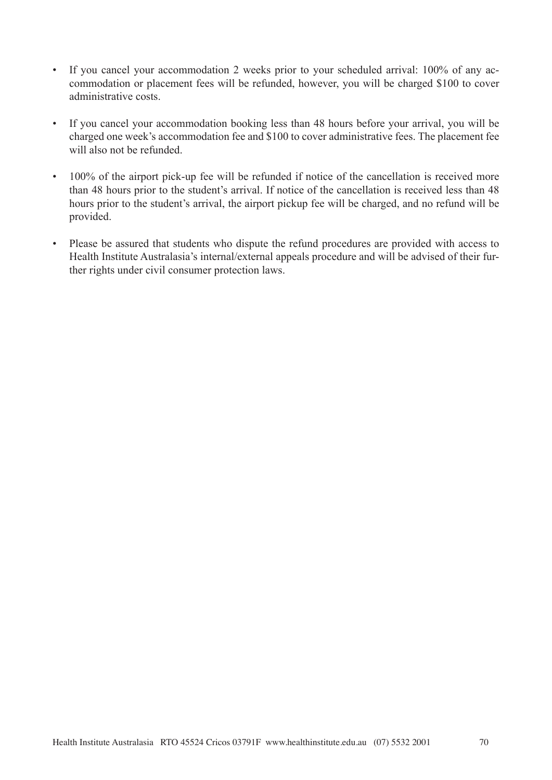- If you cancel your accommodation 2 weeks prior to your scheduled arrival: 100% of any accommodation or placement fees will be refunded, however, you will be charged \$100 to cover administrative costs.
- If you cancel your accommodation booking less than 48 hours before your arrival, you will be charged one week's accommodation fee and \$100 to cover administrative fees. The placement fee will also not be refunded.
- 100% of the airport pick-up fee will be refunded if notice of the cancellation is received more than 48 hours prior to the student's arrival. If notice of the cancellation is received less than 48 hours prior to the student's arrival, the airport pickup fee will be charged, and no refund will be provided.
- Please be assured that students who dispute the refund procedures are provided with access to Health Institute Australasia's internal/external appeals procedure and will be advised of their further rights under civil consumer protection laws.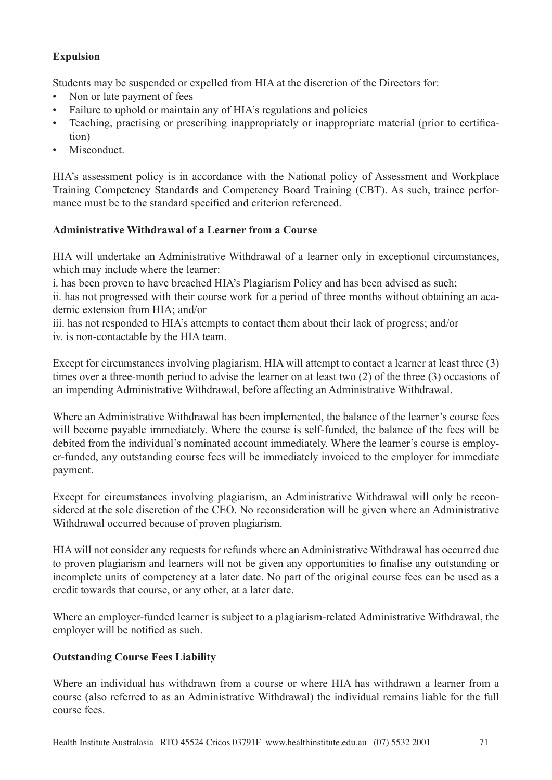# **Expulsion**

Students may be suspended or expelled from HIA at the discretion of the Directors for:

- Non or late payment of fees
- Failure to uphold or maintain any of HIA's regulations and policies
- Teaching, practising or prescribing inappropriately or inappropriate material (prior to certification)
- Misconduct

HIA's assessment policy is in accordance with the National policy of Assessment and Workplace Training Competency Standards and Competency Board Training (CBT). As such, trainee performance must be to the standard specified and criterion referenced.

# **Administrative Withdrawal of a Learner from a Course**

HIA will undertake an Administrative Withdrawal of a learner only in exceptional circumstances, which may include where the learner:

i. has been proven to have breached HIA's Plagiarism Policy and has been advised as such;

ii. has not progressed with their course work for a period of three months without obtaining an academic extension from HIA; and/or

iii. has not responded to HIA's attempts to contact them about their lack of progress; and/or iv. is non-contactable by the HIA team.

Except for circumstances involving plagiarism, HIA will attempt to contact a learner at least three (3) times over a three-month period to advise the learner on at least two (2) of the three (3) occasions of an impending Administrative Withdrawal, before affecting an Administrative Withdrawal.

Where an Administrative Withdrawal has been implemented, the balance of the learner's course fees will become payable immediately. Where the course is self-funded, the balance of the fees will be debited from the individual's nominated account immediately. Where the learner's course is employer-funded, any outstanding course fees will be immediately invoiced to the employer for immediate payment.

Except for circumstances involving plagiarism, an Administrative Withdrawal will only be reconsidered at the sole discretion of the CEO. No reconsideration will be given where an Administrative Withdrawal occurred because of proven plagiarism.

HIA will not consider any requests for refunds where an Administrative Withdrawal has occurred due to proven plagiarism and learners will not be given any opportunities to finalise any outstanding or incomplete units of competency at a later date. No part of the original course fees can be used as a credit towards that course, or any other, at a later date.

Where an employer-funded learner is subject to a plagiarism-related Administrative Withdrawal, the employer will be notified as such.

# **Outstanding Course Fees Liability**

Where an individual has withdrawn from a course or where HIA has withdrawn a learner from a course (also referred to as an Administrative Withdrawal) the individual remains liable for the full course fees.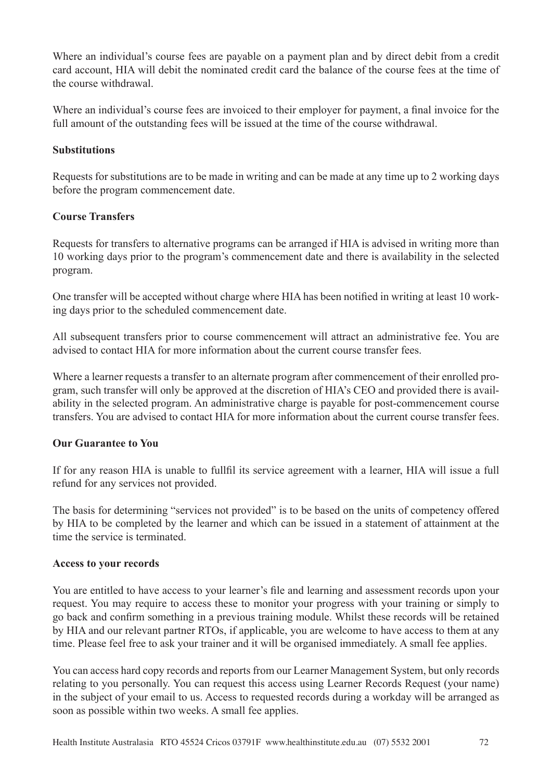Where an individual's course fees are payable on a payment plan and by direct debit from a credit card account, HIA will debit the nominated credit card the balance of the course fees at the time of the course withdrawal.

Where an individual's course fees are invoiced to their employer for payment, a final invoice for the full amount of the outstanding fees will be issued at the time of the course withdrawal.

# **Substitutions**

Requests for substitutions are to be made in writing and can be made at any time up to 2 working days before the program commencement date.

## **Course Transfers**

Requests for transfers to alternative programs can be arranged if HIA is advised in writing more than 10 working days prior to the program's commencement date and there is availability in the selected program.

One transfer will be accepted without charge where HIA has been notified in writing at least 10 working days prior to the scheduled commencement date.

All subsequent transfers prior to course commencement will attract an administrative fee. You are advised to contact HIA for more information about the current course transfer fees.

Where a learner requests a transfer to an alternate program after commencement of their enrolled program, such transfer will only be approved at the discretion of HIA's CEO and provided there is availability in the selected program. An administrative charge is payable for post-commencement course transfers. You are advised to contact HIA for more information about the current course transfer fees.

# **Our Guarantee to You**

If for any reason HIA is unable to fullfil its service agreement with a learner, HIA will issue a full refund for any services not provided.

The basis for determining "services not provided" is to be based on the units of competency offered by HIA to be completed by the learner and which can be issued in a statement of attainment at the time the service is terminated.

#### **Access to your records**

You are entitled to have access to your learner's file and learning and assessment records upon your request. You may require to access these to monitor your progress with your training or simply to go back and confirm something in a previous training module. Whilst these records will be retained by HIA and our relevant partner RTOs, if applicable, you are welcome to have access to them at any time. Please feel free to ask your trainer and it will be organised immediately. A small fee applies.

You can access hard copy records and reports from our Learner Management System, but only records relating to you personally. You can request this access using Learner Records Request (your name) in the subject of your email to us. Access to requested records during a workday will be arranged as soon as possible within two weeks. A small fee applies.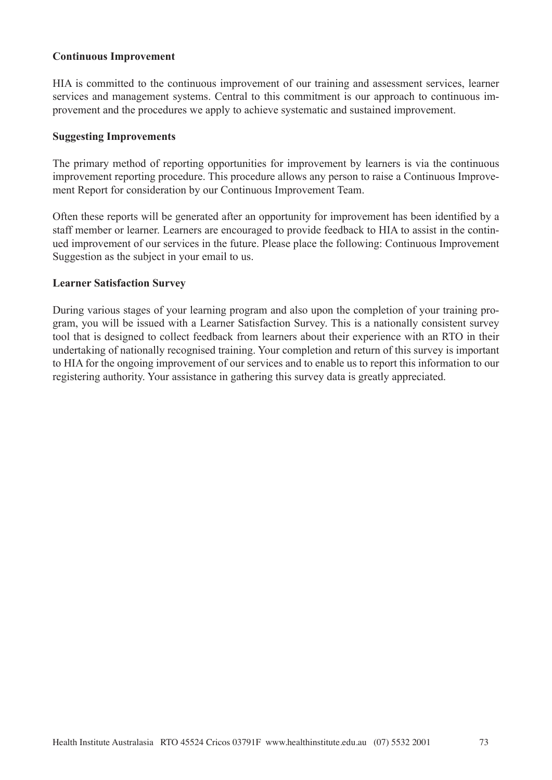#### **Continuous Improvement**

HIA is committed to the continuous improvement of our training and assessment services, learner services and management systems. Central to this commitment is our approach to continuous improvement and the procedures we apply to achieve systematic and sustained improvement.

#### **Suggesting Improvements**

The primary method of reporting opportunities for improvement by learners is via the continuous improvement reporting procedure. This procedure allows any person to raise a Continuous Improvement Report for consideration by our Continuous Improvement Team.

Often these reports will be generated after an opportunity for improvement has been identified by a staff member or learner. Learners are encouraged to provide feedback to HIA to assist in the continued improvement of our services in the future. Please place the following: Continuous Improvement Suggestion as the subject in your email to us.

#### **Learner Satisfaction Survey**

During various stages of your learning program and also upon the completion of your training program, you will be issued with a Learner Satisfaction Survey. This is a nationally consistent survey tool that is designed to collect feedback from learners about their experience with an RTO in their undertaking of nationally recognised training. Your completion and return of this survey is important to HIA for the ongoing improvement of our services and to enable us to report this information to our registering authority. Your assistance in gathering this survey data is greatly appreciated.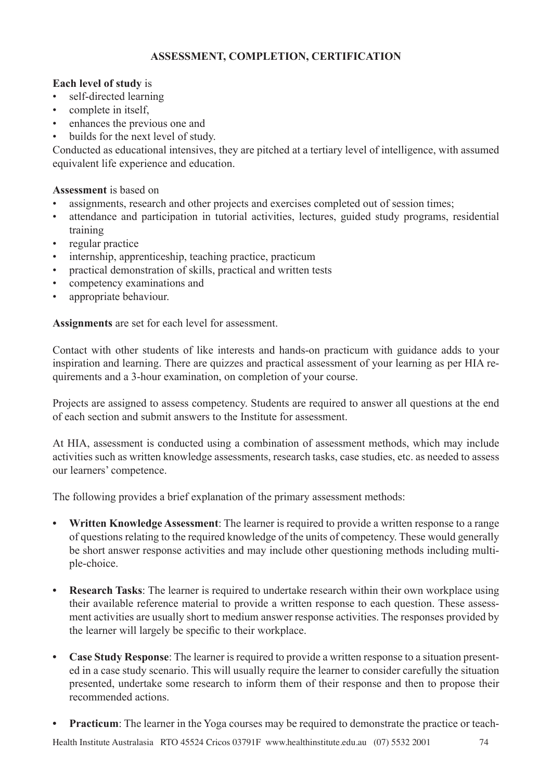# **ASSESSMENT, COMPLETION, CERTIFICATION**

### **Each level of study** is

- self-directed learning
- complete in itself,
- enhances the previous one and
- builds for the next level of study.

Conducted as educational intensives, they are pitched at a tertiary level of intelligence, with assumed equivalent life experience and education.

#### **Assessment** is based on

- assignments, research and other projects and exercises completed out of session times;
- attendance and participation in tutorial activities, lectures, guided study programs, residential training
- regular practice
- internship, apprenticeship, teaching practice, practicum
- practical demonstration of skills, practical and written tests
- competency examinations and
- appropriate behaviour.

**Assignments** are set for each level for assessment.

Contact with other students of like interests and hands-on practicum with guidance adds to your inspiration and learning. There are quizzes and practical assessment of your learning as per HIA requirements and a 3-hour examination, on completion of your course.

Projects are assigned to assess competency. Students are required to answer all questions at the end of each section and submit answers to the Institute for assessment.

At HIA, assessment is conducted using a combination of assessment methods, which may include activities such as written knowledge assessments, research tasks, case studies, etc. as needed to assess our learners' competence.

The following provides a brief explanation of the primary assessment methods:

- **• Written Knowledge Assessment**: The learner is required to provide a written response to a range of questions relating to the required knowledge of the units of competency. These would generally be short answer response activities and may include other questioning methods including multiple-choice.
- **• Research Tasks**: The learner is required to undertake research within their own workplace using their available reference material to provide a written response to each question. These assessment activities are usually short to medium answer response activities. The responses provided by the learner will largely be specific to their workplace.
- **• Case Study Response**: The learner is required to provide a written response to a situation presented in a case study scenario. This will usually require the learner to consider carefully the situation presented, undertake some research to inform them of their response and then to propose their recommended actions.
- **• Practicum**: The learner in the Yoga courses may be required to demonstrate the practice or teach-

Health Institute Australasia RTO 45524 Cricos 03791F www.healthinstitute.edu.au (07) 5532 2001 74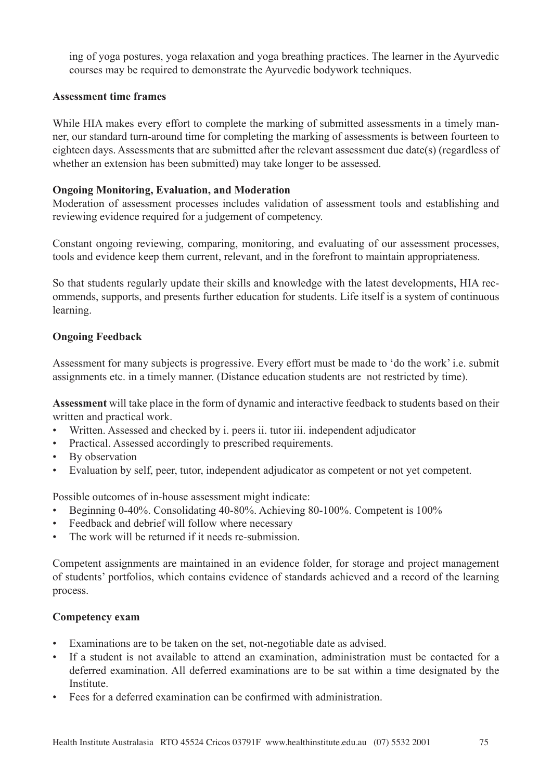ing of yoga postures, yoga relaxation and yoga breathing practices. The learner in the Ayurvedic courses may be required to demonstrate the Ayurvedic bodywork techniques.

#### **Assessment time frames**

While HIA makes every effort to complete the marking of submitted assessments in a timely manner, our standard turn-around time for completing the marking of assessments is between fourteen to eighteen days. Assessments that are submitted after the relevant assessment due date(s) (regardless of whether an extension has been submitted) may take longer to be assessed.

#### **Ongoing Monitoring, Evaluation, and Moderation**

Moderation of assessment processes includes validation of assessment tools and establishing and reviewing evidence required for a judgement of competency.

Constant ongoing reviewing, comparing, monitoring, and evaluating of our assessment processes, tools and evidence keep them current, relevant, and in the forefront to maintain appropriateness.

So that students regularly update their skills and knowledge with the latest developments, HIA recommends, supports, and presents further education for students. Life itself is a system of continuous learning.

### **Ongoing Feedback**

Assessment for many subjects is progressive. Every effort must be made to 'do the work' i.e. submit assignments etc. in a timely manner. (Distance education students are not restricted by time).

**Assessment** will take place in the form of dynamic and interactive feedback to students based on their written and practical work.

- Written. Assessed and checked by i. peers ii. tutor iii. independent adjudicator
- Practical. Assessed accordingly to prescribed requirements.
- By observation
- Evaluation by self, peer, tutor, independent adjudicator as competent or not yet competent.

Possible outcomes of in-house assessment might indicate:

- Beginning 0-40%. Consolidating 40-80%. Achieving 80-100%. Competent is 100%
- Feedback and debrief will follow where necessary
- The work will be returned if it needs re-submission.

Competent assignments are maintained in an evidence folder, for storage and project management of students' portfolios, which contains evidence of standards achieved and a record of the learning process.

#### **Competency exam**

- Examinations are to be taken on the set, not-negotiable date as advised.
- If a student is not available to attend an examination, administration must be contacted for a deferred examination. All deferred examinations are to be sat within a time designated by the **Institute**
- Fees for a deferred examination can be confirmed with administration.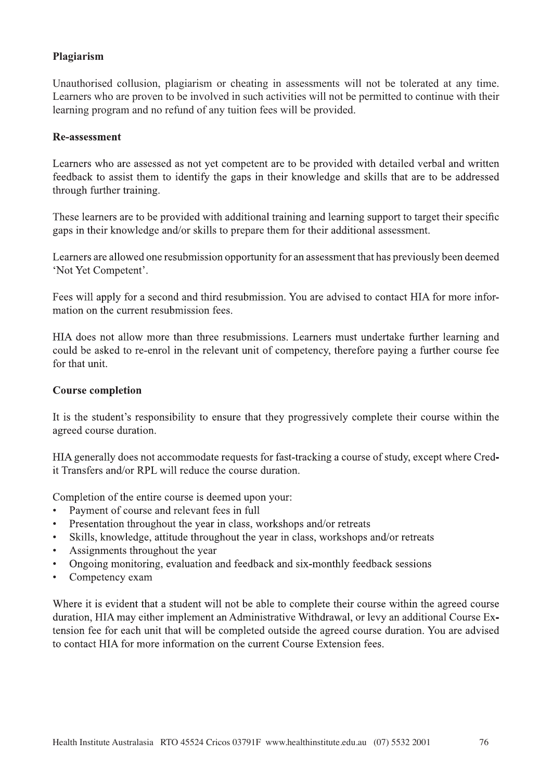### **Plagiarism**

Unauthorised collusion, plagiarism or cheating in assessments will not be tolerated at any time. Learners who are proven to be involved in such activities will not be permitted to continue with their learning program and no refund of any tuition fees will be provided.

#### **Re-assessment**

Learners who are assessed as not yet competent are to be provided with detailed verbal and written feedback to assist them to identify the gaps in their knowledge and skills that are to be addressed through further training.

These learners are to be provided with additional training and learning support to target their specific gaps in their knowledge and/or skills to prepare them for their additional assessment.

Learners are allowed one resubmission opportunity for an assessment that has previously been deemed 'Not Yet Competent'.

Fees will apply for a second and third resubmission. You are advised to contact HIA for more information on the current resubmission fees.

HIA does not allow more than three resubmissions. Learners must undertake further learning and could be asked to re-enrol in the relevant unit of competency, therefore paying a further course fee for that unit.

#### **Course completion**

It is the student's responsibility to ensure that they progressively complete their course within the agreed course duration.

HIA generally does not accommodate requests for fast-tracking a course of study, except where Credit Transfers and/or RPL will reduce the course duration.

Completion of the entire course is deemed upon your:

- Payment of course and relevant fees in full
- Presentation throughout the year in class, workshops and/or retreats
- Skills, knowledge, attitude throughout the year in class, workshops and/or retreats
- Assignments throughout the year
- Ongoing monitoring, evaluation and feedback and six-monthly feedback sessions
- Competency exam

Where it is evident that a student will not be able to complete their course within the agreed course duration, HIA may either implement an Administrative Withdrawal, or levy an additional Course Extension fee for each unit that will be completed outside the agreed course duration. You are advised to contact HIA for more information on the current Course Extension fees.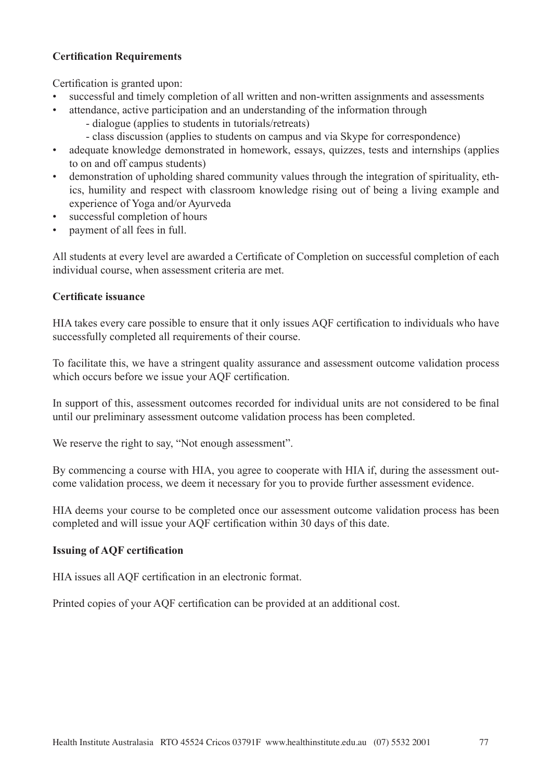# **Certification Requirements**

Certification is granted upon:

- successful and timely completion of all written and non-written assignments and assessments
- attendance, active participation and an understanding of the information through - dialogue (applies to students in tutorials/retreats)
	-
	- class discussion (applies to students on campus and via Skype for correspondence)
- adequate knowledge demonstrated in homework, essays, quizzes, tests and internships (applies to on and off campus students)
- demonstration of upholding shared community values through the integration of spirituality, ethics, humility and respect with classroom knowledge rising out of being a living example and experience of Yoga and/or Ayurveda
- successful completion of hours
- payment of all fees in full.

All students at every level are awarded a Certificate of Completion on successful completion of each individual course, when assessment criteria are met.

### **Certificate issuance**

HIA takes every care possible to ensure that it only issues AQF certification to individuals who have successfully completed all requirements of their course.

To facilitate this, we have a stringent quality assurance and assessment outcome validation process which occurs before we issue your AQF certification.

In support of this, assessment outcomes recorded for individual units are not considered to be final until our preliminary assessment outcome validation process has been completed.

We reserve the right to say, "Not enough assessment".

By commencing a course with HIA, you agree to cooperate with HIA if, during the assessment outcome validation process, we deem it necessary for you to provide further assessment evidence.

HIA deems your course to be completed once our assessment outcome validation process has been completed and will issue your AQF certification within 30 days of this date.

### **Issuing of AQF certification**

HIA issues all AQF certification in an electronic format.

Printed copies of your AQF certification can be provided at an additional cost.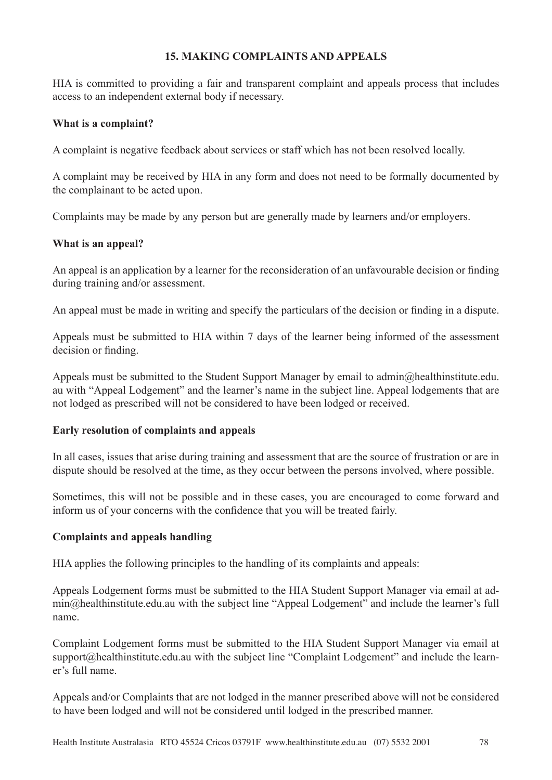### **15. MAKING COMPLAINTS AND APPEALS**

HIA is committed to providing a fair and transparent complaint and appeals process that includes access to an independent external body if necessary.

#### **What is a complaint?**

A complaint is negative feedback about services or staff which has not been resolved locally.

A complaint may be received by HIA in any form and does not need to be formally documented by the complainant to be acted upon.

Complaints may be made by any person but are generally made by learners and/or employers.

#### **What is an appeal?**

An appeal is an application by a learner for the reconsideration of an unfavourable decision or finding during training and/or assessment.

An appeal must be made in writing and specify the particulars of the decision or finding in a dispute.

Appeals must be submitted to HIA within 7 days of the learner being informed of the assessment decision or finding.

Appeals must be submitted to the Student Support Manager by email to admin@healthinstitute.edu. au with "Appeal Lodgement" and the learner's name in the subject line. Appeal lodgements that are not lodged as prescribed will not be considered to have been lodged or received.

#### **Early resolution of complaints and appeals**

In all cases, issues that arise during training and assessment that are the source of frustration or are in dispute should be resolved at the time, as they occur between the persons involved, where possible.

Sometimes, this will not be possible and in these cases, you are encouraged to come forward and inform us of your concerns with the confidence that you will be treated fairly.

#### **Complaints and appeals handling**

HIA applies the following principles to the handling of its complaints and appeals:

Appeals Lodgement forms must be submitted to the HIA Student Support Manager via email at admin@healthinstitute.edu.au with the subject line "Appeal Lodgement" and include the learner's full name.

Complaint Lodgement forms must be submitted to the HIA Student Support Manager via email at support@healthinstitute.edu.au with the subject line "Complaint Lodgement" and include the learner's full name.

Appeals and/or Complaints that are not lodged in the manner prescribed above will not be considered to have been lodged and will not be considered until lodged in the prescribed manner.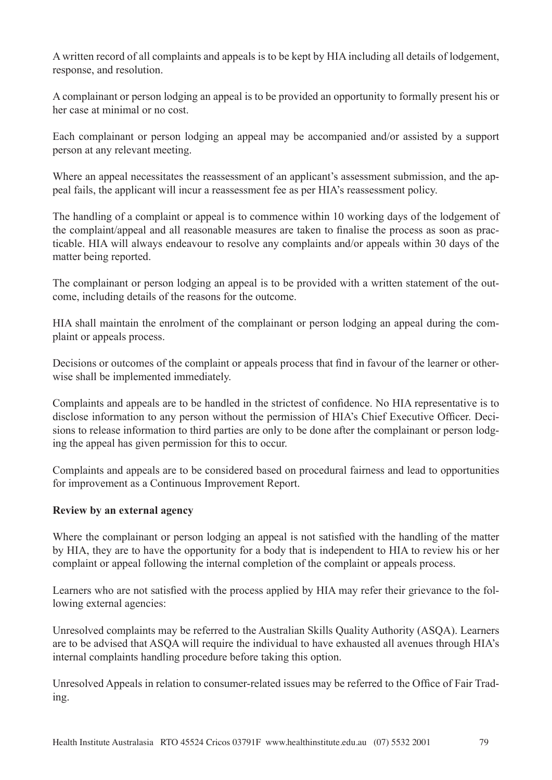A written record of all complaints and appeals is to be kept by HIA including all details of lodgement, response, and resolution.

A complainant or person lodging an appeal is to be provided an opportunity to formally present his or her case at minimal or no cost.

Each complainant or person lodging an appeal may be accompanied and/or assisted by a support person at any relevant meeting.

Where an appeal necessitates the reassessment of an applicant's assessment submission, and the appeal fails, the applicant will incur a reassessment fee as per HIA's reassessment policy.

The handling of a complaint or appeal is to commence within 10 working days of the lodgement of the complaint/appeal and all reasonable measures are taken to finalise the process as soon as practicable. HIA will always endeavour to resolve any complaints and/or appeals within 30 days of the matter being reported.

The complainant or person lodging an appeal is to be provided with a written statement of the outcome, including details of the reasons for the outcome.

HIA shall maintain the enrolment of the complainant or person lodging an appeal during the complaint or appeals process.

Decisions or outcomes of the complaint or appeals process that find in favour of the learner or otherwise shall be implemented immediately.

Complaints and appeals are to be handled in the strictest of confidence. No HIA representative is to disclose information to any person without the permission of HIA's Chief Executive Officer. Decisions to release information to third parties are only to be done after the complainant or person lodging the appeal has given permission for this to occur.

Complaints and appeals are to be considered based on procedural fairness and lead to opportunities for improvement as a Continuous Improvement Report.

### **Review by an external agency**

Where the complainant or person lodging an appeal is not satisfied with the handling of the matter by HIA, they are to have the opportunity for a body that is independent to HIA to review his or her complaint or appeal following the internal completion of the complaint or appeals process.

Learners who are not satisfied with the process applied by HIA may refer their grievance to the following external agencies:

Unresolved complaints may be referred to the Australian Skills Quality Authority (ASQA). Learners are to be advised that ASQA will require the individual to have exhausted all avenues through HIA's internal complaints handling procedure before taking this option.

Unresolved Appeals in relation to consumer-related issues may be referred to the Office of Fair Trading.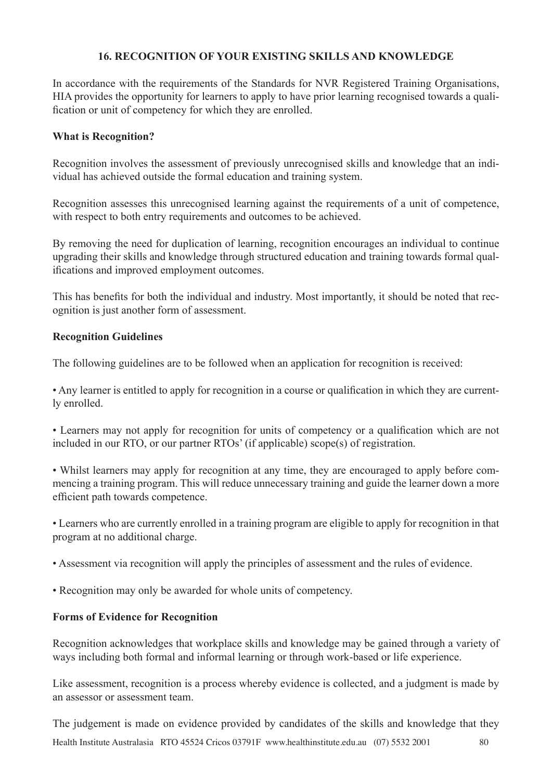### **16. RECOGNITION OF YOUR EXISTING SKILLS AND KNOWLEDGE**

In accordance with the requirements of the Standards for NVR Registered Training Organisations, HIA provides the opportunity for learners to apply to have prior learning recognised towards a qualification or unit of competency for which they are enrolled.

### **What is Recognition?**

Recognition involves the assessment of previously unrecognised skills and knowledge that an individual has achieved outside the formal education and training system.

Recognition assesses this unrecognised learning against the requirements of a unit of competence, with respect to both entry requirements and outcomes to be achieved.

By removing the need for duplication of learning, recognition encourages an individual to continue upgrading their skills and knowledge through structured education and training towards formal qualifications and improved employment outcomes.

This has benefits for both the individual and industry. Most importantly, it should be noted that recognition is just another form of assessment.

#### **Recognition Guidelines**

The following guidelines are to be followed when an application for recognition is received:

• Any learner is entitled to apply for recognition in a course or qualification in which they are currently enrolled.

• Learners may not apply for recognition for units of competency or a qualification which are not included in our RTO, or our partner RTOs' (if applicable) scope(s) of registration.

• Whilst learners may apply for recognition at any time, they are encouraged to apply before commencing a training program. This will reduce unnecessary training and guide the learner down a more efficient path towards competence.

• Learners who are currently enrolled in a training program are eligible to apply for recognition in that program at no additional charge.

- Assessment via recognition will apply the principles of assessment and the rules of evidence.
- Recognition may only be awarded for whole units of competency.

### **Forms of Evidence for Recognition**

Recognition acknowledges that workplace skills and knowledge may be gained through a variety of ways including both formal and informal learning or through work-based or life experience.

Like assessment, recognition is a process whereby evidence is collected, and a judgment is made by an assessor or assessment team.

Health Institute Australasia RTO 45524 Cricos 03791F www.healthinstitute.edu.au (07) 5532 2001 80 The judgement is made on evidence provided by candidates of the skills and knowledge that they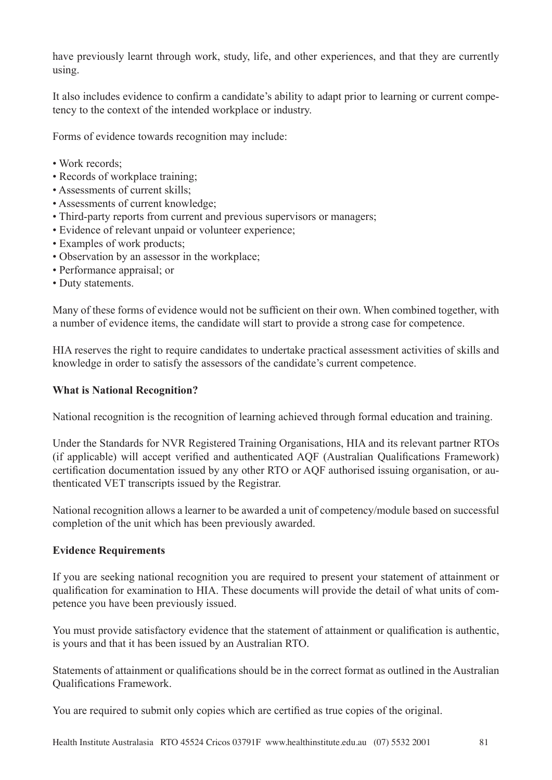have previously learnt through work, study, life, and other experiences, and that they are currently using.

It also includes evidence to confirm a candidate's ability to adapt prior to learning or current competency to the context of the intended workplace or industry.

Forms of evidence towards recognition may include:

- Work records:
- Records of workplace training;
- Assessments of current skills;
- Assessments of current knowledge;
- Third-party reports from current and previous supervisors or managers;
- Evidence of relevant unpaid or volunteer experience;
- Examples of work products;
- Observation by an assessor in the workplace;
- Performance appraisal; or
- Duty statements.

Many of these forms of evidence would not be sufficient on their own. When combined together, with a number of evidence items, the candidate will start to provide a strong case for competence.

HIA reserves the right to require candidates to undertake practical assessment activities of skills and knowledge in order to satisfy the assessors of the candidate's current competence.

# **What is National Recognition?**

National recognition is the recognition of learning achieved through formal education and training.

Under the Standards for NVR Registered Training Organisations, HIA and its relevant partner RTOs (if applicable) will accept verified and authenticated AQF (Australian Qualifications Framework) certification documentation issued by any other RTO or AQF authorised issuing organisation, or authenticated VET transcripts issued by the Registrar.

National recognition allows a learner to be awarded a unit of competency/module based on successful completion of the unit which has been previously awarded.

### **Evidence Requirements**

If you are seeking national recognition you are required to present your statement of attainment or qualification for examination to HIA. These documents will provide the detail of what units of competence you have been previously issued.

You must provide satisfactory evidence that the statement of attainment or qualification is authentic, is yours and that it has been issued by an Australian RTO.

Statements of attainment or qualifications should be in the correct format as outlined in the Australian Qualifications Framework.

You are required to submit only copies which are certified as true copies of the original.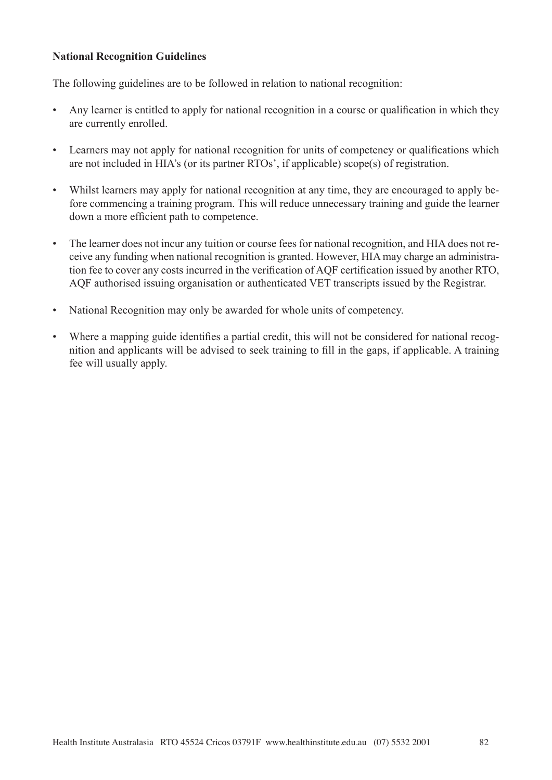#### **National Recognition Guidelines**

The following guidelines are to be followed in relation to national recognition:

- Any learner is entitled to apply for national recognition in a course or qualification in which they are currently enrolled.
- Learners may not apply for national recognition for units of competency or qualifications which are not included in HIA's (or its partner RTOs', if applicable) scope(s) of registration.
- Whilst learners may apply for national recognition at any time, they are encouraged to apply before commencing a training program. This will reduce unnecessary training and guide the learner down a more efficient path to competence.
- The learner does not incur any tuition or course fees for national recognition, and HIA does not receive any funding when national recognition is granted. However, HIA may charge an administration fee to cover any costs incurred in the verification of AQF certification issued by another RTO, AQF authorised issuing organisation or authenticated VET transcripts issued by the Registrar.
- National Recognition may only be awarded for whole units of competency.
- Where a mapping guide identifies a partial credit, this will not be considered for national recognition and applicants will be advised to seek training to fill in the gaps, if applicable. A training fee will usually apply.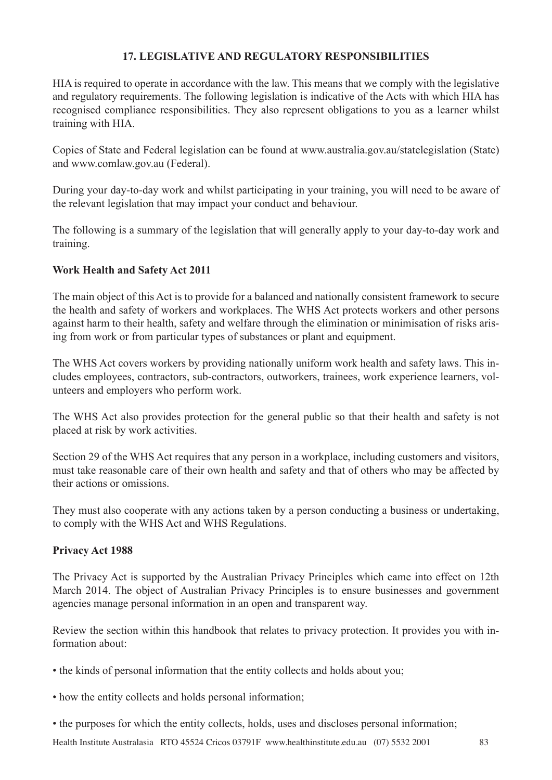# **17. LEGISLATIVE AND REGULATORY RESPONSIBILITIES**

HIA is required to operate in accordance with the law. This means that we comply with the legislative and regulatory requirements. The following legislation is indicative of the Acts with which HIA has recognised compliance responsibilities. They also represent obligations to you as a learner whilst training with HIA.

Copies of State and Federal legislation can be found at www.australia.gov.au/statelegislation (State) and www.comlaw.gov.au (Federal).

During your day-to-day work and whilst participating in your training, you will need to be aware of the relevant legislation that may impact your conduct and behaviour.

The following is a summary of the legislation that will generally apply to your day-to-day work and training.

# **Work Health and Safety Act 2011**

The main object of this Act is to provide for a balanced and nationally consistent framework to secure the health and safety of workers and workplaces. The WHS Act protects workers and other persons against harm to their health, safety and welfare through the elimination or minimisation of risks arising from work or from particular types of substances or plant and equipment.

The WHS Act covers workers by providing nationally uniform work health and safety laws. This includes employees, contractors, sub-contractors, outworkers, trainees, work experience learners, volunteers and employers who perform work.

The WHS Act also provides protection for the general public so that their health and safety is not placed at risk by work activities.

Section 29 of the WHS Act requires that any person in a workplace, including customers and visitors, must take reasonable care of their own health and safety and that of others who may be affected by their actions or omissions.

They must also cooperate with any actions taken by a person conducting a business or undertaking, to comply with the WHS Act and WHS Regulations.

### **Privacy Act 1988**

The Privacy Act is supported by the Australian Privacy Principles which came into effect on 12th March 2014. The object of Australian Privacy Principles is to ensure businesses and government agencies manage personal information in an open and transparent way.

Review the section within this handbook that relates to privacy protection. It provides you with information about:

- the kinds of personal information that the entity collects and holds about you;
- how the entity collects and holds personal information;
- the purposes for which the entity collects, holds, uses and discloses personal information;

Health Institute Australasia RTO 45524 Cricos 03791F www.healthinstitute.edu.au (07) 5532 2001 83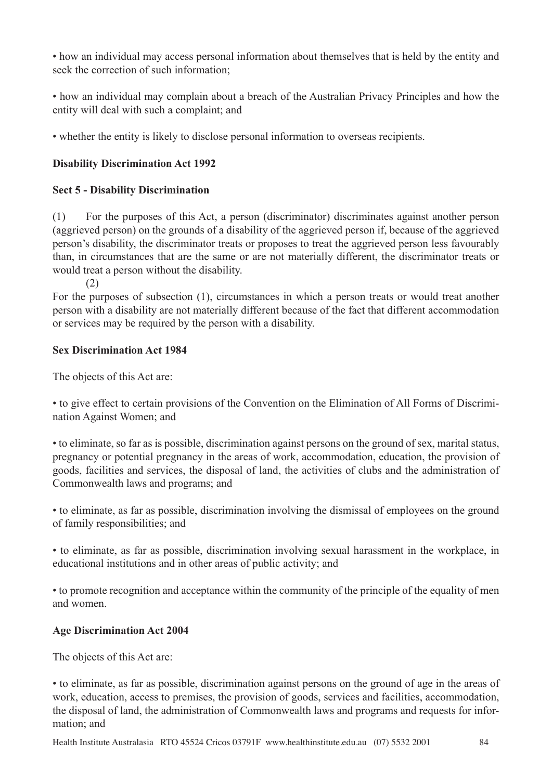• how an individual may access personal information about themselves that is held by the entity and seek the correction of such information;

• how an individual may complain about a breach of the Australian Privacy Principles and how the entity will deal with such a complaint; and

• whether the entity is likely to disclose personal information to overseas recipients.

# **Disability Discrimination Act 1992**

# **Sect 5 - Disability Discrimination**

(1) For the purposes of this Act, a person (discriminator) discriminates against another person (aggrieved person) on the grounds of a disability of the aggrieved person if, because of the aggrieved person's disability, the discriminator treats or proposes to treat the aggrieved person less favourably than, in circumstances that are the same or are not materially different, the discriminator treats or would treat a person without the disability.

(2)

For the purposes of subsection (1), circumstances in which a person treats or would treat another person with a disability are not materially different because of the fact that different accommodation or services may be required by the person with a disability.

# **Sex Discrimination Act 1984**

The objects of this Act are:

• to give effect to certain provisions of the Convention on the Elimination of All Forms of Discrimination Against Women; and

• to eliminate, so far as is possible, discrimination against persons on the ground of sex, marital status, pregnancy or potential pregnancy in the areas of work, accommodation, education, the provision of goods, facilities and services, the disposal of land, the activities of clubs and the administration of Commonwealth laws and programs; and

• to eliminate, as far as possible, discrimination involving the dismissal of employees on the ground of family responsibilities; and

• to eliminate, as far as possible, discrimination involving sexual harassment in the workplace, in educational institutions and in other areas of public activity; and

• to promote recognition and acceptance within the community of the principle of the equality of men and women.

# **Age Discrimination Act 2004**

The objects of this Act are:

• to eliminate, as far as possible, discrimination against persons on the ground of age in the areas of work, education, access to premises, the provision of goods, services and facilities, accommodation, the disposal of land, the administration of Commonwealth laws and programs and requests for information; and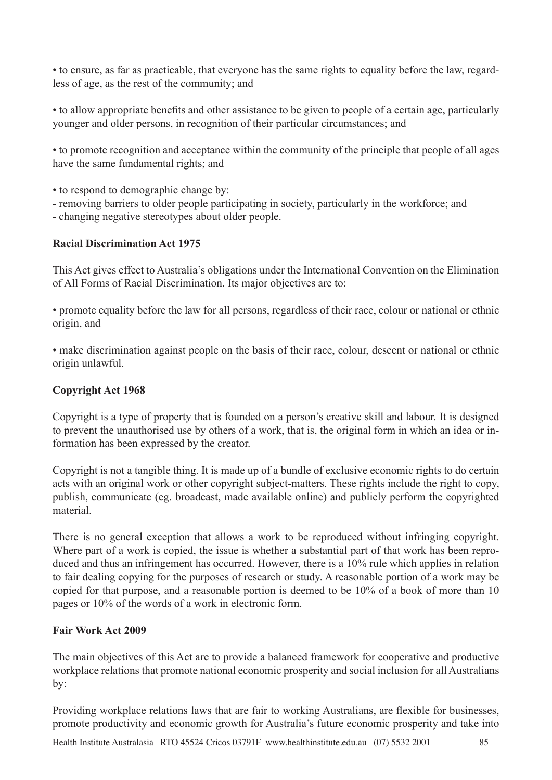• to ensure, as far as practicable, that everyone has the same rights to equality before the law, regardless of age, as the rest of the community; and

• to allow appropriate benefits and other assistance to be given to people of a certain age, particularly younger and older persons, in recognition of their particular circumstances; and

• to promote recognition and acceptance within the community of the principle that people of all ages have the same fundamental rights; and

- to respond to demographic change by:
- removing barriers to older people participating in society, particularly in the workforce; and
- changing negative stereotypes about older people.

# **Racial Discrimination Act 1975**

This Act gives effect to Australia's obligations under the International Convention on the Elimination of All Forms of Racial Discrimination. Its major objectives are to:

• promote equality before the law for all persons, regardless of their race, colour or national or ethnic origin, and

• make discrimination against people on the basis of their race, colour, descent or national or ethnic origin unlawful.

# **Copyright Act 1968**

Copyright is a type of property that is founded on a person's creative skill and labour. It is designed to prevent the unauthorised use by others of a work, that is, the original form in which an idea or information has been expressed by the creator.

Copyright is not a tangible thing. It is made up of a bundle of exclusive economic rights to do certain acts with an original work or other copyright subject-matters. These rights include the right to copy, publish, communicate (eg. broadcast, made available online) and publicly perform the copyrighted material.

There is no general exception that allows a work to be reproduced without infringing copyright. Where part of a work is copied, the issue is whether a substantial part of that work has been reproduced and thus an infringement has occurred. However, there is a 10% rule which applies in relation to fair dealing copying for the purposes of research or study. A reasonable portion of a work may be copied for that purpose, and a reasonable portion is deemed to be 10% of a book of more than 10 pages or 10% of the words of a work in electronic form.

### **Fair Work Act 2009**

The main objectives of this Act are to provide a balanced framework for cooperative and productive workplace relations that promote national economic prosperity and social inclusion for all Australians by:

Providing workplace relations laws that are fair to working Australians, are flexible for businesses, promote productivity and economic growth for Australia's future economic prosperity and take into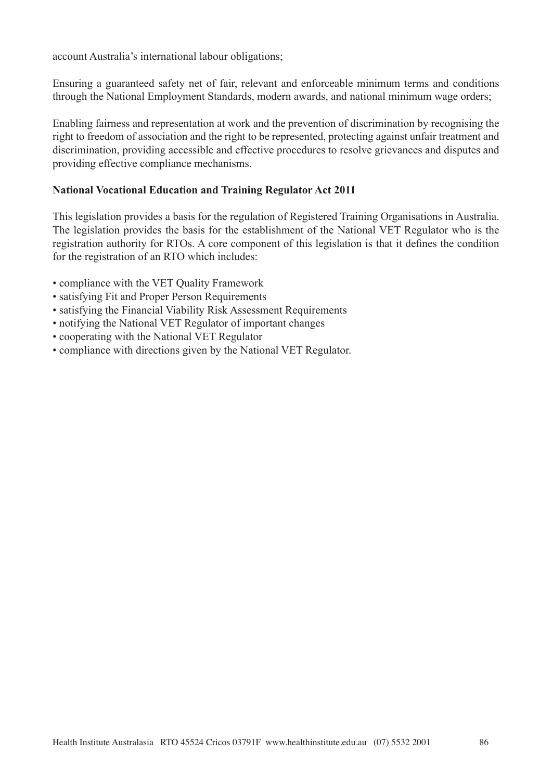account Australia's international labour obligations;

Ensuring a guaranteed safety net of fair, relevant and enforceable minimum terms and conditions through the National Employment Standards, modern awards, and national minimum wage orders;

Enabling fairness and representation at work and the prevention of discrimination by recognising the right to freedom of association and the right to be represented, protecting against unfair treatment and discrimination, providing accessible and effective procedures to resolve grievances and disputes and providing effective compliance mechanisms.

### **National Vocational Education and Training Regulator Act 2011**

This legislation provides a basis for the regulation of Registered Training Organisations in Australia. The legislation provides the basis for the establishment of the National VET Regulator who is the registration authority for RTOs. A core component of this legislation is that it defines the condition for the registration of an RTO which includes:

- compliance with the VET Quality Framework
- satisfying Fit and Proper Person Requirements
- satisfying the Financial Viability Risk Assessment Requirements
- notifying the National VET Regulator of important changes
- cooperating with the National VET Regulator
- compliance with directions given by the National VET Regulator.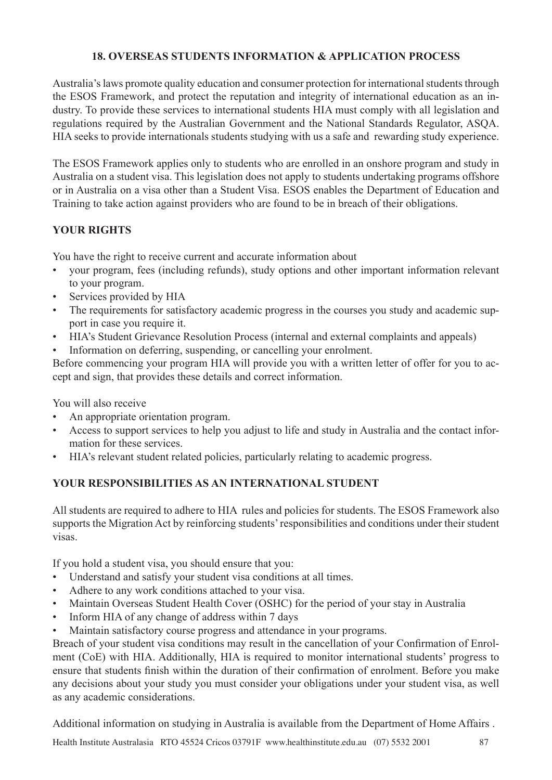# **18. OVERSEAS STUDENTS INFORMATION & APPLICATION PROCESS**

Australia's laws promote quality education and consumer protection for international students through the ESOS Framework, and protect the reputation and integrity of international education as an industry. To provide these services to international students HIA must comply with all legislation and regulations required by the Australian Government and the National Standards Regulator, ASQA. HIA seeks to provide internationals students studying with us a safe and rewarding study experience.

The ESOS Framework applies only to students who are enrolled in an onshore program and study in Australia on a student visa. This legislation does not apply to students undertaking programs offshore or in Australia on a visa other than a Student Visa. ESOS enables the Department of Education and Training to take action against providers who are found to be in breach of their obligations.

# **YOUR RIGHTS**

You have the right to receive current and accurate information about

- your program, fees (including refunds), study options and other important information relevant to your program.
- Services provided by HIA
- The requirements for satisfactory academic progress in the courses you study and academic support in case you require it.
- HIA's Student Grievance Resolution Process (internal and external complaints and appeals)
- Information on deferring, suspending, or cancelling your enrolment.

Before commencing your program HIA will provide you with a written letter of offer for you to accept and sign, that provides these details and correct information.

You will also receive

- An appropriate orientation program.
- Access to support services to help you adjust to life and study in Australia and the contact information for these services.
- HIA's relevant student related policies, particularly relating to academic progress.

# **YOUR RESPONSIBILITIES AS AN INTERNATIONAL STUDENT**

All students are required to adhere to HIA rules and policies for students. The ESOS Framework also supports the Migration Act by reinforcing students' responsibilities and conditions under their student visas.

If you hold a student visa, you should ensure that you:

- Understand and satisfy your student visa conditions at all times.
- Adhere to any work conditions attached to your visa.
- Maintain Overseas Student Health Cover (OSHC) for the period of your stay in Australia
- Inform HIA of any change of address within 7 days
- Maintain satisfactory course progress and attendance in your programs.

Breach of your student visa conditions may result in the cancellation of your Confirmation of Enrolment (CoE) with HIA. Additionally, HIA is required to monitor international students' progress to ensure that students finish within the duration of their confirmation of enrolment. Before you make any decisions about your study you must consider your obligations under your student visa, as well as any academic considerations.

Additional information on studying in Australia is available from the Department of Home Affairs .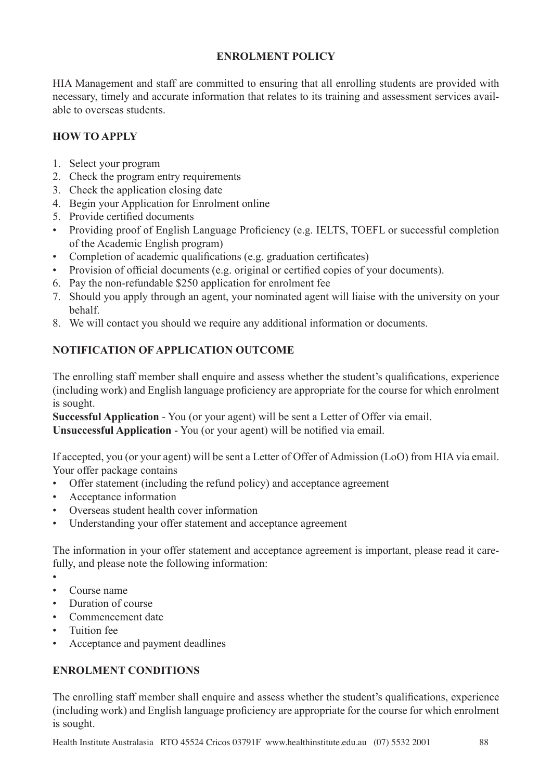# **ENROLMENT POLICY**

HIA Management and staff are committed to ensuring that all enrolling students are provided with necessary, timely and accurate information that relates to its training and assessment services available to overseas students.

# **HOW TO APPLY**

- 1. Select your program
- 2. Check the program entry requirements
- 3. Check the application closing date
- 4. Begin your Application for Enrolment online
- 5. Provide certified documents
- Providing proof of English Language Proficiency (e.g. IELTS, TOEFL or successful completion of the Academic English program)
- Completion of academic qualifications (e.g. graduation certificates)
- Provision of official documents (e.g. original or certified copies of your documents).
- 6. Pay the non-refundable \$250 application for enrolment fee
- 7. Should you apply through an agent, your nominated agent will liaise with the university on your behalf.
- 8. We will contact you should we require any additional information or documents.

# **NOTIFICATION OF APPLICATION OUTCOME**

The enrolling staff member shall enquire and assess whether the student's qualifications, experience (including work) and English language proficiency are appropriate for the course for which enrolment is sought.

**Successful Application** - You (or your agent) will be sent a Letter of Offer via email.

**Unsuccessful Application** - You (or your agent) will be notified via email.

If accepted, you (or your agent) will be sent a Letter of Offer of Admission (LoO) from HIA via email. Your offer package contains

- Offer statement (including the refund policy) and acceptance agreement
- Acceptance information
- Overseas student health cover information
- Understanding your offer statement and acceptance agreement

The information in your offer statement and acceptance agreement is important, please read it carefully, and please note the following information:

- •
- Course name
- Duration of course
- Commencement date
- Tuition fee
- Acceptance and payment deadlines

# **ENROLMENT CONDITIONS**

The enrolling staff member shall enquire and assess whether the student's qualifications, experience (including work) and English language proficiency are appropriate for the course for which enrolment is sought.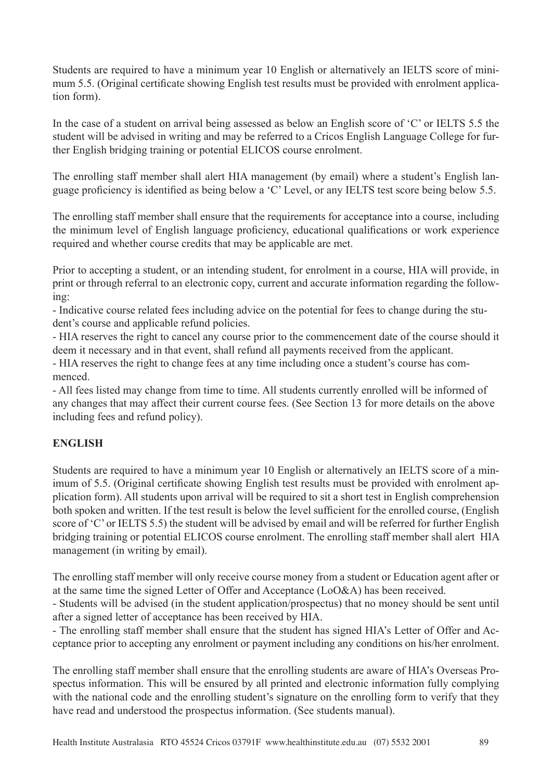Students are required to have a minimum year 10 English or alternatively an IELTS score of minimum 5.5. (Original certificate showing English test results must be provided with enrolment application form).

In the case of a student on arrival being assessed as below an English score of 'C' or IELTS 5.5 the student will be advised in writing and may be referred to a Cricos English Language College for further English bridging training or potential ELICOS course enrolment.

The enrolling staff member shall alert HIA management (by email) where a student's English language proficiency is identified as being below a 'C' Level, or any IELTS test score being below 5.5.

The enrolling staff member shall ensure that the requirements for acceptance into a course, including the minimum level of English language proficiency, educational qualifications or work experience required and whether course credits that may be applicable are met.

Prior to accepting a student, or an intending student, for enrolment in a course, HIA will provide, in print or through referral to an electronic copy, current and accurate information regarding the following:

- Indicative course related fees including advice on the potential for fees to change during the student's course and applicable refund policies.

- HIA reserves the right to cancel any course prior to the commencement date of the course should it deem it necessary and in that event, shall refund all payments received from the applicant.

- HIA reserves the right to change fees at any time including once a student's course has commenced.

- All fees listed may change from time to time. All students currently enrolled will be informed of any changes that may affect their current course fees. (See Section 13 for more details on the above including fees and refund policy).

# **ENGLISH**

Students are required to have a minimum year 10 English or alternatively an IELTS score of a minimum of 5.5. (Original certificate showing English test results must be provided with enrolment application form). All students upon arrival will be required to sit a short test in English comprehension both spoken and written. If the test result is below the level sufficient for the enrolled course, (English score of 'C' or IELTS 5.5) the student will be advised by email and will be referred for further English bridging training or potential ELICOS course enrolment. The enrolling staff member shall alert HIA management (in writing by email).

The enrolling staff member will only receive course money from a student or Education agent after or at the same time the signed Letter of Offer and Acceptance (LoO&A) has been received.

- Students will be advised (in the student application/prospectus) that no money should be sent until after a signed letter of acceptance has been received by HIA.

- The enrolling staff member shall ensure that the student has signed HIA's Letter of Offer and Acceptance prior to accepting any enrolment or payment including any conditions on his/her enrolment.

The enrolling staff member shall ensure that the enrolling students are aware of HIA's Overseas Prospectus information. This will be ensured by all printed and electronic information fully complying with the national code and the enrolling student's signature on the enrolling form to verify that they have read and understood the prospectus information. (See students manual).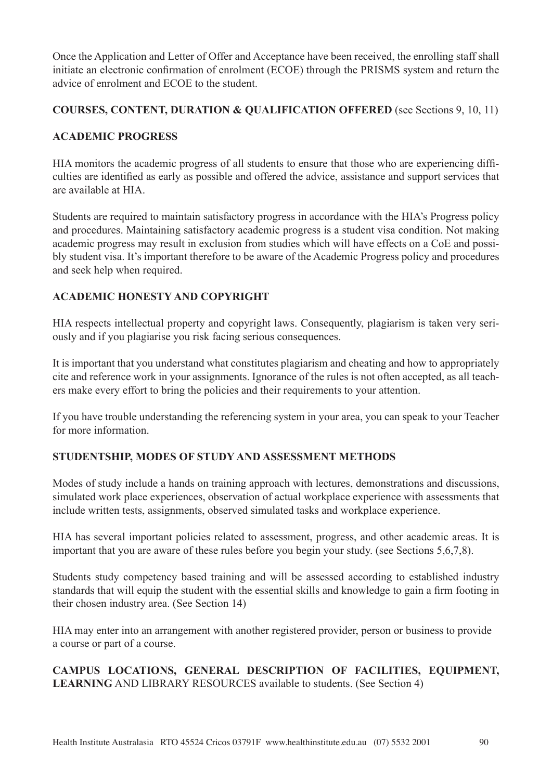Once the Application and Letter of Offer and Acceptance have been received, the enrolling staff shall initiate an electronic confirmation of enrolment (ECOE) through the PRISMS system and return the advice of enrolment and ECOE to the student.

### **COURSES, CONTENT, DURATION & QUALIFICATION OFFERED** (see Sections 9, 10, 11)

### **ACADEMIC PROGRESS**

HIA monitors the academic progress of all students to ensure that those who are experiencing difficulties are identified as early as possible and offered the advice, assistance and support services that are available at HIA.

Students are required to maintain satisfactory progress in accordance with the HIA's Progress policy and procedures. Maintaining satisfactory academic progress is a student visa condition. Not making academic progress may result in exclusion from studies which will have effects on a CoE and possibly student visa. It's important therefore to be aware of the Academic Progress policy and procedures and seek help when required.

# **ACADEMIC HONESTY AND COPYRIGHT**

HIA respects intellectual property and copyright laws. Consequently, plagiarism is taken very seriously and if you plagiarise you risk facing serious consequences.

It is important that you understand what constitutes plagiarism and cheating and how to appropriately cite and reference work in your assignments. Ignorance of the rules is not often accepted, as all teachers make every effort to bring the policies and their requirements to your attention.

If you have trouble understanding the referencing system in your area, you can speak to your Teacher for more information.

# **STUDENTSHIP, MODES OF STUDY AND ASSESSMENT METHODS**

Modes of study include a hands on training approach with lectures, demonstrations and discussions, simulated work place experiences, observation of actual workplace experience with assessments that include written tests, assignments, observed simulated tasks and workplace experience.

HIA has several important policies related to assessment, progress, and other academic areas. It is important that you are aware of these rules before you begin your study. (see Sections 5,6,7,8).

Students study competency based training and will be assessed according to established industry standards that will equip the student with the essential skills and knowledge to gain a firm footing in their chosen industry area. (See Section 14)

HIA may enter into an arrangement with another registered provider, person or business to provide a course or part of a course.

# **CAMPUS LOCATIONS, GENERAL DESCRIPTION OF FACILITIES, EQUIPMENT, LEARNING** AND LIBRARY RESOURCES available to students. (See Section 4)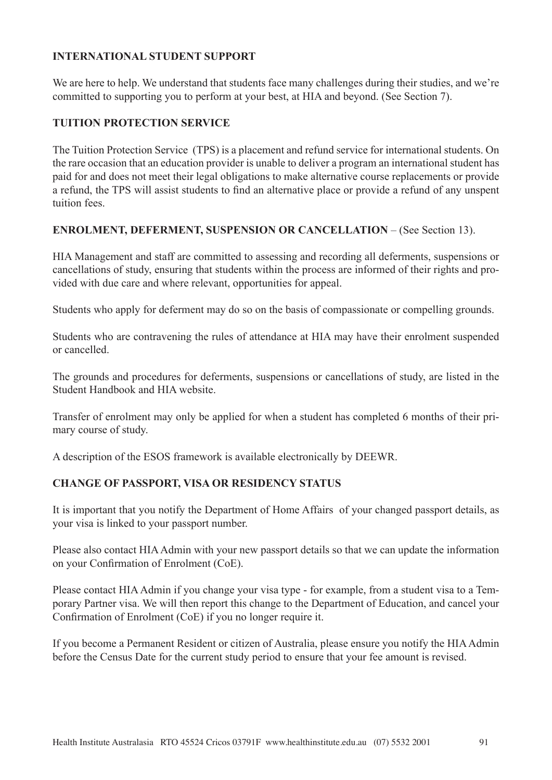### **INTERNATIONAL STUDENT SUPPORT**

We are here to help. We understand that students face many challenges during their studies, and we're committed to supporting you to perform at your best, at HIA and beyond. (See Section 7).

#### **TUITION PROTECTION SERVICE**

The Tuition Protection Service (TPS) is a placement and refund service for international students. On the rare occasion that an education provider is unable to deliver a program an international student has paid for and does not meet their legal obligations to make alternative course replacements or provide a refund, the TPS will assist students to find an alternative place or provide a refund of any unspent tuition fees.

#### **ENROLMENT, DEFERMENT, SUSPENSION OR CANCELLATION** – (See Section 13).

HIA Management and staff are committed to assessing and recording all deferments, suspensions or cancellations of study, ensuring that students within the process are informed of their rights and provided with due care and where relevant, opportunities for appeal.

Students who apply for deferment may do so on the basis of compassionate or compelling grounds.

Students who are contravening the rules of attendance at HIA may have their enrolment suspended or cancelled.

The grounds and procedures for deferments, suspensions or cancellations of study, are listed in the Student Handbook and HIA website.

Transfer of enrolment may only be applied for when a student has completed 6 months of their primary course of study.

A description of the ESOS framework is available electronically by DEEWR.

### **CHANGE OF PASSPORT, VISA OR RESIDENCY STATUS**

It is important that you notify the Department of Home Affairs of your changed passport details, as your visa is linked to your passport number.

Please also contact HIA Admin with your new passport details so that we can update the information on your Confirmation of Enrolment (CoE).

Please contact HIA Admin if you change your visa type - for example, from a student visa to a Temporary Partner visa. We will then report this change to the Department of Education, and cancel your Confirmation of Enrolment (CoE) if you no longer require it.

If you become a Permanent Resident or citizen of Australia, please ensure you notify the HIA Admin before the Census Date for the current study period to ensure that your fee amount is revised.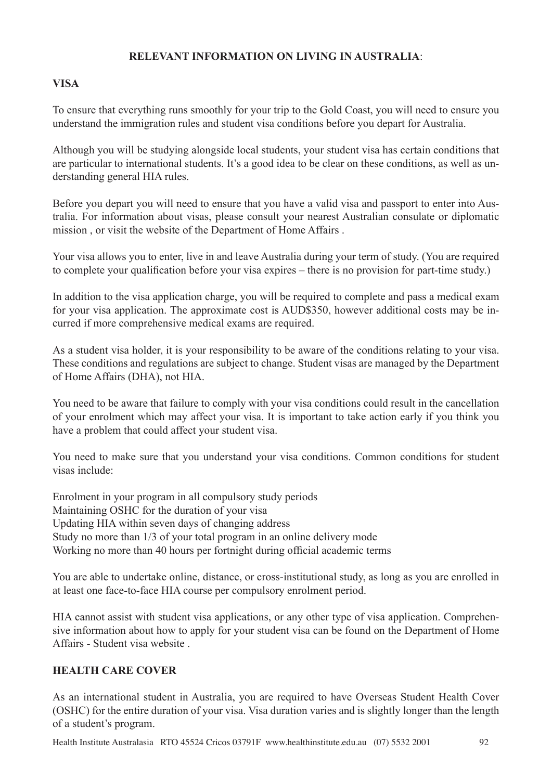### **RELEVANT INFORMATION ON LIVING IN AUSTRALIA**:

# **VISA**

To ensure that everything runs smoothly for your trip to the Gold Coast, you will need to ensure you understand the immigration rules and student visa conditions before you depart for Australia.

Although you will be studying alongside local students, your student visa has certain conditions that are particular to international students. It's a good idea to be clear on these conditions, as well as understanding general HIA rules.

Before you depart you will need to ensure that you have a valid visa and passport to enter into Australia. For information about visas, please consult your nearest Australian consulate or diplomatic mission , or visit the website of the Department of Home Affairs .

Your visa allows you to enter, live in and leave Australia during your term of study. (You are required to complete your qualification before your visa expires – there is no provision for part-time study.)

In addition to the visa application charge, you will be required to complete and pass a medical exam for your visa application. The approximate cost is AUD\$350, however additional costs may be incurred if more comprehensive medical exams are required.

As a student visa holder, it is your responsibility to be aware of the conditions relating to your visa. These conditions and regulations are subject to change. Student visas are managed by the Department of Home Affairs (DHA), not HIA.

You need to be aware that failure to comply with your visa conditions could result in the cancellation of your enrolment which may affect your visa. It is important to take action early if you think you have a problem that could affect your student visa.

You need to make sure that you understand your visa conditions. Common conditions for student visas include:

Enrolment in your program in all compulsory study periods Maintaining OSHC for the duration of your visa Updating HIA within seven days of changing address Study no more than 1/3 of your total program in an online delivery mode Working no more than 40 hours per fortnight during official academic terms

You are able to undertake online, distance, or cross-institutional study, as long as you are enrolled in at least one face-to-face HIA course per compulsory enrolment period.

HIA cannot assist with student visa applications, or any other type of visa application. Comprehensive information about how to apply for your student visa can be found on the Department of Home Affairs - Student visa website .

### **HEALTH CARE COVER**

As an international student in Australia, you are required to have Overseas Student Health Cover (OSHC) for the entire duration of your visa. Visa duration varies and is slightly longer than the length of a student's program.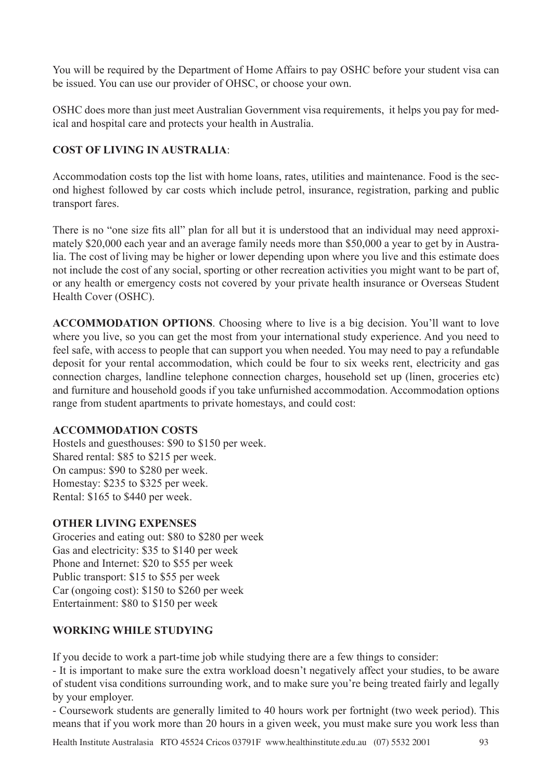You will be required by the Department of Home Affairs to pay OSHC before your student visa can be issued. You can use our provider of OHSC, or choose your own.

OSHC does more than just meet Australian Government visa requirements, it helps you pay for medical and hospital care and protects your health in Australia.

# **COST OF LIVING IN AUSTRALIA**:

Accommodation costs top the list with home loans, rates, utilities and maintenance. Food is the second highest followed by car costs which include petrol, insurance, registration, parking and public transport fares.

There is no "one size fits all" plan for all but it is understood that an individual may need approximately \$20,000 each year and an average family needs more than \$50,000 a year to get by in Australia. The cost of living may be higher or lower depending upon where you live and this estimate does not include the cost of any social, sporting or other recreation activities you might want to be part of, or any health or emergency costs not covered by your private health insurance or Overseas Student Health Cover (OSHC).

**ACCOMMODATION OPTIONS**. Choosing where to live is a big decision. You'll want to love where you live, so you can get the most from your international study experience. And you need to feel safe, with access to people that can support you when needed. You may need to pay a refundable deposit for your rental accommodation, which could be four to six weeks rent, electricity and gas connection charges, landline telephone connection charges, household set up (linen, groceries etc) and furniture and household goods if you take unfurnished accommodation. Accommodation options range from student apartments to private homestays, and could cost:

### **ACCOMMODATION COSTS**

Hostels and guesthouses: \$90 to \$150 per week. Shared rental: \$85 to \$215 per week. On campus: \$90 to \$280 per week. Homestay: \$235 to \$325 per week. Rental: \$165 to \$440 per week.

### **OTHER LIVING EXPENSES**

Groceries and eating out: \$80 to \$280 per week Gas and electricity: \$35 to \$140 per week Phone and Internet: \$20 to \$55 per week Public transport: \$15 to \$55 per week Car (ongoing cost): \$150 to \$260 per week Entertainment: \$80 to \$150 per week

### **WORKING WHILE STUDYING**

If you decide to work a part-time job while studying there are a few things to consider:

- It is important to make sure the extra workload doesn't negatively affect your studies, to be aware of student visa conditions surrounding work, and to make sure you're being treated fairly and legally by your employer.

- Coursework students are generally limited to 40 hours work per fortnight (two week period). This means that if you work more than 20 hours in a given week, you must make sure you work less than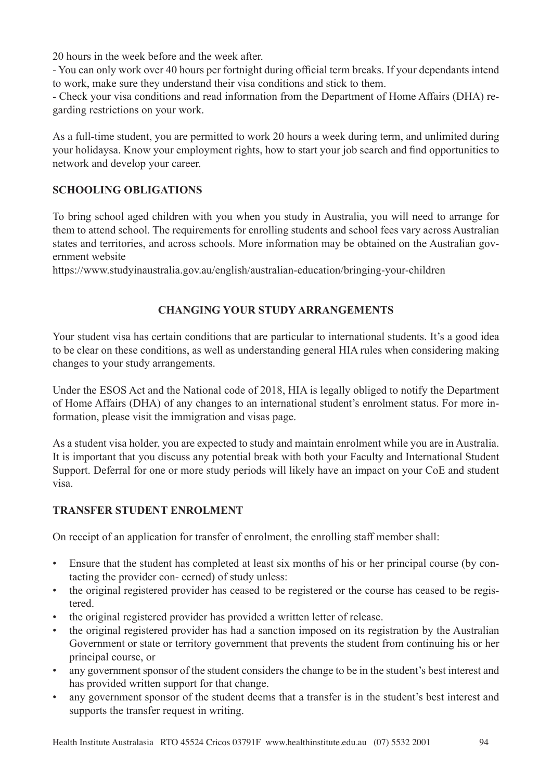20 hours in the week before and the week after.

- You can only work over 40 hours per fortnight during official term breaks. If your dependants intend to work, make sure they understand their visa conditions and stick to them.

- Check your visa conditions and read information from the Department of Home Affairs (DHA) regarding restrictions on your work.

As a full-time student, you are permitted to work 20 hours a week during term, and unlimited during your holidaysa. Know your employment rights, how to start your job search and find opportunities to network and develop your career.

# **SCHOOLING OBLIGATIONS**

To bring school aged children with you when you study in Australia, you will need to arrange for them to attend school. The requirements for enrolling students and school fees vary across Australian states and territories, and across schools. More information may be obtained on the Australian government website

https://www.studyinaustralia.gov.au/english/australian-education/bringing-your-children

# **CHANGING YOUR STUDY ARRANGEMENTS**

Your student visa has certain conditions that are particular to international students. It's a good idea to be clear on these conditions, as well as understanding general HIA rules when considering making changes to your study arrangements.

Under the ESOS Act and the National code of 2018, HIA is legally obliged to notify the Department of Home Affairs (DHA) of any changes to an international student's enrolment status. For more information, please visit the immigration and visas page.

As a student visa holder, you are expected to study and maintain enrolment while you are in Australia. It is important that you discuss any potential break with both your Faculty and International Student Support. Deferral for one or more study periods will likely have an impact on your CoE and student visa.

### **TRANSFER STUDENT ENROLMENT**

On receipt of an application for transfer of enrolment, the enrolling staff member shall:

- Ensure that the student has completed at least six months of his or her principal course (by contacting the provider con- cerned) of study unless:
- the original registered provider has ceased to be registered or the course has ceased to be registered.
- the original registered provider has provided a written letter of release.
- the original registered provider has had a sanction imposed on its registration by the Australian Government or state or territory government that prevents the student from continuing his or her principal course, or
- any government sponsor of the student considers the change to be in the student's best interest and has provided written support for that change.
- any government sponsor of the student deems that a transfer is in the student's best interest and supports the transfer request in writing.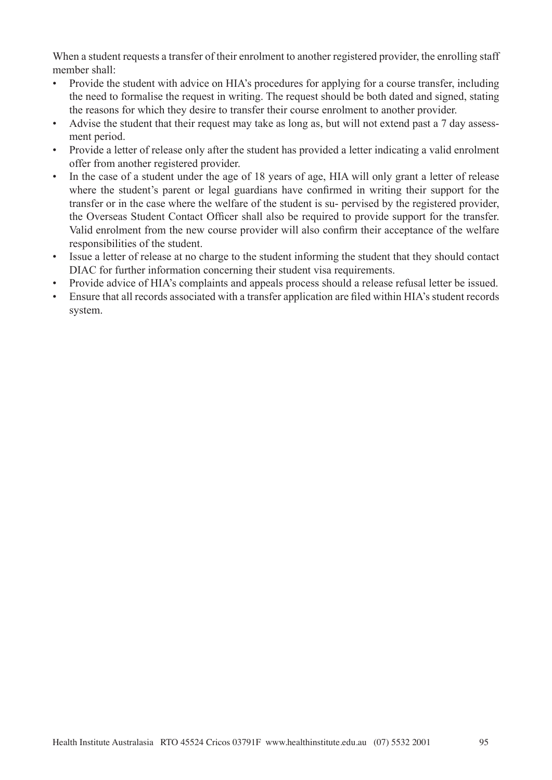When a student requests a transfer of their enrolment to another registered provider, the enrolling staff member shall:

- Provide the student with advice on HIA's procedures for applying for a course transfer, including the need to formalise the request in writing. The request should be both dated and signed, stating the reasons for which they desire to transfer their course enrolment to another provider.
- Advise the student that their request may take as long as, but will not extend past a 7 day assessment period.
- Provide a letter of release only after the student has provided a letter indicating a valid enrolment offer from another registered provider.
- In the case of a student under the age of 18 years of age, HIA will only grant a letter of release where the student's parent or legal guardians have confirmed in writing their support for the transfer or in the case where the welfare of the student is su- pervised by the registered provider, the Overseas Student Contact Officer shall also be required to provide support for the transfer. Valid enrolment from the new course provider will also confirm their acceptance of the welfare responsibilities of the student.
- Issue a letter of release at no charge to the student informing the student that they should contact DIAC for further information concerning their student visa requirements.
- Provide advice of HIA's complaints and appeals process should a release refusal letter be issued.
- Ensure that all records associated with a transfer application are filed within HIA's student records system.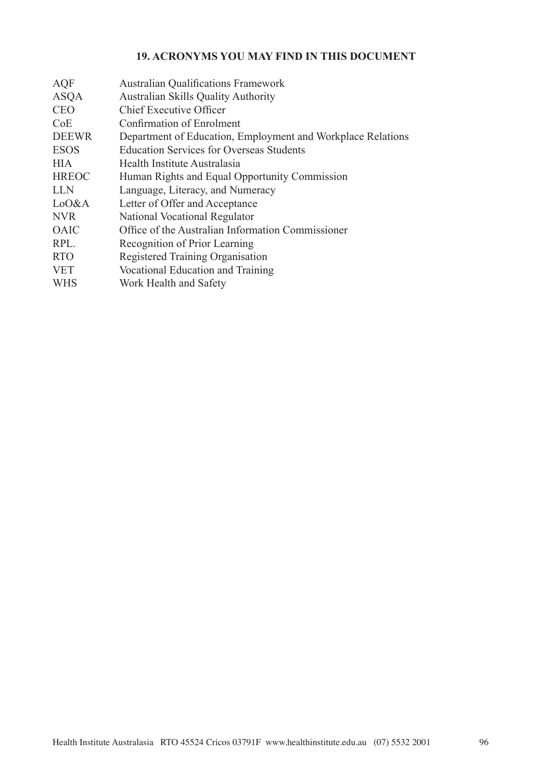# **19. ACRONYMS YOU MAY FIND IN THIS DOCUMENT**

| <b>AQF</b>   | <b>Australian Qualifications Framework</b>                  |
|--------------|-------------------------------------------------------------|
| <b>ASQA</b>  | <b>Australian Skills Quality Authority</b>                  |
| <b>CEO</b>   | Chief Executive Officer                                     |
| CoE          | Confirmation of Enrolment                                   |
| <b>DEEWR</b> | Department of Education, Employment and Workplace Relations |
| <b>ESOS</b>  | <b>Education Services for Overseas Students</b>             |
| <b>HIA</b>   | Health Institute Australasia                                |
| <b>HREOC</b> | Human Rights and Equal Opportunity Commission               |
| <b>LLN</b>   | Language, Literacy, and Numeracy                            |
| LoO&A        | Letter of Offer and Acceptance                              |
| <b>NVR</b>   | National Vocational Regulator                               |
| <b>OAIC</b>  | Office of the Australian Information Commissioner           |
| RPL.         | Recognition of Prior Learning                               |
| <b>RTO</b>   | Registered Training Organisation                            |
| <b>VET</b>   | Vocational Education and Training                           |
| <b>WHS</b>   | Work Health and Safety                                      |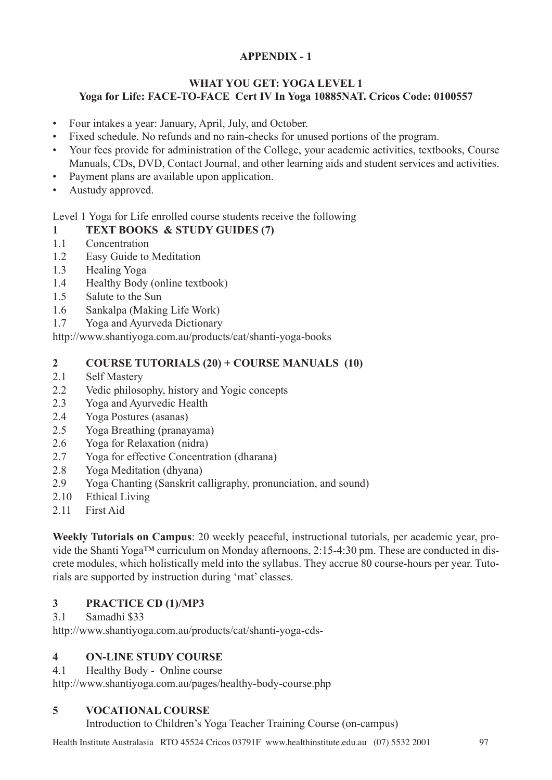# **APPENDIX - 1**

# **WHAT YOU GET: YOGA LEVEL 1 Yoga for Life: FACE-TO-FACE Cert IV In Yoga 10885NAT. Cricos Code: 0100557**

- Four intakes a year: January, April, July, and October.
- Fixed schedule. No refunds and no rain-checks for unused portions of the program.
- Your fees provide for administration of the College, your academic activities, textbooks, Course Manuals, CDs, DVD, Contact Journal, and other learning aids and student services and activities.
- Payment plans are available upon application.
- Austudy approved.

# Level 1 Yoga for Life enrolled course students receive the following

# **1 TEXT BOOKS & STUDY GUIDES (7)**

- 1.1 Concentration
- 1.2 Easy Guide to Meditation
- 1.3 Healing Yoga
- 1.4 Healthy Body (online textbook)
- 1.5 Salute to the Sun
- 1.6 Sankalpa (Making Life Work)
- 1.7 Yoga and Ayurveda Dictionary

http://www.shantiyoga.com.au/products/cat/shanti-yoga-books

# **2 COURSE TUTORIALS (20) + COURSE MANUALS (10)**

- 2.1 Self Mastery
- 2.2 Vedic philosophy, history and Yogic concepts
- 2.3 Yoga and Ayurvedic Health
- 2.4 Yoga Postures (asanas)
- 2.5 Yoga Breathing (pranayama)
- 2.6 Yoga for Relaxation (nidra)
- 2.7 Yoga for effective Concentration (dharana)
- 2.8 Yoga Meditation (dhyana)
- 2.9 Yoga Chanting (Sanskrit calligraphy, pronunciation, and sound)
- 2.10 Ethical Living
- 2.11 First Aid

**Weekly Tutorials on Campus**: 20 weekly peaceful, instructional tutorials, per academic year, provide the Shanti Yoga™ curriculum on Monday afternoons, 2:15-4:30 pm. These are conducted in discrete modules, which holistically meld into the syllabus. They accrue 80 course-hours per year. Tutorials are supported by instruction during 'mat' classes.

# **3 PRACTICE CD (1)/MP3**

### 3.1 Samadhi \$33

http://www.shantiyoga.com.au/products/cat/shanti-yoga-cds-

### **4 ON-LINE STUDY COURSE**

4.1 Healthy Body - Online course

http://www.shantiyoga.com.au/pages/healthy-body-course.php

# **5 VOCATIONAL COURSE**

Introduction to Children's Yoga Teacher Training Course (on-campus)

Health Institute Australasia RTO 45524 Cricos 03791F www.healthinstitute.edu.au (07) 5532 2001 97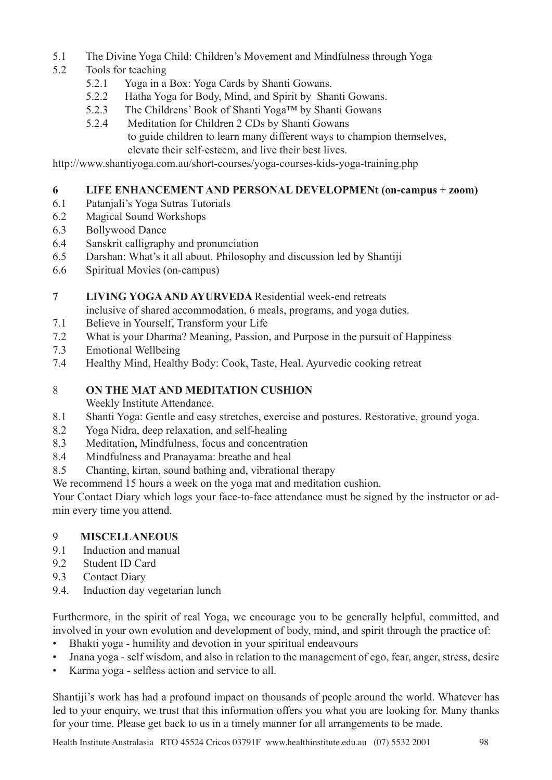- 5.1 The Divine Yoga Child: Children's Movement and Mindfulness through Yoga
- 5.2 Tools for teaching
	- 5.2.1 Yoga in a Box: Yoga Cards by Shanti Gowans.
	- 5.2.2 Hatha Yoga for Body, Mind, and Spirit by Shanti Gowans.
	- 5.2.3 The Childrens' Book of Shanti Yoga™ by Shanti Gowans
	- 5.2.4 Meditation for Children 2 CDs by Shanti Gowans to guide children to learn many different ways to champion themselves, elevate their self-esteem, and live their best lives.

http://www.shantiyoga.com.au/short-courses/yoga-courses-kids-yoga-training.php

# **6 LIFE ENHANCEMENT AND PERSONAL DEVELOPMENt (on-campus + zoom)**

- 6.1 Patanjali's Yoga Sutras Tutorials
- 6.2 Magical Sound Workshops
- 6.3 Bollywood Dance
- 6.4 Sanskrit calligraphy and pronunciation
- 6.5 Darshan: What's it all about. Philosophy and discussion led by Shantiji
- 6.6 Spiritual Movies (on-campus)

### **7 LIVING YOGA AND AYURVEDA** Residential week-end retreats

inclusive of shared accommodation, 6 meals, programs, and yoga duties.

- 7.1 Believe in Yourself, Transform your Life
- 7.2 What is your Dharma? Meaning, Passion, and Purpose in the pursuit of Happiness
- 7.3 Emotional Wellbeing
- 7.4 Healthy Mind, Healthy Body: Cook, Taste, Heal. Ayurvedic cooking retreat

# 8 **ON THE MAT AND MEDITATION CUSHION**

Weekly Institute Attendance.

- 8.1 Shanti Yoga: Gentle and easy stretches, exercise and postures. Restorative, ground yoga.
- 8.2 Yoga Nidra, deep relaxation, and self-healing
- 8.3 Meditation, Mindfulness, focus and concentration
- 8.4 Mindfulness and Pranayama: breathe and heal
- 8.5 Chanting, kirtan, sound bathing and, vibrational therapy

We recommend 15 hours a week on the yoga mat and meditation cushion.

Your Contact Diary which logs your face-to-face attendance must be signed by the instructor or admin every time you attend.

# 9 **MISCELLANEOUS**

- 9.1 Induction and manual
- 9.2 Student ID Card
- 9.3 Contact Diary
- 9.4. Induction day vegetarian lunch

Furthermore, in the spirit of real Yoga, we encourage you to be generally helpful, committed, and involved in your own evolution and development of body, mind, and spirit through the practice of:

- Bhakti yoga humility and devotion in your spiritual endeavours
- Jnana yoga self wisdom, and also in relation to the management of ego, fear, anger, stress, desire
- Karma yoga selfless action and service to all.

Shantiji's work has had a profound impact on thousands of people around the world. Whatever has led to your enquiry, we trust that this information offers you what you are looking for. Many thanks for your time. Please get back to us in a timely manner for all arrangements to be made.

Health Institute Australasia RTO 45524 Cricos 03791F www.healthinstitute.edu.au (07) 5532 2001 98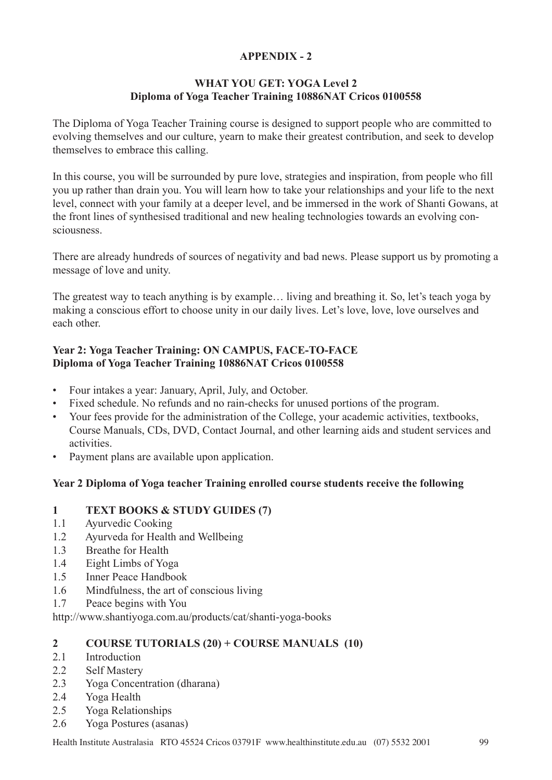# **APPENDIX - 2**

### **WHAT YOU GET: YOGA Level 2 Diploma of Yoga Teacher Training 10886NAT Cricos 0100558**

The Diploma of Yoga Teacher Training course is designed to support people who are committed to evolving themselves and our culture, yearn to make their greatest contribution, and seek to develop themselves to embrace this calling.

In this course, you will be surrounded by pure love, strategies and inspiration, from people who fill you up rather than drain you. You will learn how to take your relationships and your life to the next level, connect with your family at a deeper level, and be immersed in the work of Shanti Gowans, at the front lines of synthesised traditional and new healing technologies towards an evolving consciousness.

There are already hundreds of sources of negativity and bad news. Please support us by promoting a message of love and unity.

The greatest way to teach anything is by example… living and breathing it. So, let's teach yoga by making a conscious effort to choose unity in our daily lives. Let's love, love, love ourselves and each other.

# **Year 2: Yoga Teacher Training: ON CAMPUS, FACE-TO-FACE Diploma of Yoga Teacher Training 10886NAT Cricos 0100558**

- Four intakes a year: January, April, July, and October.
- Fixed schedule. No refunds and no rain-checks for unused portions of the program.
- Your fees provide for the administration of the College, your academic activities, textbooks, Course Manuals, CDs, DVD, Contact Journal, and other learning aids and student services and activities.
- Payment plans are available upon application.

### **Year 2 Diploma of Yoga teacher Training enrolled course students receive the following**

### **1 TEXT BOOKS & STUDY GUIDES (7)**

- 1.1 Ayurvedic Cooking
- 1.2 Ayurveda for Health and Wellbeing
- 1.3 Breathe for Health
- 1.4 Eight Limbs of Yoga
- 1.5 Inner Peace Handbook
- 1.6 Mindfulness, the art of conscious living
- 1.7 Peace begins with You

http://www.shantiyoga.com.au/products/cat/shanti-yoga-books

### **2 COURSE TUTORIALS (20) + COURSE MANUALS (10)**

- 2.1 Introduction
- 2.2 Self Mastery
- 2.3 Yoga Concentration (dharana)
- 2.4 Yoga Health
- 2.5 Yoga Relationships
- 2.6 Yoga Postures (asanas)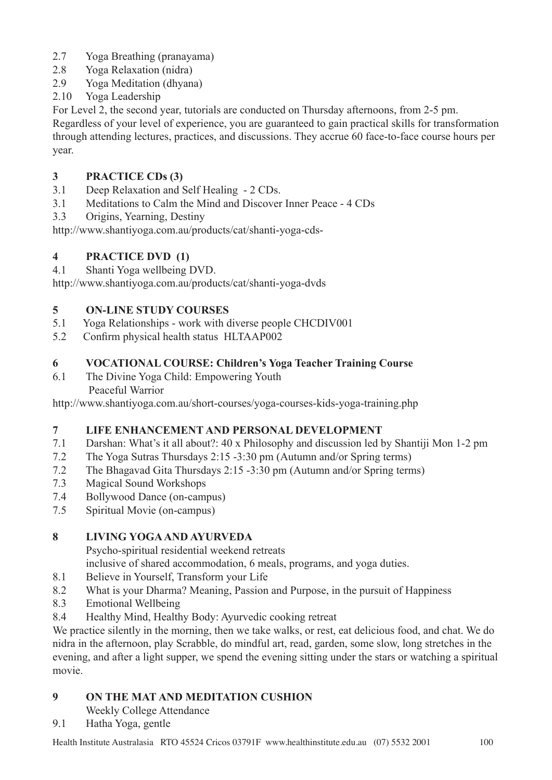- 2.7 Yoga Breathing (pranayama)
- 2.8 Yoga Relaxation (nidra)
- 2.9 Yoga Meditation (dhyana)
- 2.10 Yoga Leadership

For Level 2, the second year, tutorials are conducted on Thursday afternoons, from 2-5 pm. Regardless of your level of experience, you are guaranteed to gain practical skills for transformation through attending lectures, practices, and discussions. They accrue 60 face-to-face course hours per year.

# **3 PRACTICE CDs (3)**

- 3.1 Deep Relaxation and Self Healing 2 CDs.
- 3.1 Meditations to Calm the Mind and Discover Inner Peace 4 CDs
- 3.3 Origins, Yearning, Destiny

http://www.shantiyoga.com.au/products/cat/shanti-yoga-cds-

# **4 PRACTICE DVD (1)**

4.1 Shanti Yoga wellbeing DVD.

http://www.shantiyoga.com.au/products/cat/shanti-yoga-dvds

# **5 ON-LINE STUDY COURSES**

- 5.1 Yoga Relationships work with diverse people CHCDIV001
- 5.2 Confirm physical health status HLTAAP002

# **6 VOCATIONAL COURSE: Children's Yoga Teacher Training Course**

6.1 The Divine Yoga Child: Empowering Youth Peaceful Warrior

http://www.shantiyoga.com.au/short-courses/yoga-courses-kids-yoga-training.php

# **7 LIFE ENHANCEMENT AND PERSONAL DEVELOPMENT**

- 7.1 Darshan: What's it all about?: 40 x Philosophy and discussion led by Shantiji Mon 1-2 pm
- 7.2 The Yoga Sutras Thursdays 2:15 -3:30 pm (Autumn and/or Spring terms)
- 7.2 The Bhagavad Gita Thursdays 2:15 -3:30 pm (Autumn and/or Spring terms)
- 7.3 Magical Sound Workshops
- 7.4 Bollywood Dance (on-campus)
- 7.5 Spiritual Movie (on-campus)

# **8 LIVING YOGA AND AYURVEDA**

Psycho-spiritual residential weekend retreats

inclusive of shared accommodation, 6 meals, programs, and yoga duties.

- 8.1 Believe in Yourself, Transform your Life
- 8.2 What is your Dharma? Meaning, Passion and Purpose, in the pursuit of Happiness
- 8.3 Emotional Wellbeing
- 8.4 Healthy Mind, Healthy Body: Ayurvedic cooking retreat

We practice silently in the morning, then we take walks, or rest, eat delicious food, and chat. We do nidra in the afternoon, play Scrabble, do mindful art, read, garden, some slow, long stretches in the evening, and after a light supper, we spend the evening sitting under the stars or watching a spiritual movie.

# **9 ON THE MAT AND MEDITATION CUSHION**

Weekly College Attendance

9.1 Hatha Yoga, gentle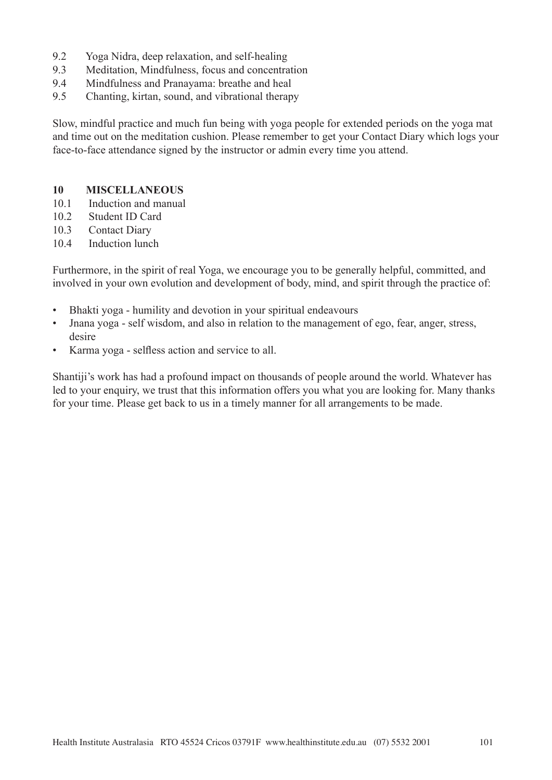- 9.2 Yoga Nidra, deep relaxation, and self-healing
- 9.3 Meditation, Mindfulness, focus and concentration
- 9.4 Mindfulness and Pranayama: breathe and heal
- 9.5 Chanting, kirtan, sound, and vibrational therapy

Slow, mindful practice and much fun being with yoga people for extended periods on the yoga mat and time out on the meditation cushion. Please remember to get your Contact Diary which logs your face-to-face attendance signed by the instructor or admin every time you attend.

#### **10 MISCELLANEOUS**

- 10.1 Induction and manual
- 10.2 Student ID Card
- 10.3 Contact Diary
- 10.4 Induction lunch

Furthermore, in the spirit of real Yoga, we encourage you to be generally helpful, committed, and involved in your own evolution and development of body, mind, and spirit through the practice of:

- Bhakti yoga humility and devotion in your spiritual endeavours
- Jnana yoga self wisdom, and also in relation to the management of ego, fear, anger, stress, desire
- Karma yoga selfless action and service to all.

Shantiji's work has had a profound impact on thousands of people around the world. Whatever has led to your enquiry, we trust that this information offers you what you are looking for. Many thanks for your time. Please get back to us in a timely manner for all arrangements to be made.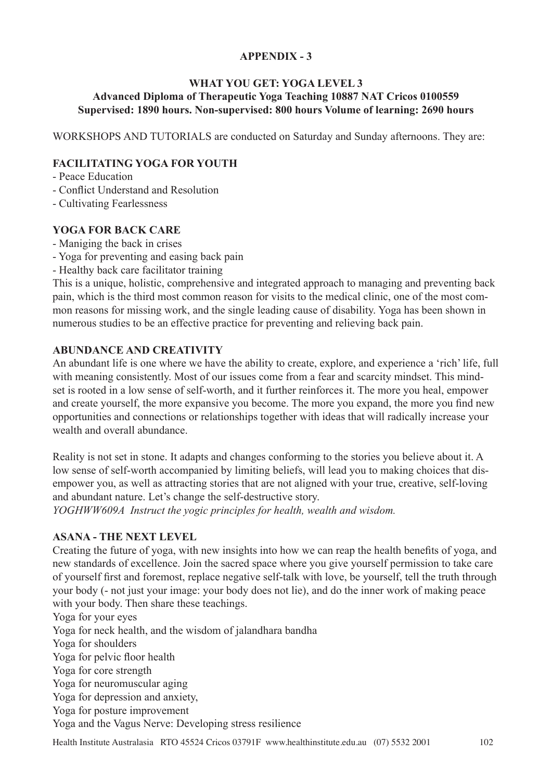# **APPENDIX - 3**

### **WHAT YOU GET: YOGA LEVEL 3 Advanced Diploma of Therapeutic Yoga Teaching 10887 NAT Cricos 0100559 Supervised: 1890 hours. Non-supervised: 800 hours Volume of learning: 2690 hours**

WORKSHOPS AND TUTORIALS are conducted on Saturday and Sunday afternoons. They are:

### **FACILITATING YOGA FOR YOUTH**

- Peace Education

- Conflict Understand and Resolution
- Cultivating Fearlessness

### **YOGA FOR BACK CARE**

- Maniging the back in crises
- Yoga for preventing and easing back pain
- Healthy back care facilitator training

This is a unique, holistic, comprehensive and integrated approach to managing and preventing back pain, which is the third most common reason for visits to the medical clinic, one of the most common reasons for missing work, and the single leading cause of disability. Yoga has been shown in numerous studies to be an effective practice for preventing and relieving back pain.

### **ABUNDANCE AND CREATIVITY**

An abundant life is one where we have the ability to create, explore, and experience a 'rich' life, full with meaning consistently. Most of our issues come from a fear and scarcity mindset. This mindset is rooted in a low sense of self-worth, and it further reinforces it. The more you heal, empower and create yourself, the more expansive you become. The more you expand, the more you find new opportunities and connections or relationships together with ideas that will radically increase your wealth and overall abundance.

Reality is not set in stone. It adapts and changes conforming to the stories you believe about it. A low sense of self-worth accompanied by limiting beliefs, will lead you to making choices that disempower you, as well as attracting stories that are not aligned with your true, creative, self-loving and abundant nature. Let's change the self-destructive story.

*YOGHWW609A Instruct the yogic principles for health, wealth and wisdom.* 

### **ASANA - THE NEXT LEVEL**

Creating the future of yoga, with new insights into how we can reap the health benefits of yoga, and new standards of excellence. Join the sacred space where you give yourself permission to take care of yourself first and foremost, replace negative self-talk with love, be yourself, tell the truth through your body (- not just your image: your body does not lie), and do the inner work of making peace with your body. Then share these teachings.

Yoga for your eyes Yoga for neck health, and the wisdom of jalandhara bandha Yoga for shoulders Yoga for pelvic floor health Yoga for core strength Yoga for neuromuscular aging Yoga for depression and anxiety, Yoga for posture improvement Yoga and the Vagus Nerve: Developing stress resilience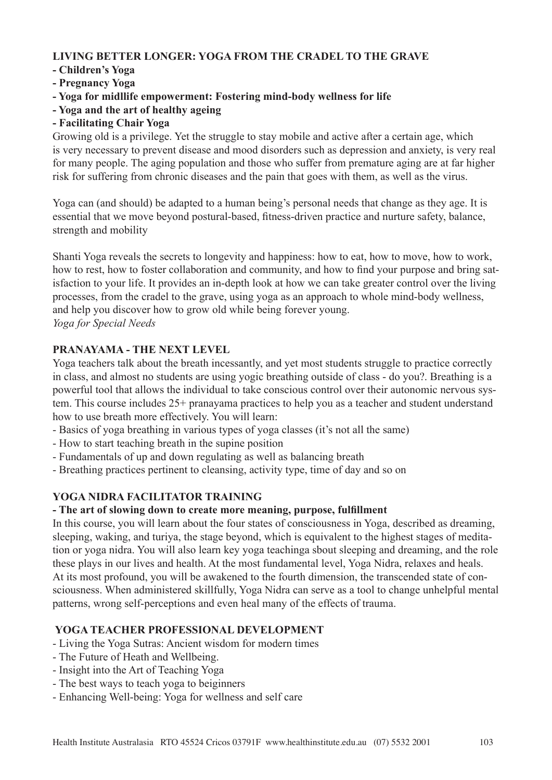# **LIVING BETTER LONGER: YOGA FROM THE CRADEL TO THE GRAVE**

# **- Children's Yoga**

- **Pregnancy Yoga**
- **Yoga for midllife empowerment: Fostering mind-body wellness for life**
- **Yoga and the art of healthy ageing**
- **Facilitating Chair Yoga**

Growing old is a privilege. Yet the struggle to stay mobile and active after a certain age, which is very necessary to prevent disease and mood disorders such as depression and anxiety, is very real for many people. The aging population and those who suffer from premature aging are at far higher risk for suffering from chronic diseases and the pain that goes with them, as well as the virus.

Yoga can (and should) be adapted to a human being's personal needs that change as they age. It is essential that we move beyond postural-based, fitness-driven practice and nurture safety, balance, strength and mobility

Shanti Yoga reveals the secrets to longevity and happiness: how to eat, how to move, how to work, how to rest, how to foster collaboration and community, and how to find your purpose and bring satisfaction to your life. It provides an in-depth look at how we can take greater control over the living processes, from the cradel to the grave, using yoga as an approach to whole mind-body wellness, and help you discover how to grow old while being forever young. *Yoga for Special Needs*

# **PRANAYAMA - THE NEXT LEVEL**

Yoga teachers talk about the breath incessantly, and yet most students struggle to practice correctly in class, and almost no students are using yogic breathing outside of class - do you?. Breathing is a powerful tool that allows the individual to take conscious control over their autonomic nervous system. This course includes 25+ pranayama practices to help you as a teacher and student understand how to use breath more effectively. You will learn:

- Basics of yoga breathing in various types of yoga classes (it's not all the same)
- How to start teaching breath in the supine position
- Fundamentals of up and down regulating as well as balancing breath
- Breathing practices pertinent to cleansing, activity type, time of day and so on

### **YOGA NIDRA FACILITATOR TRAINING**

#### **- The art of slowing down to create more meaning, purpose, fulfillment**

In this course, you will learn about the four states of consciousness in Yoga, described as dreaming, sleeping, waking, and turiya, the stage beyond, which is equivalent to the highest stages of meditation or yoga nidra. You will also learn key yoga teachinga sbout sleeping and dreaming, and the role these plays in our lives and health. At the most fundamental level, Yoga Nidra, relaxes and heals. At its most profound, you will be awakened to the fourth dimension, the transcended state of consciousness. When administered skillfully, Yoga Nidra can serve as a tool to change unhelpful mental patterns, wrong self-perceptions and even heal many of the effects of trauma.

# **YOGA TEACHER PROFESSIONAL DEVELOPMENT**

- Living the Yoga Sutras: Ancient wisdom for modern times
- The Future of Heath and Wellbeing.
- Insight into the Art of Teaching Yoga
- The best ways to teach yoga to beiginners
- Enhancing Well-being: Yoga for wellness and self care